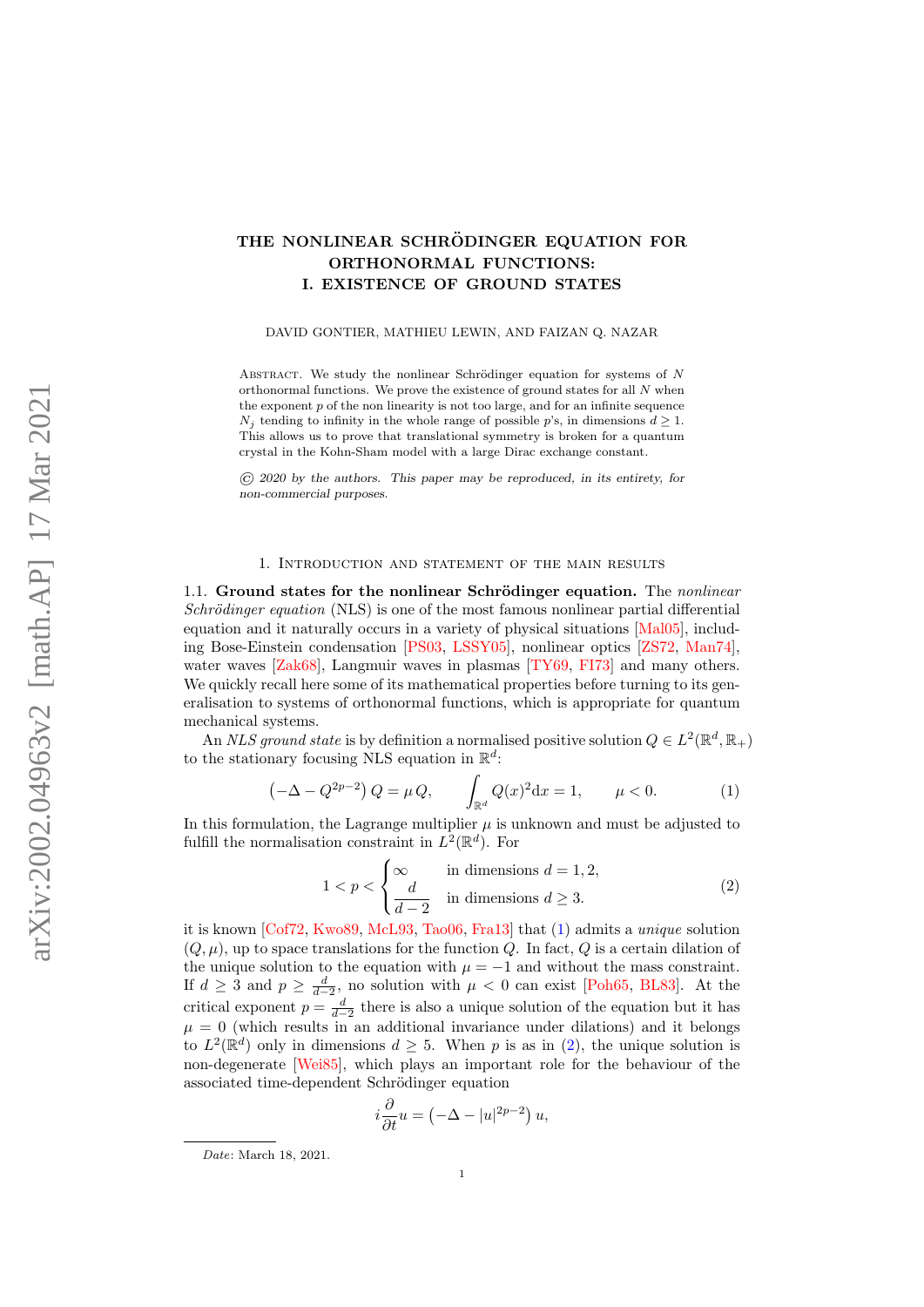# THE NONLINEAR SCHRÖDINGER EQUATION FOR ORTHONORMAL FUNCTIONS: I. EXISTENCE OF GROUND STATES

DAVID GONTIER, MATHIEU LEWIN, AND FAIZAN Q. NAZAR

ABSTRACT. We study the nonlinear Schrödinger equation for systems of  $N$ orthonormal functions. We prove the existence of ground states for all N when the exponent  $p$  of the non linearity is not too large, and for an infinite sequence  $N_i$  tending to infinity in the whole range of possible p's, in dimensions  $d \geq 1$ . This allows us to prove that translational symmetry is broken for a quantum crystal in the Kohn-Sham model with a large Dirac exchange constant.

 $\overline{C}$  2020 by the authors. This paper may be reproduced, in its entirety, for non-commercial purposes.

#### 1. Introduction and statement of the main results

1.1. Ground states for the nonlinear Schrödinger equation. The nonlinear Schrödinger equation (NLS) is one of the most famous nonlinear partial differential equation and it naturally occurs in a variety of physical situations [\[Mal05\]](#page-38-0), including Bose-Einstein condensation [\[PS03,](#page-38-1) [LSSY05\]](#page-38-2), nonlinear optics [\[ZS72,](#page-39-0) [Man74\]](#page-38-3), water waves [\[Zak68\]](#page-39-1), Langmuir waves in plasmas [\[TY69,](#page-39-2) [FI73\]](#page-37-0) and many others. We quickly recall here some of its mathematical properties before turning to its generalisation to systems of orthonormal functions, which is appropriate for quantum mechanical systems.

An NLS ground state is by definition a normalised positive solution  $Q \in L^2(\mathbb{R}^d, \mathbb{R}_+)$ to the stationary focusing NLS equation in  $\mathbb{R}^d$ :

<span id="page-0-0"></span>
$$
\left(-\Delta - Q^{2p-2}\right)Q = \mu Q, \qquad \int_{\mathbb{R}^d} Q(x)^2 dx = 1, \qquad \mu < 0. \tag{1}
$$

In this formulation, the Lagrange multiplier  $\mu$  is unknown and must be adjusted to fulfill the normalisation constraint in  $L^2(\mathbb{R}^d)$ . For

<span id="page-0-1"></span>
$$
1 < p < \begin{cases} \infty & \text{in dimensions } d = 1, 2, \\ \frac{d}{d - 2} & \text{in dimensions } d \ge 3. \end{cases} \tag{2}
$$

it is known [\[Cof72,](#page-36-0) [Kwo89,](#page-37-1) [McL93,](#page-38-4) [Tao06,](#page-39-3) [Fra13\]](#page-37-2) that [\(1\)](#page-0-0) admits a unique solution  $(Q, \mu)$ , up to space translations for the function Q. In fact, Q is a certain dilation of the unique solution to the equation with  $\mu = -1$  and without the mass constraint. If  $d \geq 3$  and  $p \geq \frac{d}{d-2}$ , no solution with  $\mu < 0$  can exist [\[Poh65,](#page-38-5) [BL83\]](#page-36-1). At the critical exponent  $p = \frac{d}{d-2}$  there is also a unique solution of the equation but it has  $\mu = 0$  (which results in an additional invariance under dilations) and it belongs to  $L^2(\mathbb{R}^d)$  only in dimensions  $d \geq 5$ . When p is as in [\(2\)](#page-0-1), the unique solution is non-degenerate [\[Wei85\]](#page-39-4), which plays an important role for the behaviour of the associated time-dependent Schrödinger equation

$$
i\frac{\partial}{\partial t}u = \left(-\Delta - |u|^{2p-2}\right)u,
$$

Date: March 18, 2021.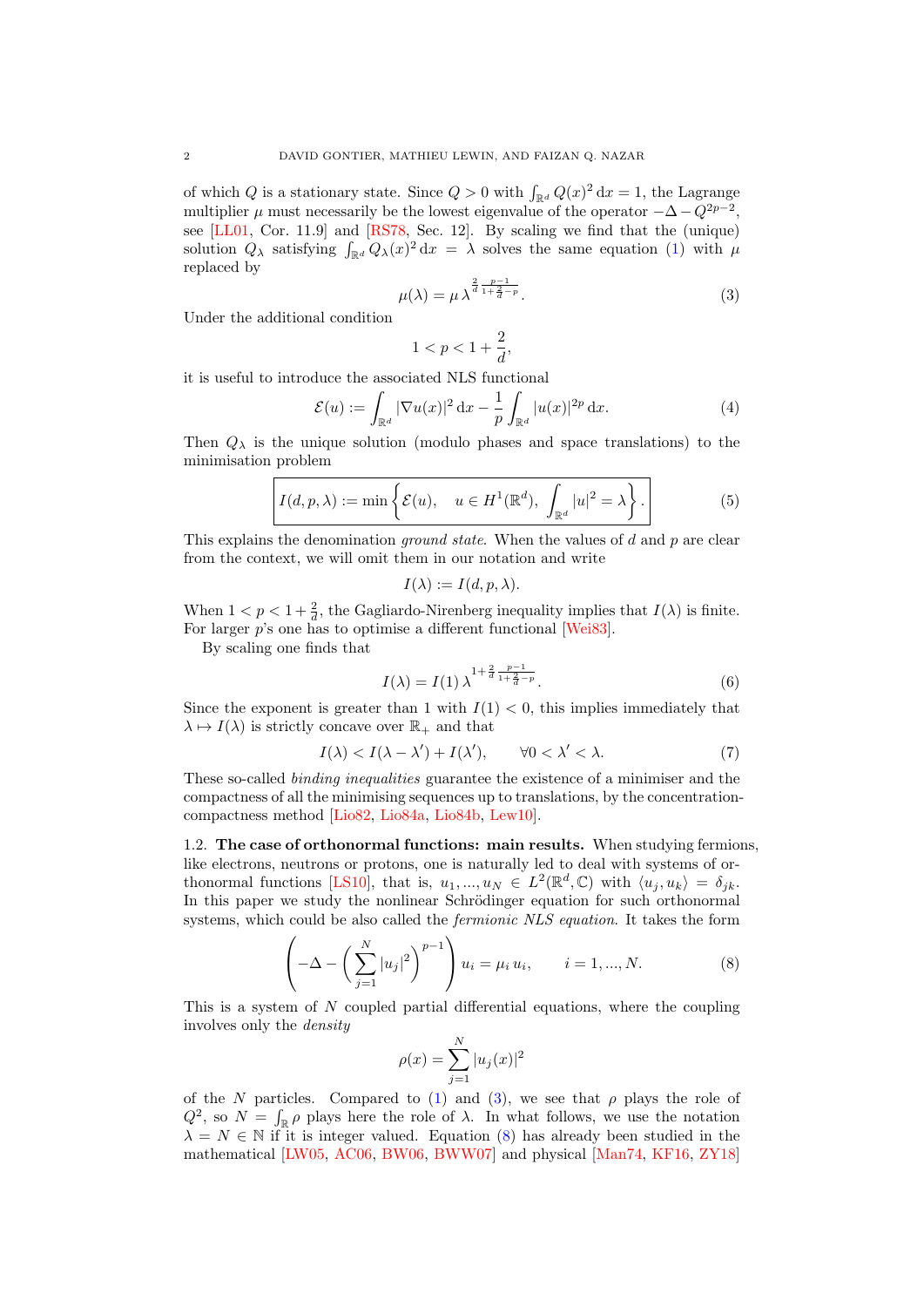of which Q is a stationary state. Since  $Q > 0$  with  $\int_{\mathbb{R}^d} Q(x)^2 dx = 1$ , the Lagrange multiplier  $\mu$  must necessarily be the lowest eigenvalue of the operator  $-\Delta - Q^{2p-2}$ , see [\[LL01,](#page-38-6) Cor. 11.9] and [\[RS78,](#page-38-7) Sec. 12]. By scaling we find that the (unique) solution  $Q_{\lambda}$  satisfying  $\int_{\mathbb{R}^d} Q_{\lambda}(x)^2 dx = \lambda$  solves the same equation [\(1\)](#page-0-0) with  $\mu$ replaced by

<span id="page-1-0"></span>
$$
\mu(\lambda) = \mu \lambda^{\frac{2}{d} \frac{p-1}{1 + \frac{2}{d} - p}}.
$$
\n(3)

Under the additional condition

$$
1
$$

it is useful to introduce the associated NLS functional

<span id="page-1-4"></span>
$$
\mathcal{E}(u) := \int_{\mathbb{R}^d} |\nabla u(x)|^2 \, \mathrm{d}x - \frac{1}{p} \int_{\mathbb{R}^d} |u(x)|^{2p} \, \mathrm{d}x. \tag{4}
$$

Then  $Q_{\lambda}$  is the unique solution (modulo phases and space translations) to the minimisation problem

<span id="page-1-3"></span>
$$
I(d, p, \lambda) := \min \left\{ \mathcal{E}(u), \quad u \in H^1(\mathbb{R}^d), \int_{\mathbb{R}^d} |u|^2 = \lambda \right\}.
$$
 (5)

This explains the denomination *ground state*. When the values of d and p are clear from the context, we will omit them in our notation and write

$$
I(\lambda) := I(d, p, \lambda).
$$

When  $1 < p < 1 + \frac{2}{d}$ , the Gagliardo-Nirenberg inequality implies that  $I(\lambda)$  is finite. For larger p's one has to optimise a different functional [\[Wei83\]](#page-39-5).

By scaling one finds that

<span id="page-1-2"></span>
$$
I(\lambda) = I(1) \lambda^{1 + \frac{2}{d} \frac{p-1}{1 + \frac{2}{d} - p}}.
$$
 (6)

Since the exponent is greater than 1 with  $I(1) < 0$ , this implies immediately that  $\lambda \mapsto I(\lambda)$  is strictly concave over  $\mathbb{R}_+$  and that

$$
I(\lambda) < I(\lambda - \lambda') + I(\lambda'), \qquad \forall 0 < \lambda' < \lambda. \tag{7}
$$

These so-called binding inequalities guarantee the existence of a minimiser and the compactness of all the minimising sequences up to translations, by the concentrationcompactness method [\[Lio82,](#page-38-8) [Lio84a,](#page-38-9) [Lio84b,](#page-38-10) [Lew10\]](#page-38-11).

1.2. The case of orthonormal functions: main results. When studying fermions, like electrons, neutrons or protons, one is naturally led to deal with systems of or-thonormal functions [\[LS10\]](#page-38-12), that is,  $u_1, ..., u_N \in L^2(\mathbb{R}^d, \mathbb{C})$  with  $\langle u_j, u_k \rangle = \delta_{jk}$ . In this paper we study the nonlinear Schrödinger equation for such orthonormal systems, which could be also called the *fermionic NLS equation*. It takes the form

<span id="page-1-1"></span>
$$
\left(-\Delta - \left(\sum_{j=1}^{N} |u_j|^2\right)^{p-1}\right)u_i = \mu_i u_i, \qquad i = 1, ..., N. \tag{8}
$$

This is a system of N coupled partial differential equations, where the coupling involves only the density

$$
\rho(x) = \sum_{j=1}^{N} |u_j(x)|^2
$$

of the N particles. Compared to [\(1\)](#page-0-0) and [\(3\)](#page-1-0), we see that  $\rho$  plays the role of  $Q^2$ , so  $N = \int_{\mathbb{R}} \rho$  plays here the role of  $\lambda$ . In what follows, we use the notation  $\lambda = N \in \mathbb{N}$  if it is integer valued. Equation [\(8\)](#page-1-1) has already been studied in the mathematical [\[LW05,](#page-38-13) [AC06,](#page-35-0) [BW06,](#page-36-2) [BWW07\]](#page-36-3) and physical [\[Man74,](#page-38-3) [KF16,](#page-37-3) [ZY18\]](#page-39-6)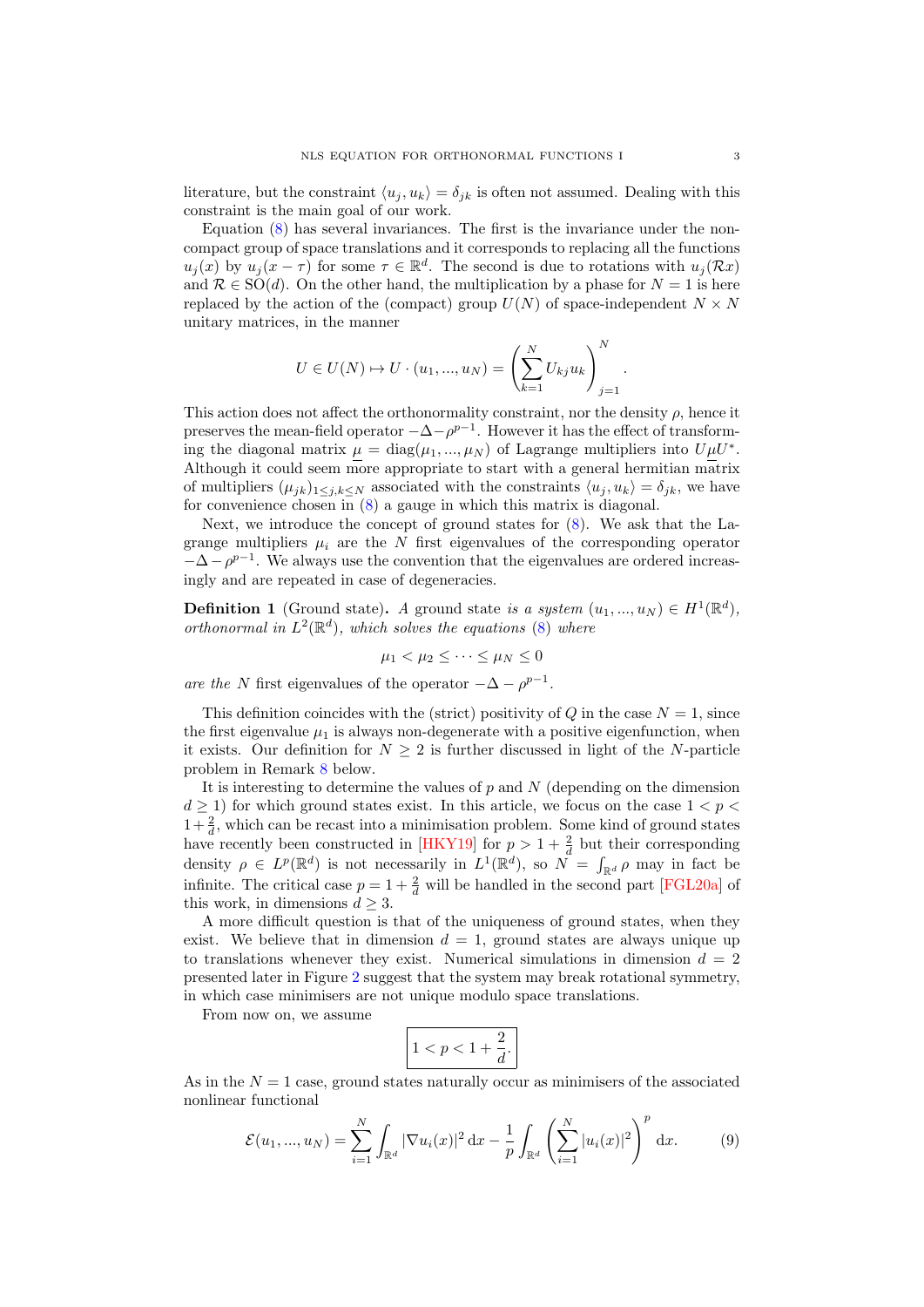literature, but the constraint  $\langle u_j, u_k \rangle = \delta_{jk}$  is often not assumed. Dealing with this constraint is the main goal of our work.

Equation  $(8)$  has several invariances. The first is the invariance under the noncompact group of space translations and it corresponds to replacing all the functions  $u_j(x)$  by  $u_j(x-\tau)$  for some  $\tau \in \mathbb{R}^d$ . The second is due to rotations with  $u_j(\mathcal{R}x)$ and  $\mathcal{R} \in SO(d)$ . On the other hand, the multiplication by a phase for  $N = 1$  is here replaced by the action of the (compact) group  $U(N)$  of space-independent  $N \times N$ unitary matrices, in the manner

$$
U \in U(N) \mapsto U \cdot (u_1, ..., u_N) = \left(\sum_{k=1}^{N} U_{kj} u_k\right)_{j=1}^{N}.
$$

This action does not affect the orthonormality constraint, nor the density  $\rho$ , hence it preserves the mean-field operator  $-\Delta - \rho^{p-1}$ . However it has the effect of transforming the diagonal matrix  $\mu = \text{diag}(\mu_1, ..., \mu_N)$  of Lagrange multipliers into  $U \mu U^*$ . Although it could seem more appropriate to start with a general hermitian matrix of multipliers  $(\mu_{jk})_{1\leq j,k\leq N}$  associated with the constraints  $\langle u_j, u_k \rangle = \delta_{jk}$ , we have for convenience chosen in [\(8\)](#page-1-1) a gauge in which this matrix is diagonal.

Next, we introduce the concept of ground states for  $(8)$ . We ask that the Lagrange multipliers  $\mu_i$  are the N first eigenvalues of the corresponding operator  $-\Delta - \rho^{p-1}$ . We always use the convention that the eigenvalues are ordered increasingly and are repeated in case of degeneracies.

<span id="page-2-1"></span>**Definition 1** (Ground state). A ground state is a system  $(u_1, ..., u_N) \in H^1(\mathbb{R}^d)$ , orthonormal in  $L^2(\mathbb{R}^d)$ , which solves the equations [\(8\)](#page-1-1) where

$$
\mu_1 < \mu_2 \leq \cdots \leq \mu_N \leq 0
$$

are the N first eigenvalues of the operator  $-\Delta - \rho^{p-1}$ .

This definition coincides with the (strict) positivity of  $Q$  in the case  $N = 1$ , since the first eigenvalue  $\mu_1$  is always non-degenerate with a positive eigenfunction, when it exists. Our definition for  $N \geq 2$  is further discussed in light of the N-particle problem in Remark [8](#page-7-0) below.

It is interesting to determine the values of  $p$  and  $N$  (depending on the dimension  $d \geq 1$ ) for which ground states exist. In this article, we focus on the case  $1 < p <$  $1+\frac{2}{d}$ , which can be recast into a minimisation problem. Some kind of ground states have recently been constructed in [\[HKY19\]](#page-37-4) for  $p > 1 + \frac{2}{d}$  but their corresponding density  $\rho \in L^p(\mathbb{R}^d)$  is not necessarily in  $L^1(\mathbb{R}^d)$ , so  $\tilde{N} = \int_{\mathbb{R}^d} \rho$  may in fact be infinite. The critical case  $p = 1 + \frac{2}{d}$  will be handled in the second part [\[FGL20a\]](#page-37-5) of this work, in dimensions  $d \geq 3$ .

A more difficult question is that of the uniqueness of ground states, when they exist. We believe that in dimension  $d = 1$ , ground states are always unique up to translations whenever they exist. Numerical simulations in dimension  $d = 2$ presented later in Figure [2](#page-11-0) suggest that the system may break rotational symmetry, in which case minimisers are not unique modulo space translations.

From now on, we assume

$$
1 < p < 1 + \frac{2}{d}.
$$

As in the  $N = 1$  case, ground states naturally occur as minimisers of the associated nonlinear functional

<span id="page-2-0"></span>
$$
\mathcal{E}(u_1, ..., u_N) = \sum_{i=1}^N \int_{\mathbb{R}^d} |\nabla u_i(x)|^2 dx - \frac{1}{p} \int_{\mathbb{R}^d} \left( \sum_{i=1}^N |u_i(x)|^2 \right)^p dx.
$$
 (9)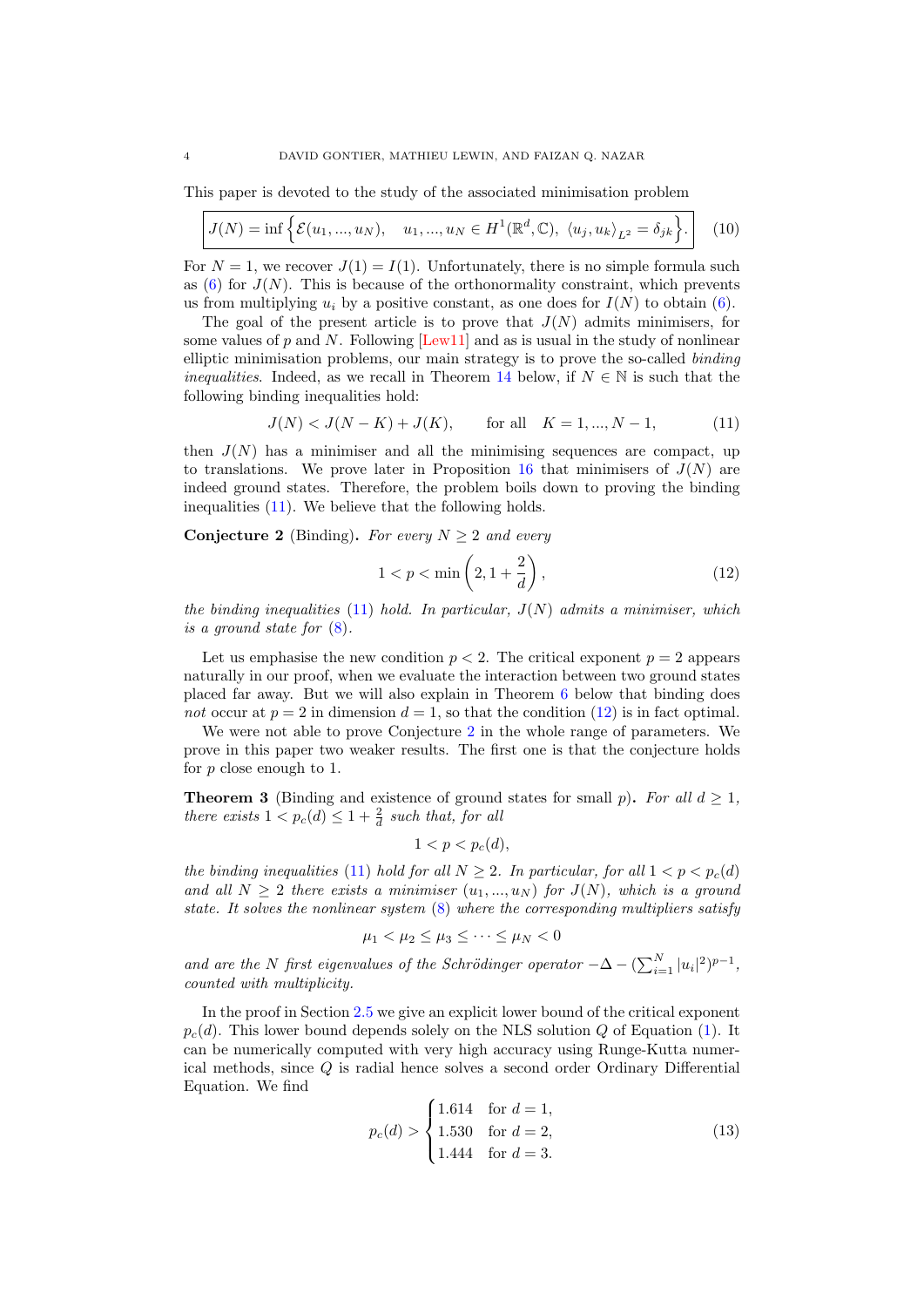This paper is devoted to the study of the associated minimisation problem

<span id="page-3-4"></span>
$$
J(N) = \inf \left\{ \mathcal{E}(u_1, ..., u_N), \quad u_1, ..., u_N \in H^1(\mathbb{R}^d, \mathbb{C}), \ \langle u_j, u_k \rangle_{L^2} = \delta_{jk} \right\}.
$$
 (10)

For  $N = 1$ , we recover  $J(1) = I(1)$ . Unfortunately, there is no simple formula such as  $(6)$  for  $J(N)$ . This is because of the orthonormality constraint, which prevents us from multiplying  $u_i$  by a positive constant, as one does for  $I(N)$  to obtain [\(6\)](#page-1-2).

The goal of the present article is to prove that  $J(N)$  admits minimisers, for some values of p and N. Following [\[Lew11\]](#page-38-14) and as is usual in the study of nonlinear elliptic minimisation problems, our main strategy is to prove the so-called binding *inequalities.* Indeed, as we recall in Theorem [14](#page-16-0) below, if  $N \in \mathbb{N}$  is such that the following binding inequalities hold:

<span id="page-3-0"></span>
$$
J(N) < J(N - K) + J(K), \qquad \text{for all} \quad K = 1, \dots, N - 1,\tag{11}
$$

then  $J(N)$  has a minimiser and all the minimising sequences are compact, up to translations. We prove later in Proposition [16](#page-17-0) that minimisers of  $J(N)$  are indeed ground states. Therefore, the problem boils down to proving the binding inequalities [\(11\)](#page-3-0). We believe that the following holds.

<span id="page-3-2"></span>Conjecture 2 (Binding). For every  $N \geq 2$  and every

<span id="page-3-1"></span>
$$
1 < p < \min\left(2, 1 + \frac{2}{d}\right),\tag{12}
$$

the binding inequalities  $(11)$  hold. In particular,  $J(N)$  admits a minimiser, which is a ground state for  $(8)$ .

Let us emphasise the new condition  $p < 2$ . The critical exponent  $p = 2$  appears naturally in our proof, when we evaluate the interaction between two ground states placed far away. But we will also explain in Theorem [6](#page-4-0) below that binding does not occur at  $p = 2$  in dimension  $d = 1$ , so that the condition [\(12\)](#page-3-1) is in fact optimal.

We were not able to prove Conjecture [2](#page-3-2) in the whole range of parameters. We prove in this paper two weaker results. The first one is that the conjecture holds for  $p$  close enough to 1.

<span id="page-3-3"></span>**Theorem 3** (Binding and existence of ground states for small p). For all  $d \geq 1$ , there exists  $1 < p_c(d) \leq 1 + \frac{2}{d}$  such that, for all

$$
1 < p < p_c(d),
$$

the binding inequalities [\(11\)](#page-3-0) hold for all  $N \geq 2$ . In particular, for all  $1 < p < p_c(d)$ and all  $N \geq 2$  there exists a minimiser  $(u_1, ..., u_N)$  for  $J(N)$ , which is a ground state. It solves the nonlinear system  $(8)$  where the corresponding multipliers satisfy

$$
\mu_1 < \mu_2 \le \mu_3 \le \cdots \le \mu_N < 0
$$

and are the N first eigenvalues of the Schrödinger operator  $-\Delta - (\sum_{i=1}^{N} |u_i|^2)^{p-1}$ , counted with multiplicity.

In the proof in Section [2.5](#page-25-0) we give an explicit lower bound of the critical exponent  $p_c(d)$ . This lower bound depends solely on the NLS solution Q of Equation [\(1\)](#page-0-0). It can be numerically computed with very high accuracy using Runge-Kutta numerical methods, since Q is radial hence solves a second order Ordinary Differential Equation. We find

<span id="page-3-5"></span>
$$
p_c(d) > \begin{cases} 1.614 & \text{for } d = 1, \\ 1.530 & \text{for } d = 2, \\ 1.444 & \text{for } d = 3. \end{cases} \tag{13}
$$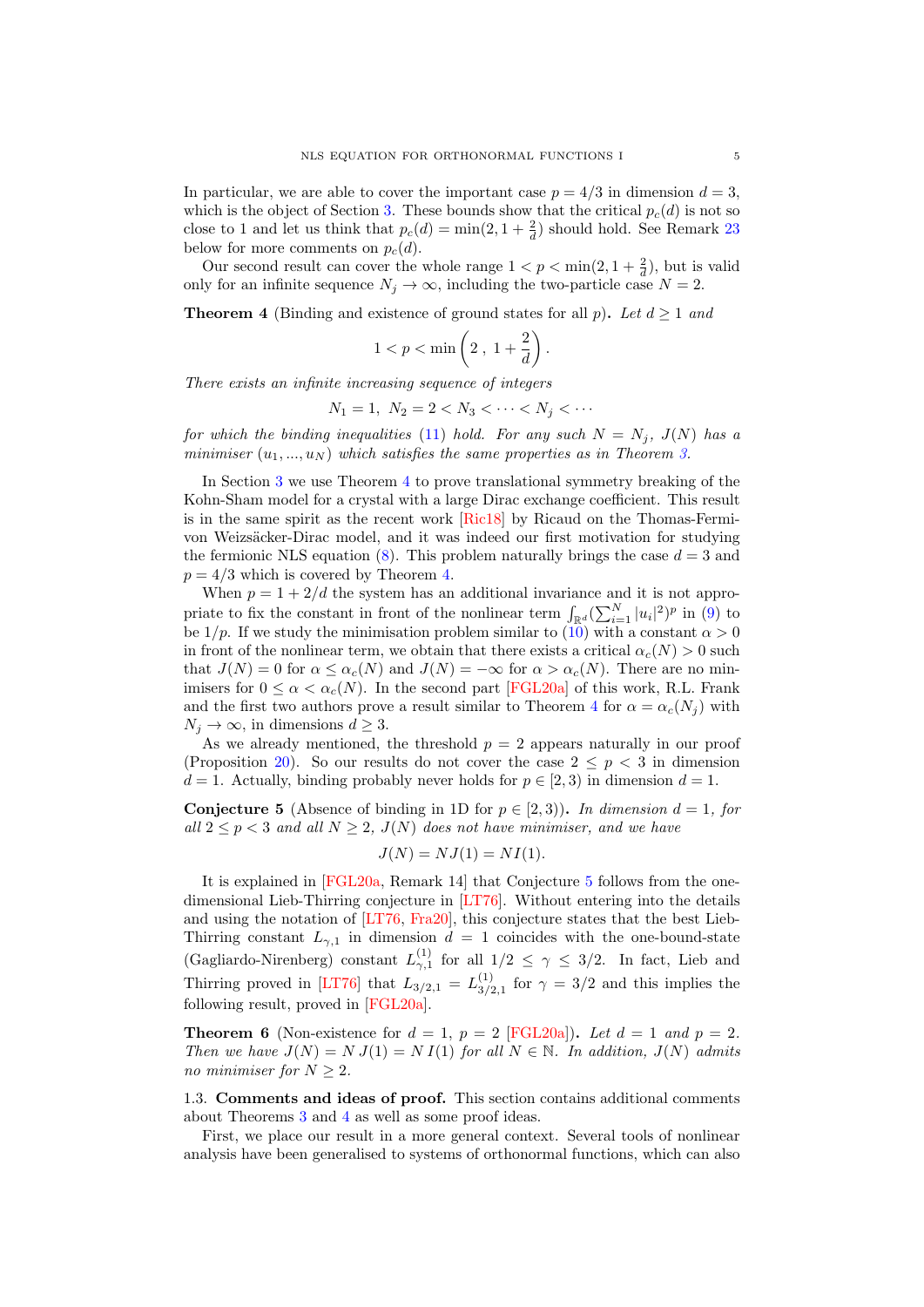In particular, we are able to cover the important case  $p = 4/3$  in dimension  $d = 3$ , which is the object of Section [3.](#page-27-0) These bounds show that the critical  $p_c(d)$  is not so close to 1 and let us think that  $p_c(d) = \min(2, 1 + \frac{2}{d})$  should hold. See Remark [23](#page-25-1) below for more comments on  $p_c(d)$ .

Our second result can cover the whole range  $1 < p < \min(2, 1 + \frac{2}{d})$ , but is valid only for an infinite sequence  $N_j \to \infty$ , including the two-particle case  $N = 2$ .

<span id="page-4-1"></span>**Theorem 4** (Binding and existence of ground states for all p). Let  $d \ge 1$  and

$$
1 < p < \min\left(2\,,\ 1 + \frac{2}{d}\right).
$$

There exists an infinite increasing sequence of integers

$$
N_1 = 1, N_2 = 2 < N_3 < \dots < N_j < \dots
$$

for which the binding inequalities [\(11\)](#page-3-0) hold. For any such  $N = N_i$ ,  $J(N)$  has a minimiser  $(u_1, ..., u_N)$  which satisfies the same properties as in Theorem [3.](#page-3-3)

In Section [3](#page-27-0) we use Theorem [4](#page-4-1) to prove translational symmetry breaking of the Kohn-Sham model for a crystal with a large Dirac exchange coefficient. This result is in the same spirit as the recent work [\[Ric18\]](#page-38-15) by Ricaud on the Thomas-Fermivon Weizsäcker-Dirac model, and it was indeed our first motivation for studying the fermionic NLS equation [\(8\)](#page-1-1). This problem naturally brings the case  $d = 3$  and  $p = 4/3$  which is covered by Theorem [4.](#page-4-1)

When  $p = 1 + 2/d$  the system has an additional invariance and it is not appropriate to fix the constant in front of the nonlinear term  $\int_{\mathbb{R}^d} (\sum_{i=1}^N |u_i|^2)^p$  in [\(9\)](#page-2-0) to be  $1/p$ . If we study the minimisation problem similar to  $(10)$  with a constant  $\alpha > 0$ in front of the nonlinear term, we obtain that there exists a critical  $\alpha_c(N) > 0$  such that  $J(N) = 0$  for  $\alpha \leq \alpha_c(N)$  and  $J(N) = -\infty$  for  $\alpha > \alpha_c(N)$ . There are no minimisers for  $0 \le \alpha < \alpha_c(N)$ . In the second part [\[FGL20a\]](#page-37-5) of this work, R.L. Frank and the first two authors prove a result similar to Theorem [4](#page-4-1) for  $\alpha = \alpha_c(N_i)$  with  $N_i \to \infty$ , in dimensions  $d \geq 3$ .

As we already mentioned, the threshold  $p = 2$  appears naturally in our proof (Proposition [20\)](#page-21-0). So our results do not cover the case  $2 \leq p < 3$  in dimension  $d = 1$ . Actually, binding probably never holds for  $p \in [2, 3)$  in dimension  $d = 1$ .

<span id="page-4-2"></span>**Conjecture 5** (Absence of binding in 1D for  $p \in [2,3)$ ). In dimension  $d = 1$ , for all  $2 \le p < 3$  and all  $N \ge 2$ ,  $J(N)$  does not have minimiser, and we have

$$
J(N) = NJ(1) = NI(1).
$$

It is explained in [\[FGL20a,](#page-37-5) Remark 14] that Conjecture [5](#page-4-2) follows from the onedimensional Lieb-Thirring conjecture in [\[LT76\]](#page-38-16). Without entering into the details and using the notation of [\[LT76,](#page-38-16) [Fra20\]](#page-37-6), this conjecture states that the best Lieb-Thirring constant  $L_{\gamma,1}$  in dimension  $d = 1$  coincides with the one-bound-state (Gagliardo-Nirenberg) constant  $L_{\gamma,1}^{(1)}$  for all  $1/2 \leq \gamma \leq 3/2$ . In fact, Lieb and Thirring proved in [\[LT76\]](#page-38-16) that  $L_{3/2,1} = L_{3/2}^{(1)}$  $\frac{1}{3/2,1}$  for  $\gamma = 3/2$  and this implies the following result, proved in [\[FGL20a\]](#page-37-5).

<span id="page-4-0"></span>**Theorem 6** (Non-existence for  $d = 1$ ,  $p = 2$  [\[FGL20a\]](#page-37-5)). Let  $d = 1$  and  $p = 2$ . Then we have  $J(N) = N J(1) = N I(1)$  for all  $N \in \mathbb{N}$ . In addition,  $J(N)$  admits no minimiser for  $N \geq 2$ .

1.3. Comments and ideas of proof. This section contains additional comments about Theorems [3](#page-3-3) and [4](#page-4-1) as well as some proof ideas.

First, we place our result in a more general context. Several tools of nonlinear analysis have been generalised to systems of orthonormal functions, which can also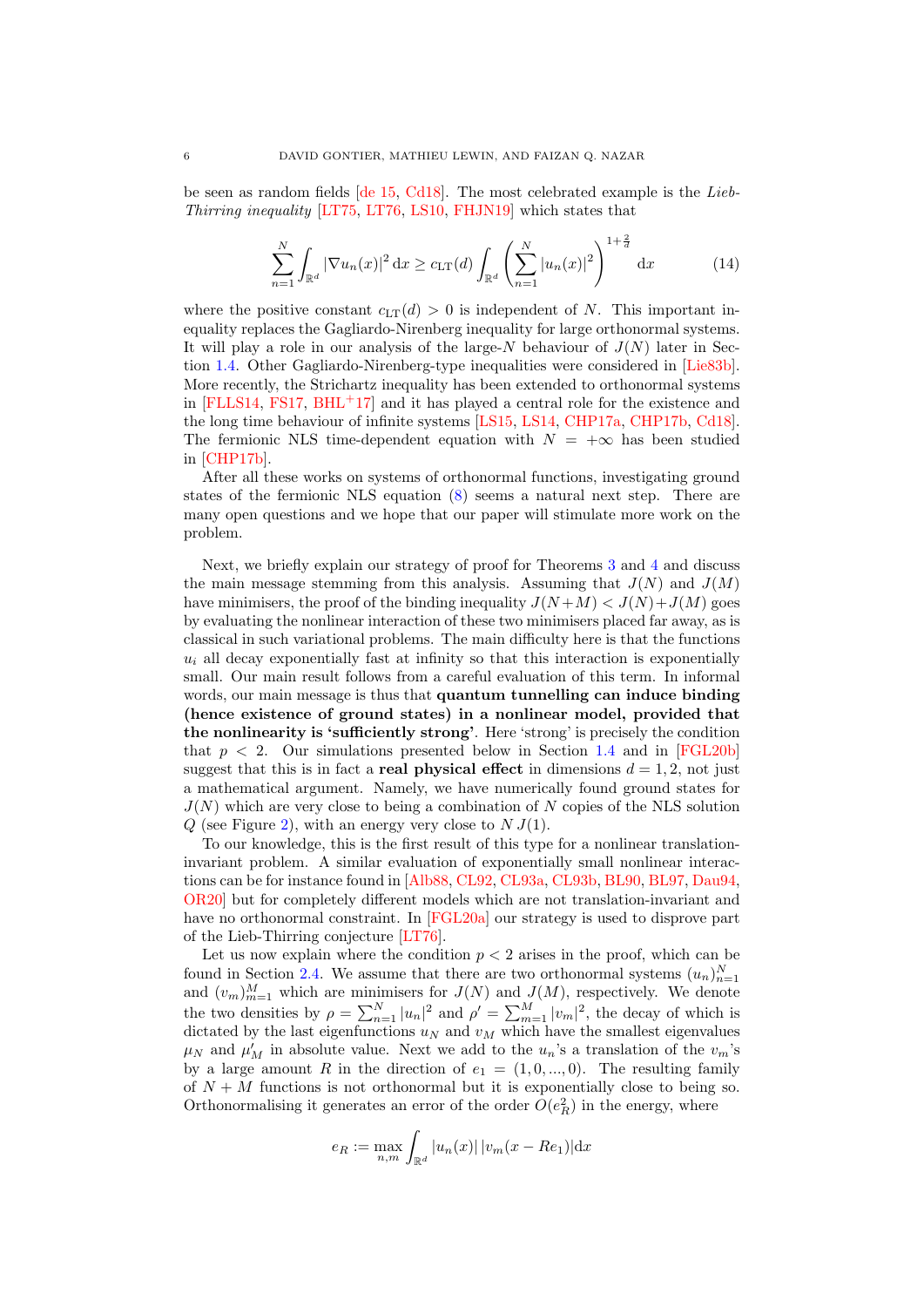be seen as random fields [\[de 15,](#page-37-7) [Cd18\]](#page-36-4). The most celebrated example is the Lieb-Thirring inequality [\[LT75,](#page-38-17) [LT76,](#page-38-16) [LS10,](#page-38-12) [FHJN19\]](#page-37-8) which states that

<span id="page-5-0"></span>
$$
\sum_{n=1}^{N} \int_{\mathbb{R}^d} |\nabla u_n(x)|^2 dx \ge c_{\text{LT}}(d) \int_{\mathbb{R}^d} \left( \sum_{n=1}^{N} |u_n(x)|^2 \right)^{1 + \frac{2}{d}} dx \tag{14}
$$

where the positive constant  $c_{LT}(d) > 0$  is independent of N. This important inequality replaces the Gagliardo-Nirenberg inequality for large orthonormal systems. It will play a role in our analysis of the large- $N$  behaviour of  $J(N)$  later in Section [1.4.](#page-7-1) Other Gagliardo-Nirenberg-type inequalities were considered in [\[Lie83b\]](#page-38-18). More recently, the Strichartz inequality has been extended to orthonormal systems in  $[FLLS14, FS17, BHL+17]$  $[FLLS14, FS17, BHL+17]$  $[FLLS14, FS17, BHL+17]$  $[FLLS14, FS17, BHL+17]$  $[FLLS14, FS17, BHL+17]$  $[FLLS14, FS17, BHL+17]$  and it has played a central role for the existence and the long time behaviour of infinite systems [\[LS15,](#page-38-19) [LS14,](#page-38-20) [CHP17a,](#page-36-6) [CHP17b,](#page-36-7) [Cd18\]](#page-36-4). The fermionic NLS time-dependent equation with  $N = +\infty$  has been studied in [\[CHP17b\]](#page-36-7).

After all these works on systems of orthonormal functions, investigating ground states of the fermionic NLS equation [\(8\)](#page-1-1) seems a natural next step. There are many open questions and we hope that our paper will stimulate more work on the problem.

Next, we briefly explain our strategy of proof for Theorems [3](#page-3-3) and [4](#page-4-1) and discuss the main message stemming from this analysis. Assuming that  $J(N)$  and  $J(M)$ have minimisers, the proof of the binding inequality  $J(N+M) < J(N)+J(M)$  goes by evaluating the nonlinear interaction of these two minimisers placed far away, as is classical in such variational problems. The main difficulty here is that the functions  $u_i$  all decay exponentially fast at infinity so that this interaction is exponentially small. Our main result follows from a careful evaluation of this term. In informal words, our main message is thus that quantum tunnelling can induce binding (hence existence of ground states) in a nonlinear model, provided that the nonlinearity is 'sufficiently strong'. Here 'strong' is precisely the condition that  $p < 2$ . Our simulations presented below in Section [1.4](#page-7-1) and in [\[FGL20b\]](#page-37-11) suggest that this is in fact a **real physical effect** in dimensions  $d = 1, 2$ , not just a mathematical argument. Namely, we have numerically found ground states for  $J(N)$  which are very close to being a combination of N copies of the NLS solution  $Q$  (see Figure [2\)](#page-11-0), with an energy very close to  $N J(1)$ .

To our knowledge, this is the first result of this type for a nonlinear translationinvariant problem. A similar evaluation of exponentially small nonlinear interactions can be for instance found in [\[Alb88,](#page-35-1) [CL92,](#page-36-8) [CL93a,](#page-36-9) [CL93b,](#page-36-10) [BL90,](#page-36-11) [BL97,](#page-36-12) [Dau94,](#page-36-13) [OR20\]](#page-38-21) but for completely different models which are not translation-invariant and have no orthonormal constraint. In [\[FGL20a\]](#page-37-5) our strategy is used to disprove part of the Lieb-Thirring conjecture [\[LT76\]](#page-38-16).

Let us now explain where the condition  $p < 2$  arises in the proof, which can be found in Section [2.4.](#page-21-1) We assume that there are two orthonormal systems  $(u_n)_n^N$ from m section 2.4. We assume that there are two orthonormal systems  $(u_n)_{n=1}$  and  $(v_m)_{m=1}^M$  which are minimisers for  $J(N)$  and  $J(M)$ , respectively. We denote the two densities by  $\rho = \sum_{n=1}^{N} |u_n|^2$  and  $\rho' = \sum_{m=1}^{M} |v_m|^2$ , the decay of which is dictated by the last eigenfunctions  $u_N$  and  $v_M$  which have the smallest eigenvalues  $\mu_N$  and  $\mu'_M$  in absolute value. Next we add to the  $u_n$ 's a translation of the  $v_m$ 's by a large amount R in the direction of  $e_1 = (1, 0, ..., 0)$ . The resulting family of  $N + M$  functions is not orthonormal but it is exponentially close to being so. Orthonormalising it generates an error of the order  $O(e_R^2)$  in the energy, where

$$
e_R := \max_{n,m} \int_{\mathbb{R}^d} |u_n(x)| |v_m(x - Re_1)| dx
$$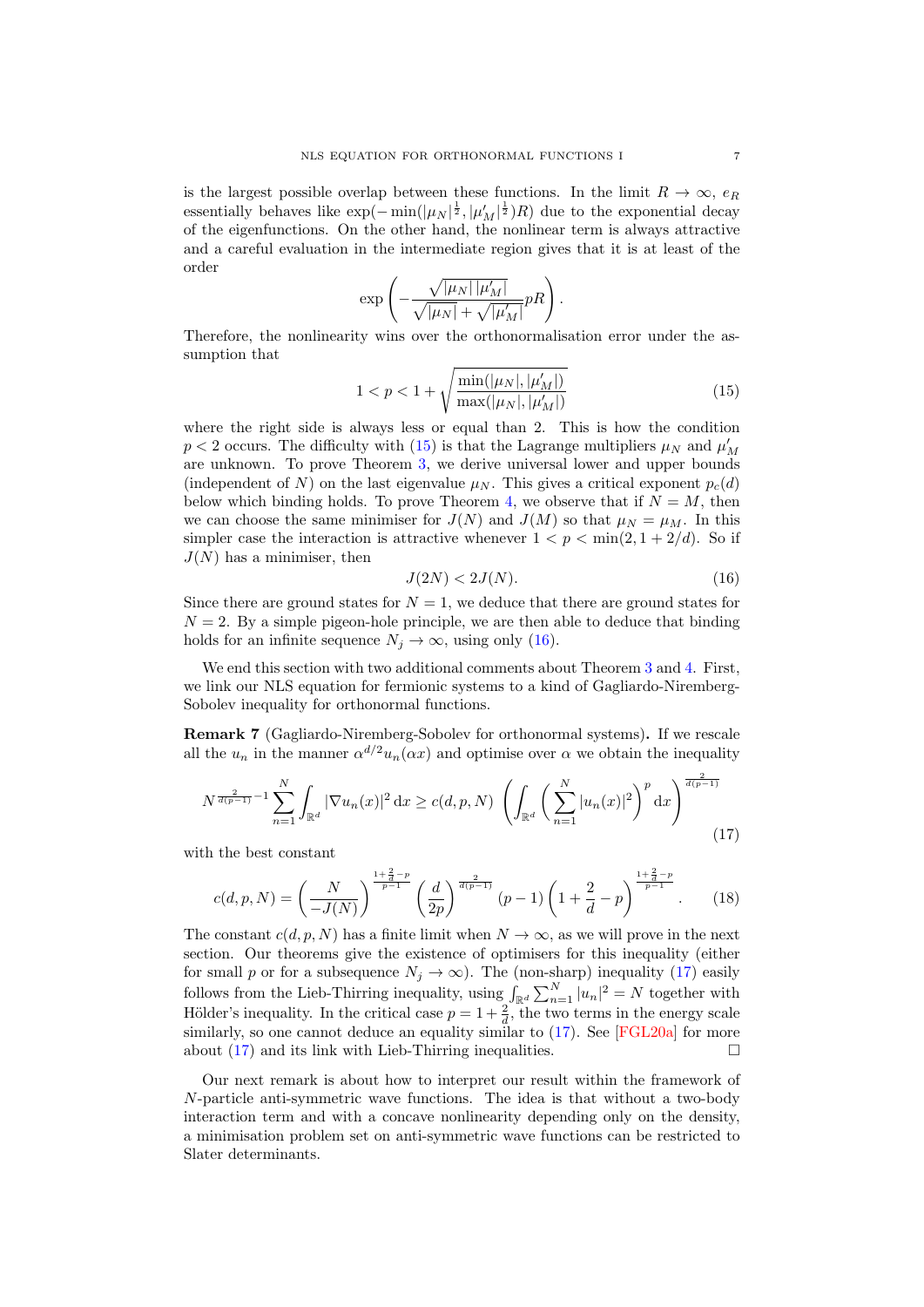is the largest possible overlap between these functions. In the limit  $R \to \infty$ ,  $e_R$ essentially behaves like  $\exp(-\min(|\mu_N|^{\frac{1}{2}}, |\mu'_M|^{\frac{1}{2}})R)$  due to the exponential decay of the eigenfunctions. On the other hand, the nonlinear term is always attractive and a careful evaluation in the intermediate region gives that it is at least of the order

$$
\exp\left(-\frac{\sqrt{|\mu_N|\,|\mu_M'|}}{\sqrt{|\mu_N|} + \sqrt{|\mu_M'|}} pR\right).
$$

Therefore, the nonlinearity wins over the orthonormalisation error under the assumption that

<span id="page-6-0"></span>
$$
1 < p < 1 + \sqrt{\frac{\min(|\mu_N|, |\mu'_M|)}{\max(|\mu_N|, |\mu'_M|)}}\tag{15}
$$

where the right side is always less or equal than 2. This is how the condition  $p < 2$  occurs. The difficulty with [\(15\)](#page-6-0) is that the Lagrange multipliers  $\mu_N$  and  $\mu'_M$ are unknown. To prove Theorem [3,](#page-3-3) we derive universal lower and upper bounds (independent of N) on the last eigenvalue  $\mu_N$ . This gives a critical exponent  $p_c(d)$ below which binding holds. To prove Theorem [4,](#page-4-1) we observe that if  $N = M$ , then we can choose the same minimiser for  $J(N)$  and  $J(M)$  so that  $\mu_N = \mu_M$ . In this simpler case the interaction is attractive whenever  $1 < p < \min(2, 1 + 2/d)$ . So if  $J(N)$  has a minimiser, then

<span id="page-6-1"></span>
$$
J(2N) < 2J(N). \tag{16}
$$

Since there are ground states for  $N = 1$ , we deduce that there are ground states for  $N = 2$ . By a simple pigeon-hole principle, we are then able to deduce that binding holds for an infinite sequence  $N_i \to \infty$ , using only [\(16\)](#page-6-1).

We end this section with two additional comments about Theorem [3](#page-3-3) and [4.](#page-4-1) First, we link our NLS equation for fermionic systems to a kind of Gagliardo-Niremberg-Sobolev inequality for orthonormal functions.

Remark 7 (Gagliardo-Niremberg-Sobolev for orthonormal systems). If we rescale all the  $u_n$  in the manner  $\alpha^{d/2}u_n(\alpha x)$  and optimise over  $\alpha$  we obtain the inequality

<span id="page-6-2"></span>
$$
N^{\frac{2}{d(p-1)}-1} \sum_{n=1}^{N} \int_{\mathbb{R}^d} |\nabla u_n(x)|^2 dx \ge c(d, p, N) \left( \int_{\mathbb{R}^d} \left( \sum_{n=1}^{N} |u_n(x)|^2 \right)^p dx \right)^{\frac{2}{d(p-1)}} \tag{17}
$$

with the best constant

$$
c(d, p, N) = \left(\frac{N}{-J(N)}\right)^{\frac{1+\frac{2}{d}-p}{p-1}} \left(\frac{d}{2p}\right)^{\frac{2}{d(p-1)}} (p-1) \left(1+\frac{2}{d}-p\right)^{\frac{1+\frac{2}{d}-p}{p-1}}.
$$
 (18)

The constant  $c(d, p, N)$  has a finite limit when  $N \to \infty$ , as we will prove in the next section. Our theorems give the existence of optimisers for this inequality (either for small p or for a subsequence  $N_j \to \infty$ ). The (non-sharp) inequality [\(17\)](#page-6-2) easily follows from the Lieb-Thirring inequality, using  $\int_{\mathbb{R}^d} \sum_{n=1}^N |u_n|^2 = N$  together with Hölder's inequality. In the critical case  $p = 1 + \frac{2}{d}$ , the two terms in the energy scale similarly, so one cannot deduce an equality similar to  $(17)$ . See [\[FGL20a\]](#page-37-5) for more about  $(17)$  and its link with Lieb-Thirring inequalities.

Our next remark is about how to interpret our result within the framework of N-particle anti-symmetric wave functions. The idea is that without a two-body interaction term and with a concave nonlinearity depending only on the density, a minimisation problem set on anti-symmetric wave functions can be restricted to Slater determinants.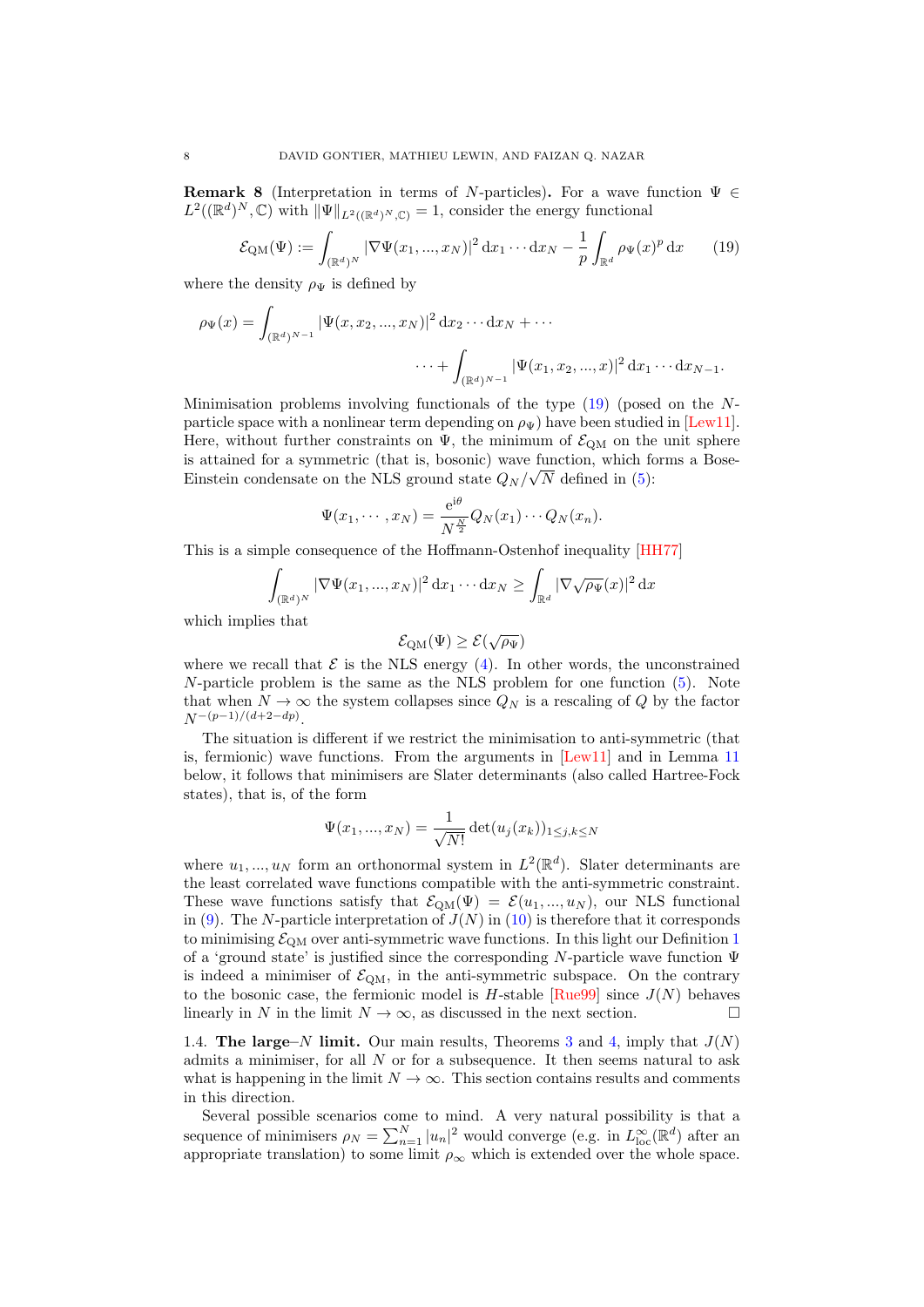<span id="page-7-0"></span>**Remark 8** (Interpretation in terms of N-particles). For a wave function  $\Psi \in$  $L^2((\mathbb{R}^d)^N, \mathbb{C})$  with  $\|\Psi\|_{L^2((\mathbb{R}^d)^N, \mathbb{C})} = 1$ , consider the energy functional

<span id="page-7-2"></span>
$$
\mathcal{E}_{\text{QM}}(\Psi) := \int_{(\mathbb{R}^d)^N} |\nabla \Psi(x_1, ..., x_N)|^2 \, dx_1 \cdots dx_N - \frac{1}{p} \int_{\mathbb{R}^d} \rho_{\Psi}(x)^p \, dx \qquad (19)
$$

where the density  $\rho_{\Psi}$  is defined by

$$
\rho_{\Psi}(x) = \int_{(\mathbb{R}^d)^{N-1}} |\Psi(x, x_2, ..., x_N)|^2 dx_2 \cdots dx_N + \cdots
$$

$$
\cdots + \int_{(\mathbb{R}^d)^{N-1}} |\Psi(x_1, x_2, ..., x)|^2 dx_1 \cdots dx_{N-1}.
$$

Minimisation problems involving functionals of the type [\(19\)](#page-7-2) (posed on the Nparticle space with a nonlinear term depending on  $\rho_{\Psi}$ ) have been studied in [\[Lew11\]](#page-38-14). Here, without further constraints on  $\Psi$ , the minimum of  $\mathcal{E}_{QM}$  on the unit sphere is attained for a symmetric (that is, bosonic) wave function, which forms a Bose-Einstein condensate on the NLS ground state  $Q_N / \sqrt{N}$  defined in [\(5\)](#page-1-3):

$$
\Psi(x_1,\dots,x_N)=\frac{e^{i\theta}}{N^{\frac{N}{2}}}Q_N(x_1)\cdots Q_N(x_n).
$$

This is a simple consequence of the Hoffmann-Ostenhof inequality [\[HH77\]](#page-37-12)

$$
\int_{(\mathbb{R}^d)^N} |\nabla \Psi(x_1, ..., x_N)|^2 \, \mathrm{d}x_1 \cdots \mathrm{d}x_N \ge \int_{\mathbb{R}^d} |\nabla \sqrt{\rho_{\Psi}}(x)|^2 \, \mathrm{d}x
$$

which implies that

$$
\mathcal{E}_{\mathrm{QM}}(\Psi) \geq \mathcal{E}(\sqrt{\rho_\Psi})
$$

where we recall that  $\mathcal E$  is the NLS energy [\(4\)](#page-1-4). In other words, the unconstrained  $N$ -particle problem is the same as the NLS problem for one function  $(5)$ . Note that when  $N \to \infty$  the system collapses since  $Q_N$  is a rescaling of Q by the factor  $N^{-(p-1)/(d+2-dp)}$ .

The situation is different if we restrict the minimisation to anti-symmetric (that is, fermionic) wave functions. From the arguments in [\[Lew11\]](#page-38-14) and in Lemma [11](#page-12-0) below, it follows that minimisers are Slater determinants (also called Hartree-Fock states), that is, of the form

$$
\Psi(x_1, ..., x_N) = \frac{1}{\sqrt{N!}} \det(u_j(x_k))_{1 \le j,k \le N}
$$

where  $u_1, ..., u_N$  form an orthonormal system in  $L^2(\mathbb{R}^d)$ . Slater determinants are the least correlated wave functions compatible with the anti-symmetric constraint. These wave functions satisfy that  $\mathcal{E}_{QM}(\Psi) = \mathcal{E}(u_1,...,u_N)$ , our NLS functional in [\(9\)](#page-2-0). The N-particle interpretation of  $J(N)$  in [\(10\)](#page-3-4) is therefore that it corresponds to minimising  $\mathcal{E}_{\text{QM}}$  over anti-symmetric wave functions. In this light our Definition [1](#page-2-1) of a 'ground state' is justified since the corresponding N-particle wave function Ψ is indeed a minimiser of  $\mathcal{E}_{QM}$ , in the anti-symmetric subspace. On the contrary to the bosonic case, the fermionic model is  $H$ -stable [ $\text{Rue99}$ ] since  $J(N)$  behaves linearly in N in the limit  $N \to \infty$ , as discussed in the next section.

<span id="page-7-1"></span>1.4. The large–N limit. Our main results, Theorems [3](#page-3-3) and [4,](#page-4-1) imply that  $J(N)$ admits a minimiser, for all  $N$  or for a subsequence. It then seems natural to ask what is happening in the limit  $N \to \infty$ . This section contains results and comments in this direction.

Several possible scenarios come to mind. A very natural possibility is that a sequence of minimisers  $\rho_N = \sum_{n=1}^N |u_n|^2$  would converge (e.g. in  $L^{\infty}_{loc}(\mathbb{R}^d)$  after an appropriate translation) to some limit  $\rho_{\infty}$  which is extended over the whole space.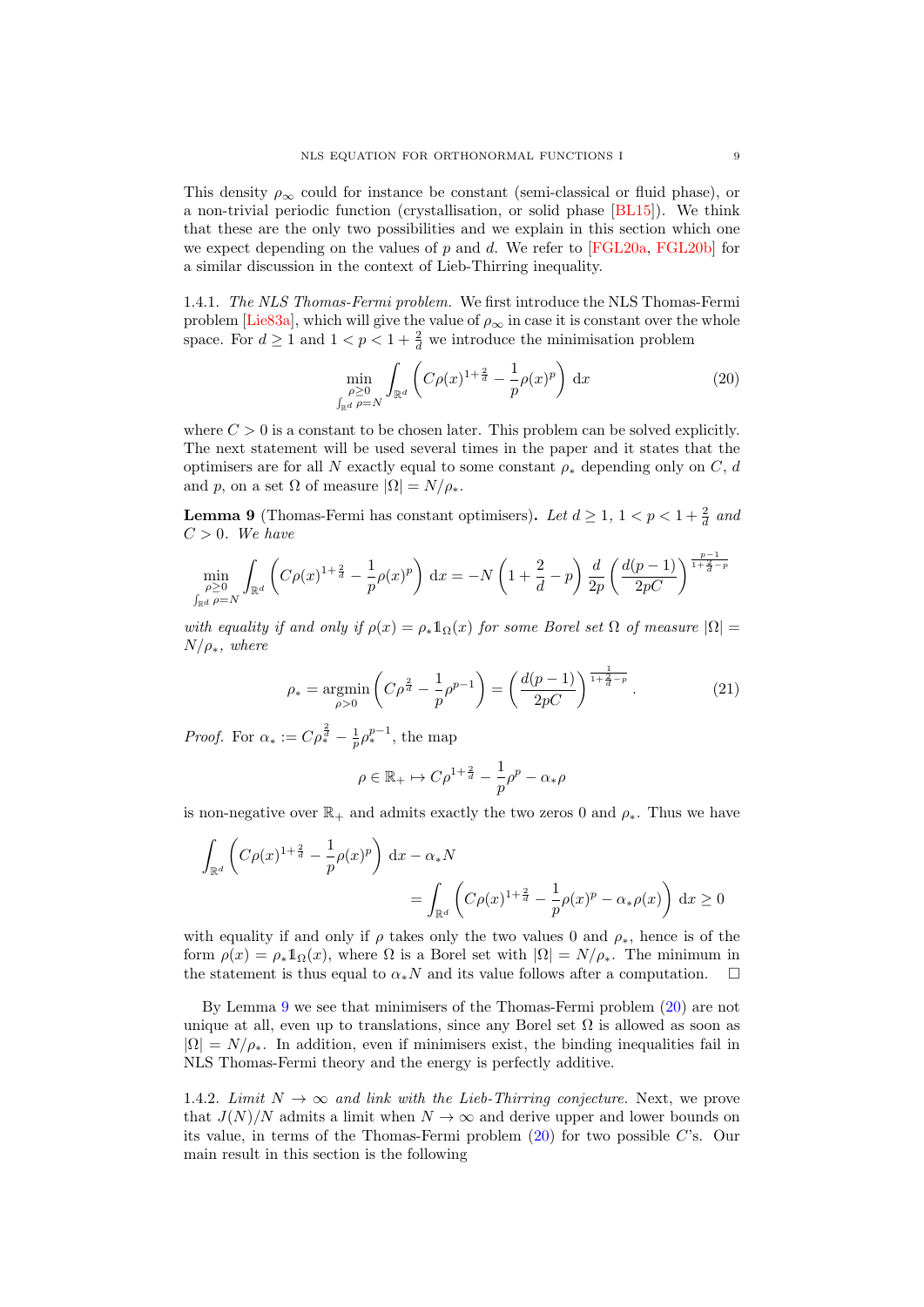This density  $\rho_{\infty}$  could for instance be constant (semi-classical or fluid phase), or a non-trivial periodic function (crystallisation, or solid phase [\[BL15\]](#page-36-14)). We think that these are the only two possibilities and we explain in this section which one we expect depending on the values of p and d. We refer to [\[FGL20a,](#page-37-5) [FGL20b\]](#page-37-11) for a similar discussion in the context of Lieb-Thirring inequality.

1.4.1. The NLS Thomas-Fermi problem. We first introduce the NLS Thomas-Fermi problem [\[Lie83a\]](#page-38-23), which will give the value of  $\rho_{\infty}$  in case it is constant over the whole space. For  $d \ge 1$  and  $1 < p < 1 + \frac{2}{d}$  we introduce the minimisation problem

<span id="page-8-1"></span>
$$
\min_{\substack{\rho \ge 0 \\ \int_{\mathbb{R}^d} \rho = N}} \int_{\mathbb{R}^d} \left( C\rho(x)^{1 + \frac{2}{d}} - \frac{1}{p} \rho(x)^p \right) dx \tag{20}
$$

where  $C > 0$  is a constant to be chosen later. This problem can be solved explicitly. The next statement will be used several times in the paper and it states that the optimisers are for all N exactly equal to some constant  $\rho_*$  depending only on C, d and p, on a set  $\Omega$  of measure  $|\Omega| = N/\rho_*$ .

<span id="page-8-0"></span>**Lemma 9** (Thomas-Fermi has constant optimisers). Let  $d \geq 1$ ,  $1 < p < 1 + \frac{2}{d}$  and  $C > 0$ . We have

$$
\min_{\substack{\rho \ge 0 \\ \int_{\mathbb{R}^d} \rho = N}} \int_{\mathbb{R}^d} \left( C\rho(x)^{1 + \frac{2}{d}} - \frac{1}{p}\rho(x)^p \right) dx = -N \left( 1 + \frac{2}{d} - p \right) \frac{d}{2p} \left( \frac{d(p-1)}{2pC} \right)^{\frac{p-1}{1 + \frac{2}{d} - p}}
$$

with equality if and only if  $\rho(x) = \rho_* 1_\Omega(x)$  for some Borel set  $\Omega$  of measure  $|\Omega| =$  $N/\rho_*$ , where

<span id="page-8-2"></span>
$$
\rho_* = \underset{\rho>0}{\text{argmin}} \left( C\rho^{\frac{2}{d}} - \frac{1}{p}\rho^{p-1} \right) = \left( \frac{d(p-1)}{2pC} \right)^{\frac{1}{1+\frac{1}{d}-p}}.
$$
 (21)

*Proof.* For  $\alpha_* := C \rho_*^{\frac{2}{d}} - \frac{1}{p} \rho_*^{p-1}$ , the map

$$
\rho \in \mathbb{R}_+ \mapsto C \rho^{1+\frac{2}{d}} - \frac{1}{p}\rho^p - \alpha_*\rho
$$

is non-negative over  $\mathbb{R}_+$  and admits exactly the two zeros 0 and  $\rho_*$ . Thus we have

$$
\int_{\mathbb{R}^d} \left( C\rho(x)^{1+\frac{2}{d}} - \frac{1}{p}\rho(x)^p \right) dx - \alpha_* N
$$
\n
$$
= \int_{\mathbb{R}^d} \left( C\rho(x)^{1+\frac{2}{d}} - \frac{1}{p}\rho(x)^p - \alpha_* \rho(x) \right) dx \ge 0
$$

with equality if and only if  $\rho$  takes only the two values 0 and  $\rho_*$ , hence is of the form  $\rho(x) = \rho_* 1_\Omega(x)$ , where  $\Omega$  is a Borel set with  $|\Omega| = N/\rho_*$ . The minimum in the statement is thus equal to  $\alpha_*N$  and its value follows after a computation.  $\square$ 

By Lemma [9](#page-8-0) we see that minimisers of the Thomas-Fermi problem [\(20\)](#page-8-1) are not unique at all, even up to translations, since any Borel set  $\Omega$  is allowed as soon as  $|\Omega| = N/\rho_*$ . In addition, even if minimisers exist, the binding inequalities fail in NLS Thomas-Fermi theory and the energy is perfectly additive.

1.4.2. Limit  $N \to \infty$  and link with the Lieb-Thirring conjecture. Next, we prove that  $J(N)/N$  admits a limit when  $N \to \infty$  and derive upper and lower bounds on its value, in terms of the Thomas-Fermi problem [\(20\)](#page-8-1) for two possible C's. Our main result in this section is the following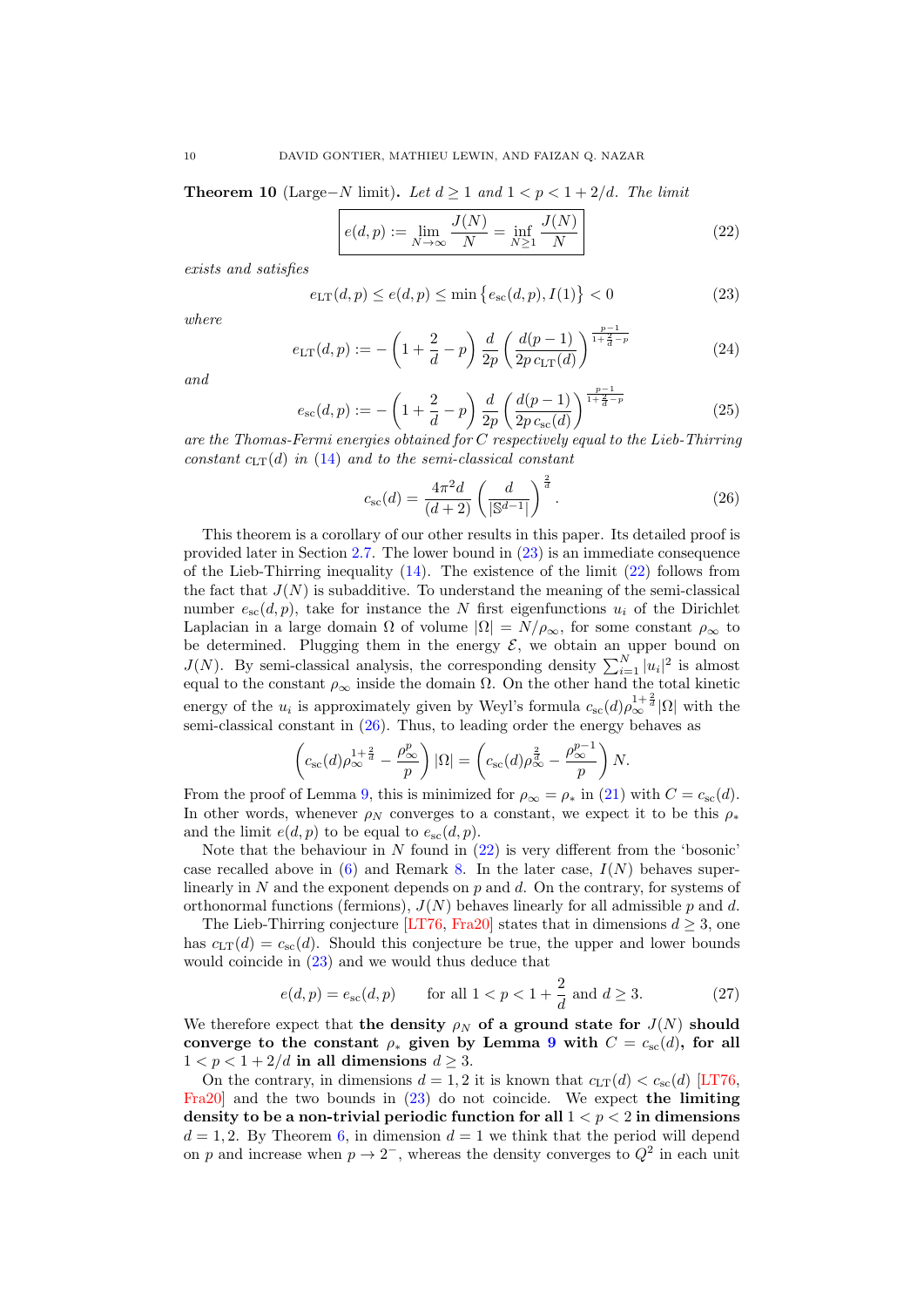<span id="page-9-3"></span>**Theorem 10** (Large–N limit). Let  $d \ge 1$  and  $1 < p < 1 + 2/d$ . The limit

<span id="page-9-1"></span>
$$
e(d, p) := \lim_{N \to \infty} \frac{J(N)}{N} = \inf_{N \ge 1} \frac{J(N)}{N}
$$
 (22)

exists and satisfies

<span id="page-9-0"></span>
$$
e_{\text{LT}}(d, p) \le e(d, p) \le \min\left\{e_{\text{sc}}(d, p), I(1)\right\} < 0\tag{23}
$$

where

<span id="page-9-4"></span>
$$
e_{\text{LT}}(d,p) := -\left(1 + \frac{2}{d} - p\right) \frac{d}{2p} \left(\frac{d(p-1)}{2p \, c_{\text{LT}}(d)}\right)^{\frac{p-1}{1 + \frac{2}{d} - p}} \tag{24}
$$

and

$$
e_{\rm sc}(d, p) := -\left(1 + \frac{2}{d} - p\right) \frac{d}{2p} \left(\frac{d(p-1)}{2p \, c_{\rm sc}(d)}\right)^{\frac{p-1}{1 + \frac{2}{d} - p}}
$$
(25)

are the Thomas-Fermi energies obtained for C respectively equal to the Lieb-Thirring constant  $c_{LT}(d)$  in [\(14\)](#page-5-0) and to the semi-classical constant

<span id="page-9-2"></span>
$$
c_{\rm sc}(d) = \frac{4\pi^2 d}{(d+2)} \left(\frac{d}{|\mathbb{S}^{d-1}|}\right)^{\frac{2}{d}}.
$$
 (26)

This theorem is a corollary of our other results in this paper. Its detailed proof is provided later in Section [2.7.](#page-26-0) The lower bound in [\(23\)](#page-9-0) is an immediate consequence of the Lieb-Thirring inequality  $(14)$ . The existence of the limit  $(22)$  follows from the fact that  $J(N)$  is subadditive. To understand the meaning of the semi-classical number  $e_{sc}(d, p)$ , take for instance the N first eigenfunctions  $u_i$  of the Dirichlet Laplacian in a large domain  $\Omega$  of volume  $|\Omega| = N/\rho_{\infty}$ , for some constant  $\rho_{\infty}$  to be determined. Plugging them in the energy  $\mathcal{E}$ , we obtain an upper bound on  $J(N)$ . By semi-classical analysis, the corresponding density  $\sum_{i=1}^{N} |u_i|^2$  is almost equal to the constant  $\rho_{\infty}$  inside the domain  $\Omega$ . On the other hand the total kinetic energy of the  $u_i$  is approximately given by Weyl's formula  $c_{\rm sc}(d)\rho_{\infty}^{1+\frac{2}{d}}|\Omega|$  with the semi-classical constant in [\(26\)](#page-9-2). Thus, to leading order the energy behaves as

$$
\left(c_{\rm sc}(d)\rho_{\infty}^{1+\frac{2}{d}}-\frac{\rho_{\infty}^p}{p}\right)|\Omega|=\left(c_{\rm sc}(d)\rho_{\infty}^{\frac{2}{d}}-\frac{\rho_{\infty}^{p-1}}{p}\right)N.
$$

From the proof of Lemma [9,](#page-8-0) this is minimized for  $\rho_{\infty} = \rho_*$  in [\(21\)](#page-8-2) with  $C = c_{\rm sc}(d)$ . In other words, whenever  $\rho_N$  converges to a constant, we expect it to be this  $\rho_*$ and the limit  $e(d, p)$  to be equal to  $e_{\rm sc}(d, p)$ .

Note that the behaviour in  $N$  found in  $(22)$  is very different from the 'bosonic' case recalled above in  $(6)$  and Remark [8.](#page-7-0) In the later case,  $I(N)$  behaves superlinearly in N and the exponent depends on  $p$  and  $d$ . On the contrary, for systems of orthonormal functions (fermions),  $J(N)$  behaves linearly for all admissible p and d.

The Lieb-Thirring conjecture [\[LT76,](#page-38-16) [Fra20\]](#page-37-6) states that in dimensions  $d \geq 3$ , one has  $c_{LT}(d) = c_{sc}(d)$ . Should this conjecture be true, the upper and lower bounds would coincide in [\(23\)](#page-9-0) and we would thus deduce that

$$
e(d, p) = e_{\rm sc}(d, p)
$$
 for all  $1 < p < 1 + \frac{2}{d}$  and  $d \ge 3$ . (27)

We therefore expect that the density  $\rho_N$  of a ground state for  $J(N)$  should converge to the constant  $\rho_*$  given by Lemma [9](#page-8-0) with  $C = c_{\rm sc}(d)$ , for all  $1 < p < 1 + 2/d$  in all dimensions  $d > 3$ .

On the contrary, in dimensions  $d = 1, 2$  it is known that  $c_{LT}(d) < c_{sc}(d)$  [\[LT76,](#page-38-16) [Fra20\]](#page-37-6) and the two bounds in [\(23\)](#page-9-0) do not coincide. We expect the limiting density to be a non-trivial periodic function for all  $1 < p < 2$  in dimensions  $d = 1, 2$ . By Theorem [6,](#page-4-0) in dimension  $d = 1$  we think that the period will depend on p and increase when  $p \to 2^-$ , whereas the density converges to  $Q^2$  in each unit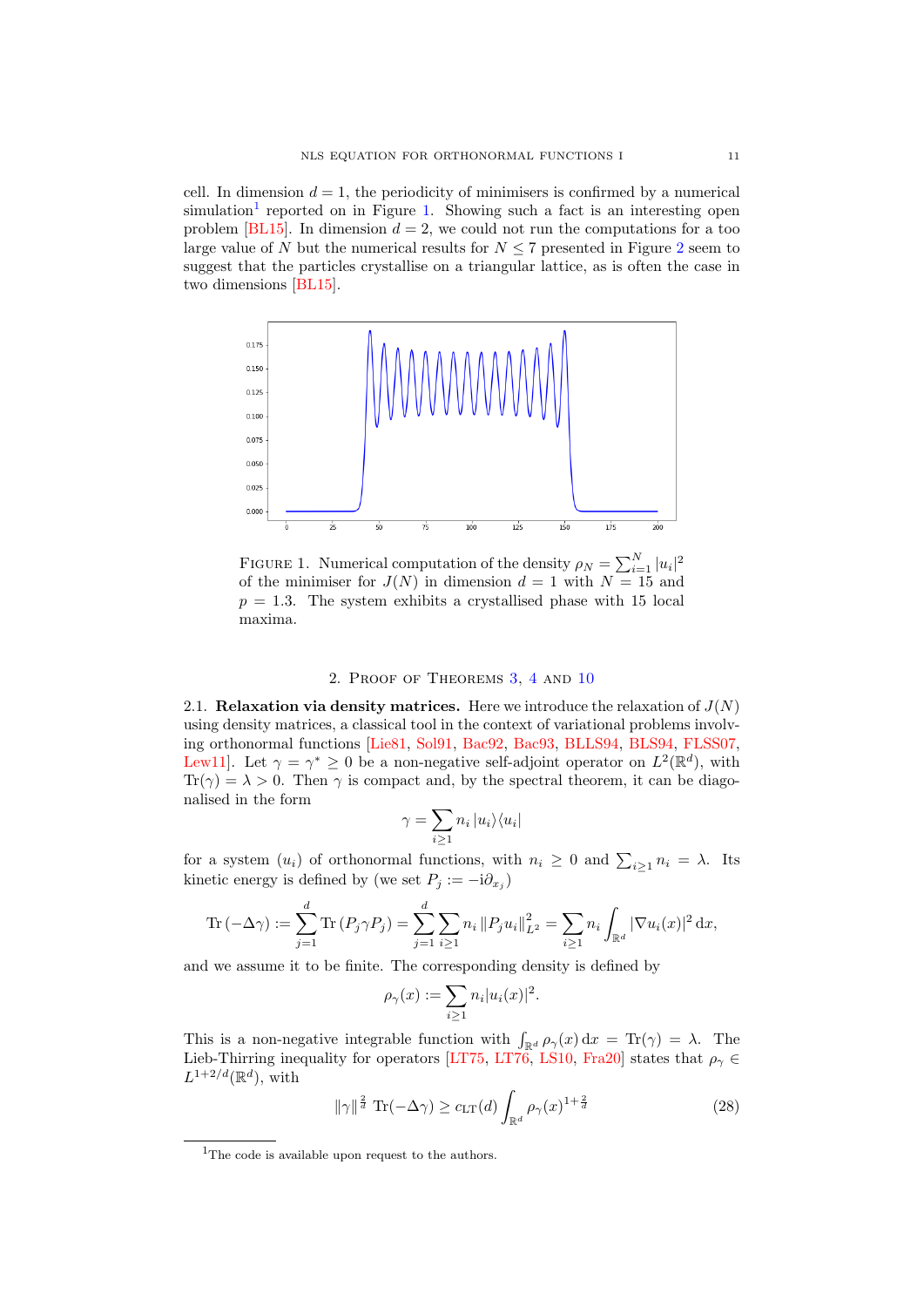cell. In dimension  $d = 1$ , the periodicity of minimisers is confirmed by a numerical simulation<sup>[1](#page-10-0)</sup> reported on in Figure [1.](#page-10-1) Showing such a fact is an interesting open problem [\[BL15\]](#page-36-14). In dimension  $d = 2$ , we could not run the computations for a too large value of N but the numerical results for  $N \leq 7$  presented in Figure [2](#page-11-0) seem to suggest that the particles crystallise on a triangular lattice, as is often the case in two dimensions [\[BL15\]](#page-36-14).

<span id="page-10-1"></span>

FIGURE 1. Numerical computation of the density  $\rho_N = \sum_{i=1}^N |u_i|^2$ of the minimiser for  $J(N)$  in dimension  $d = 1$  with  $N = 15$  and  $p = 1.3$ . The system exhibits a crystallised phase with 15 local maxima.

### 2. Proof of Theorems [3,](#page-3-3) [4](#page-4-1) and [10](#page-9-3)

2.1. Relaxation via density matrices. Here we introduce the relaxation of  $J(N)$ using density matrices, a classical tool in the context of variational problems involving orthonormal functions [\[Lie81,](#page-38-24) [Sol91,](#page-38-25) [Bac92,](#page-36-15) [Bac93,](#page-36-16) [BLLS94,](#page-36-17) [BLS94,](#page-36-18) [FLSS07,](#page-37-13) Lew11. Let  $\gamma = \gamma^* \geq 0$  be a non-negative self-adjoint operator on  $L^2(\mathbb{R}^d)$ , with  $Tr(\gamma) = \lambda > 0$ . Then  $\gamma$  is compact and, by the spectral theorem, it can be diagonalised in the form

$$
\gamma = \sum_{i \ge 1} n_i |u_i\rangle\langle u_i|
$$

for a system  $(u_i)$  of orthonormal functions, with  $n_i \geq 0$  and  $\sum_{i\geq 1} n_i = \lambda$ . Its kinetic energy is defined by (we set  $P_j := -\mathrm{i}\partial_{x_j}$ )

Tr 
$$
(-\Delta \gamma) := \sum_{j=1}^d \text{Tr}(P_j \gamma P_j) = \sum_{j=1}^d \sum_{i \ge 1} n_i ||P_j u_i||_{L^2}^2 = \sum_{i \ge 1} n_i \int_{\mathbb{R}^d} |\nabla u_i(x)|^2 dx,
$$

and we assume it to be finite. The corresponding density is defined by

$$
\rho_{\gamma}(x) := \sum_{i \geq 1} n_i |u_i(x)|^2.
$$

This is a non-negative integrable function with  $\int_{\mathbb{R}^d} \rho_{\gamma}(x) dx = \text{Tr}(\gamma) = \lambda$ . The Lieb-Thirring inequality for operators [\[LT75,](#page-38-17) [LT76,](#page-38-16) [LS10,](#page-38-12) [Fra20\]](#page-37-6) states that  $\rho_{\gamma} \in$  $L^{1+2/d}(\mathbb{R}^d)$ , with

<span id="page-10-2"></span>
$$
\|\gamma\|^{\frac{2}{d}} \operatorname{Tr}(-\Delta \gamma) \ge c_{\mathrm{LT}}(d) \int_{\mathbb{R}^d} \rho_\gamma(x)^{1+\frac{2}{d}} \tag{28}
$$

<span id="page-10-0"></span><sup>&</sup>lt;sup>1</sup>The code is available upon request to the authors.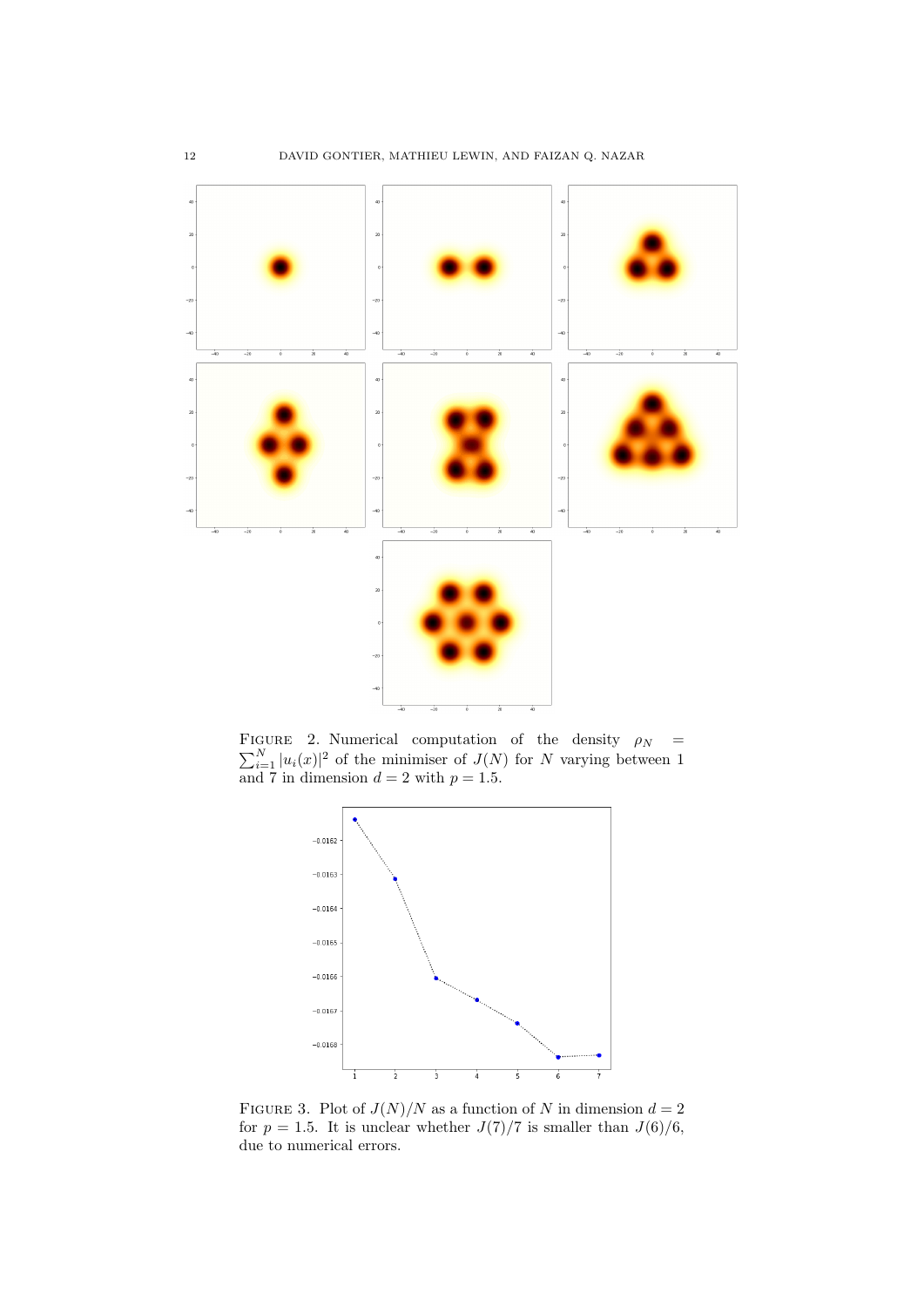<span id="page-11-0"></span>

 $\sum_{i=1}^{N} |u_i(x)|^2$  of the minimiser of  $J(N)$  for N varying between 1 FIGURE 2. Numerical computation of the density  $\rho_N$  = and 7 in dimension  $d = 2$  with  $p = 1.5$ .



FIGURE 3. Plot of  $J(N)/N$  as a function of N in dimension  $d=2$ for  $p = 1.5$ . It is unclear whether  $J(7)/7$  is smaller than  $J(6)/6$ , due to numerical errors.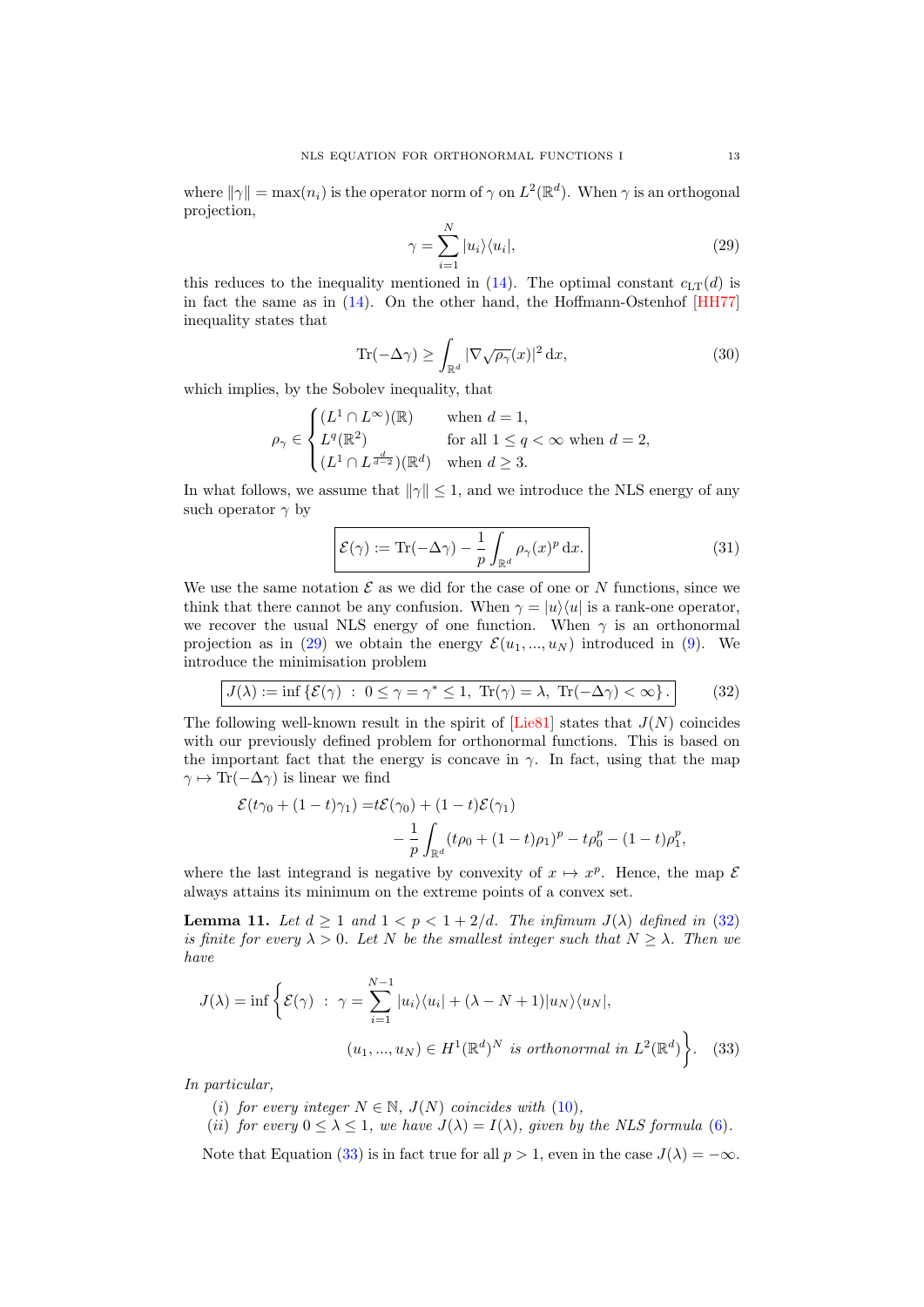where  $\|\gamma\| = \max(n_i)$  is the operator norm of  $\gamma$  on  $L^2(\mathbb{R}^d)$ . When  $\gamma$  is an orthogonal projection,

<span id="page-12-1"></span>
$$
\gamma = \sum_{i=1}^{N} |u_i\rangle\langle u_i|,\tag{29}
$$

this reduces to the inequality mentioned in  $(14)$ . The optimal constant  $c_{LT}(d)$  is in fact the same as in [\(14\)](#page-5-0). On the other hand, the Hoffmann-Ostenhof [\[HH77\]](#page-37-12) inequality states that

<span id="page-12-4"></span>
$$
\text{Tr}(-\Delta \gamma) \ge \int_{\mathbb{R}^d} |\nabla \sqrt{\rho_\gamma}(x)|^2 \, \mathrm{d}x,\tag{30}
$$

which implies, by the Sobolev inequality, that

$$
\rho_{\gamma} \in \begin{cases} (L^1 \cap L^{\infty})(\mathbb{R}) & \text{when } d = 1, \\ L^q(\mathbb{R}^2) & \text{for all } 1 \le q < \infty \text{ when } d = 2, \\ (L^1 \cap L^{\frac{d}{d-2}})(\mathbb{R}^d) & \text{when } d \ge 3. \end{cases}
$$

In what follows, we assume that  $\|\gamma\| \leq 1$ , and we introduce the NLS energy of any such operator  $\gamma$  by

<span id="page-12-5"></span>
$$
\mathcal{E}(\gamma) := \text{Tr}(-\Delta \gamma) - \frac{1}{p} \int_{\mathbb{R}^d} \rho_\gamma(x)^p dx.
$$
 (31)

We use the same notation  $\mathcal E$  as we did for the case of one or N functions, since we think that there cannot be any confusion. When  $\gamma = |u\rangle\langle u|$  is a rank-one operator, we recover the usual NLS energy of one function. When  $\gamma$  is an orthonormal projection as in [\(29\)](#page-12-1) we obtain the energy  $\mathcal{E}(u_1, ..., u_N)$  introduced in [\(9\)](#page-2-0). We introduce the minimisation problem

<span id="page-12-2"></span>
$$
J(\lambda) := \inf \{ \mathcal{E}(\gamma) \; : \; 0 \le \gamma = \gamma^* \le 1, \; \text{Tr}(\gamma) = \lambda, \; \text{Tr}(-\Delta \gamma) < \infty \} \, . \tag{32}
$$

The following well-known result in the spirit of  $[Lie81]$  states that  $J(N)$  coincides with our previously defined problem for orthonormal functions. This is based on the important fact that the energy is concave in  $\gamma$ . In fact, using that the map  $\gamma \mapsto \text{Tr}(-\Delta \gamma)$  is linear we find

$$
\mathcal{E}(t\gamma_0 + (1-t)\gamma_1) = t\mathcal{E}(\gamma_0) + (1-t)\mathcal{E}(\gamma_1) - \frac{1}{p} \int_{\mathbb{R}^d} (t\rho_0 + (1-t)\rho_1)^p - t\rho_0^p - (1-t)\rho_1^p,
$$

where the last integrand is negative by convexity of  $x \mapsto x^p$ . Hence, the map  $\mathcal E$ always attains its minimum on the extreme points of a convex set.

<span id="page-12-0"></span>**Lemma 11.** Let  $d \ge 1$  and  $1 < p < 1 + 2/d$ . The infimum  $J(\lambda)$  defined in [\(32\)](#page-12-2) is finite for every  $\lambda > 0$ . Let N be the smallest integer such that  $N \geq \lambda$ . Then we have

$$
J(\lambda) = \inf \left\{ \mathcal{E}(\gamma) \; : \; \gamma = \sum_{i=1}^{N-1} |u_i\rangle\langle u_i| + (\lambda - N + 1)|u_N\rangle\langle u_N|, \right. (u_1, ..., u_N) \in H^1(\mathbb{R}^d)^N \text{ is orthonormal in } L^2(\mathbb{R}^d) \right\}.
$$
 (33)

In particular,

- <span id="page-12-3"></span>(i) for every integer  $N \in \mathbb{N}$ ,  $J(N)$  coincides with [\(10\)](#page-3-4),
- (ii) for every  $0 \leq \lambda \leq 1$ , we have  $J(\lambda) = I(\lambda)$ , given by the NLS formula [\(6\)](#page-1-2).

Note that Equation [\(33\)](#page-12-3) is in fact true for all  $p > 1$ , even in the case  $J(\lambda) = -\infty$ .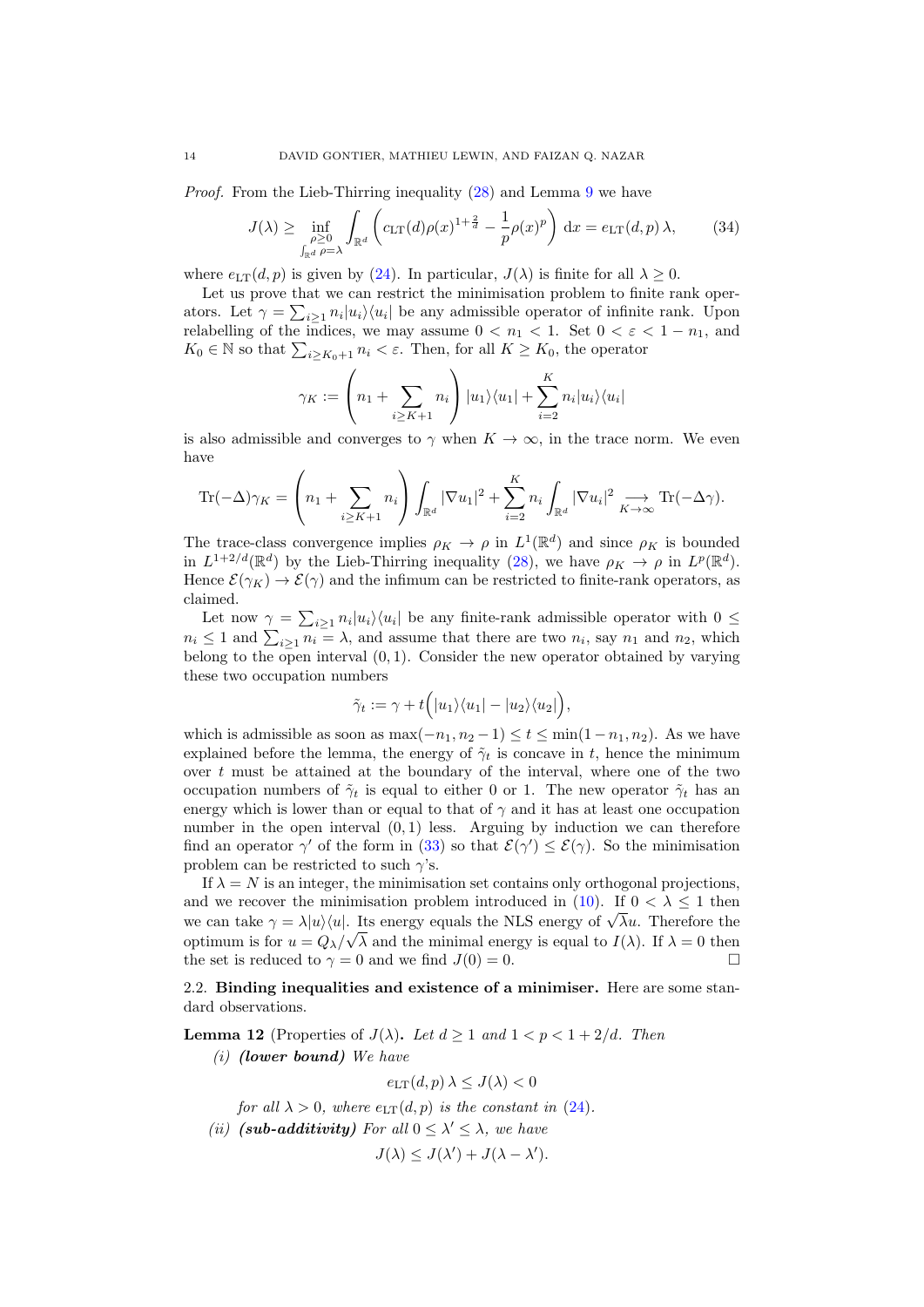Proof. From the Lieb-Thirring inequality [\(28\)](#page-10-2) and Lemma [9](#page-8-0) we have

<span id="page-13-0"></span>
$$
J(\lambda) \ge \inf_{\substack{\rho \ge 0 \\ \int_{\mathbb{R}^d} \rho = \lambda}} \int_{\mathbb{R}^d} \left( c_{\text{LT}}(d) \rho(x)^{1 + \frac{2}{d}} - \frac{1}{p} \rho(x)^p \right) dx = e_{\text{LT}}(d, p) \lambda, \tag{34}
$$

where  $e_{LT}(d, p)$  is given by [\(24\)](#page-9-4). In particular,  $J(\lambda)$  is finite for all  $\lambda > 0$ .

Let us prove that we can restrict the minimisation problem to finite rank operators. Let  $\gamma = \sum_{i \geq 1} n_i |u_i\rangle\langle u_i|$  be any admissible operator of infinite rank. Upon relabelling of the indices, we may assume  $0 < n_1 < 1$ . Set  $0 < \varepsilon < 1 - n_1$ , and  $K_0 \in \mathbb{N}$  so that  $\sum_{i \geq K_0+1} n_i < \varepsilon$ . Then, for all  $K \geq K_0$ , the operator

$$
\gamma_K := \left(n_1 + \sum_{i \ge K+1} n_i\right) |u_1\rangle\langle u_1| + \sum_{i=2}^K n_i |u_i\rangle\langle u_i|
$$

is also admissible and converges to  $\gamma$  when  $K \to \infty$ , in the trace norm. We even have

$$
\text{Tr}(-\Delta)\gamma_K = \left(n_1 + \sum_{i \geq K+1} n_i\right) \int_{\mathbb{R}^d} |\nabla u_1|^2 + \sum_{i=2}^K n_i \int_{\mathbb{R}^d} |\nabla u_i|^2 \underset{K \to \infty}{\longrightarrow} \text{Tr}(-\Delta \gamma).
$$

The trace-class convergence implies  $\rho_K \to \rho$  in  $L^1(\mathbb{R}^d)$  and since  $\rho_K$  is bounded in  $L^{1+2/d}(\mathbb{R}^d)$  by the Lieb-Thirring inequality [\(28\)](#page-10-2), we have  $\rho_K \to \rho$  in  $L^p(\mathbb{R}^d)$ . Hence  $\mathcal{E}(\gamma_K) \to \mathcal{E}(\gamma)$  and the infimum can be restricted to finite-rank operators, as claimed.

Let now  $\gamma = \sum_{i\geq 1} n_i |u_i\rangle\langle u_i|$  be any finite-rank admissible operator with  $0 \leq$  $n_i \leq 1$  and  $\sum_{i \geq 1} n_i = \lambda$ , and assume that there are two  $n_i$ , say  $n_1$  and  $n_2$ , which belong to the open interval  $(0, 1)$ . Consider the new operator obtained by varying these two occupation numbers

$$
\tilde{\gamma}_t := \gamma + t \Big( |u_1\rangle\langle u_1| - |u_2\rangle\langle u_2| \Big),
$$

which is admissible as soon as  $\max(-n_1, n_2 - 1) \le t \le \min(1 - n_1, n_2)$ . As we have explained before the lemma, the energy of  $\tilde{\gamma}_t$  is concave in t, hence the minimum over  $t$  must be attained at the boundary of the interval, where one of the two occupation numbers of  $\tilde{\gamma}_t$  is equal to either 0 or 1. The new operator  $\tilde{\gamma}_t$  has an energy which is lower than or equal to that of  $\gamma$  and it has at least one occupation number in the open interval  $(0, 1)$  less. Arguing by induction we can therefore find an operator  $\gamma'$  of the form in [\(33\)](#page-12-3) so that  $\mathcal{E}(\gamma') \leq \mathcal{E}(\gamma)$ . So the minimisation problem can be restricted to such  $\gamma$ 's.

If  $\lambda = N$  is an integer, the minimisation set contains only orthogonal projections, and we recover the minimisation problem introduced in [\(10\)](#page-3-4). If  $0 < \lambda \leq 1$  then we can take  $\gamma = \lambda |u\rangle\langle u|$ . Its energy equals the NLS energy of  $\sqrt{\lambda}u$ . Therefore the optimum is for  $u = Q_{\lambda}/\sqrt{\lambda}$  and the minimal energy is equal to  $I(\lambda)$ . If  $\lambda = 0$  then the set is reduced to  $\gamma = 0$  and we find  $J(0) = 0$ .

2.2. Binding inequalities and existence of a minimiser. Here are some standard observations.

<span id="page-13-1"></span>**Lemma 12** (Properties of  $J(\lambda)$ . Let  $d > 1$  and  $1 < p < 1 + 2/d$ . Then  $(i)$  (lower bound) We have

$$
e_{\text{LT}}(d, p) \lambda \leq J(\lambda) < 0
$$

for all  $\lambda > 0$ , where  $e_{LT}(d, p)$  is the constant in [\(24\)](#page-9-4).

(ii) (sub-additivity) For all  $0 \leq \lambda' \leq \lambda$ , we have

$$
J(\lambda) \leq J(\lambda') + J(\lambda - \lambda').
$$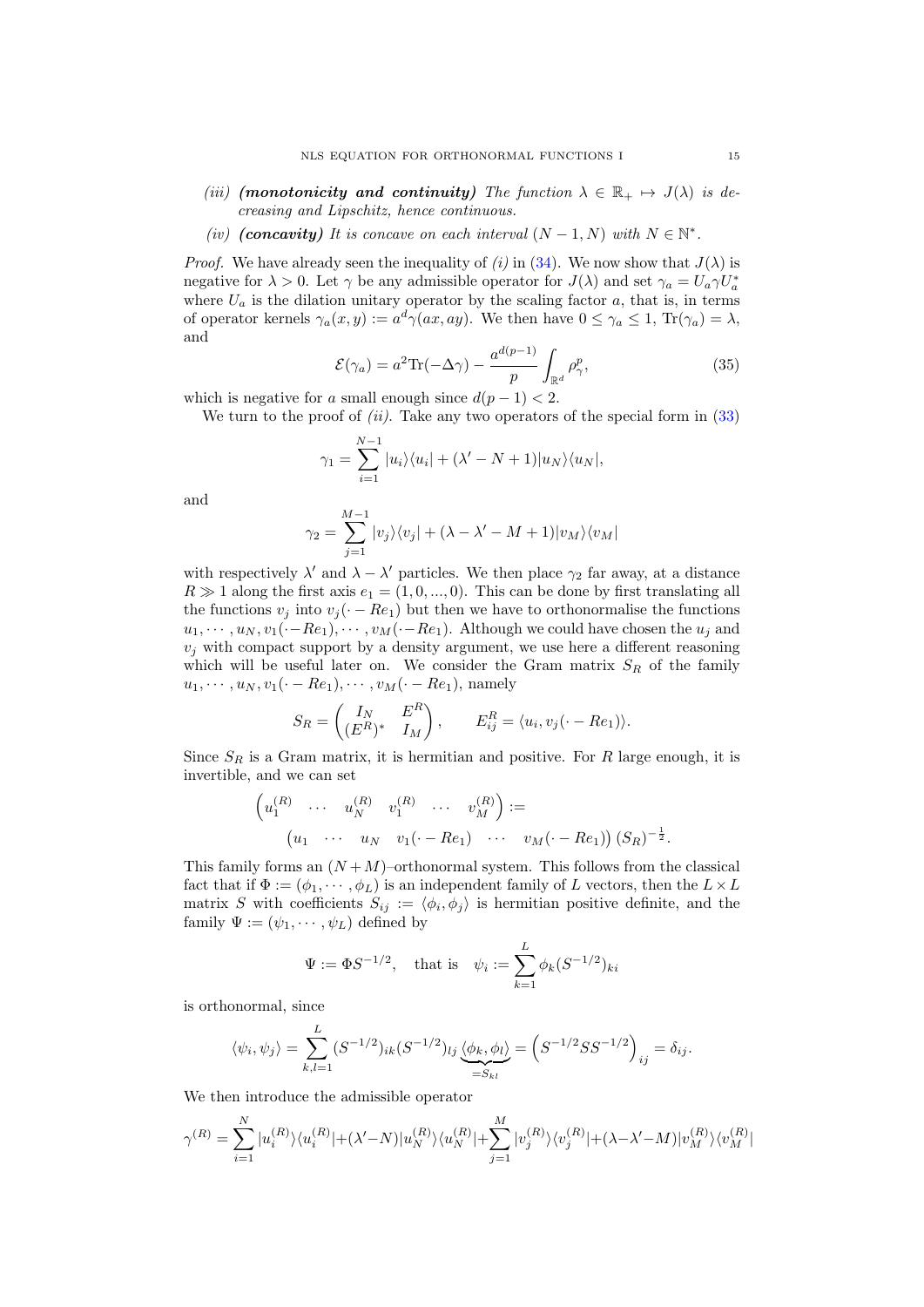- (iii) (monotonicity and continuity) The function  $\lambda \in \mathbb{R}_+ \mapsto J(\lambda)$  is decreasing and Lipschitz, hence continuous.
- (iv) (concavity) It is concave on each interval  $(N-1, N)$  with  $N \in \mathbb{N}^*$ .

*Proof.* We have already seen the inequality of (i) in [\(34\)](#page-13-0). We now show that  $J(\lambda)$  is negative for  $\lambda > 0$ . Let  $\gamma$  be any admissible operator for  $J(\lambda)$  and set  $\gamma_a = U_a \gamma U_a^*$ where  $U_a$  is the dilation unitary operator by the scaling factor  $a$ , that is, in terms of operator kernels  $\gamma_a(x, y) := a^d \gamma(ax, ay)$ . We then have  $0 \leq \gamma_a \leq 1$ ,  $\text{Tr}(\gamma_a) = \lambda$ , and

<span id="page-14-0"></span>
$$
\mathcal{E}(\gamma_a) = a^2 \text{Tr}(-\Delta \gamma) - \frac{a^{d(p-1)}}{p} \int_{\mathbb{R}^d} \rho_\gamma^p,\tag{35}
$$

which is negative for a small enough since  $d(p-1) < 2$ .

We turn to the proof of  $(ii)$ . Take any two operators of the special form in  $(33)$ 

$$
\gamma_1 = \sum_{i=1}^{N-1} |u_i\rangle\langle u_i| + (\lambda' - N + 1)|u_N\rangle\langle u_N|,
$$

and

$$
\gamma_2 = \sum_{j=1}^{M-1} |v_j\rangle\langle v_j| + (\lambda - \lambda' - M + 1)|v_M\rangle\langle v_M|
$$

with respectively  $\lambda'$  and  $\lambda - \lambda'$  particles. We then place  $\gamma_2$  far away, at a distance  $R \gg 1$  along the first axis  $e_1 = (1, 0, ..., 0)$ . This can be done by first translating all the functions  $v_j$  into  $v_j(\cdot - Re_1)$  but then we have to orthonormalise the functions  $u_1, \dots, u_N, v_1(\cdot-Re_1), \dots, v_M(\cdot-Re_1)$ . Although we could have chosen the  $u_j$  and  $v_i$  with compact support by a density argument, we use here a different reasoning which will be useful later on. We consider the Gram matrix  $S_R$  of the family  $u_1, \dots, u_N, v_1(\cdot - Re_1), \dots, v_M(\cdot - Re_1)$ , namely

$$
S_R = \begin{pmatrix} I_N & E^R \\ (E^R)^* & I_M \end{pmatrix}, \qquad E^R_{ij} = \langle u_i, v_j(\cdot - Re_1) \rangle.
$$

Since  $S_R$  is a Gram matrix, it is hermitian and positive. For R large enough, it is invertible, and we can set

$$
\begin{pmatrix} u_1^{(R)} & \cdots & u_N^{(R)} & v_1^{(R)} & \cdots & v_M^{(R)} \end{pmatrix} :=
$$
  
\n
$$
\begin{pmatrix} u_1 & \cdots & u_N & v_1(\cdot - Re_1) & \cdots & v_M(\cdot - Re_1) \end{pmatrix} (S_R)^{-\frac{1}{2}}.
$$

This family forms an  $(N + M)$ –orthonormal system. This follows from the classical fact that if  $\Phi := (\phi_1, \dots, \phi_L)$  is an independent family of L vectors, then the  $L \times L$ matrix S with coefficients  $S_{ij} := \langle \phi_i, \phi_j \rangle$  is hermitian positive definite, and the family  $\Psi := (\psi_1, \cdots, \psi_L)$  defined by

$$
\Psi := \Phi S^{-1/2}
$$
, that is  $\psi_i := \sum_{k=1}^L \phi_k (S^{-1/2})_{ki}$ 

is orthonormal, since

$$
\langle \psi_i, \psi_j \rangle = \sum_{k,l=1}^L (S^{-1/2})_{ik} (S^{-1/2})_{lj} \underbrace{\langle \phi_k, \phi_l \rangle}_{=S_{kl}} = \left( S^{-1/2} S S^{-1/2} \right)_{ij} = \delta_{ij}.
$$

We then introduce the admissible operator

$$
\gamma^{(R)} = \sum_{i=1}^N |u_i^{(R)}\rangle \langle u_i^{(R)}| + (\lambda' - N)|u_N^{(R)}\rangle \langle u_N^{(R)}| + \sum_{j=1}^M |v_j^{(R)}\rangle \langle v_j^{(R)}| + (\lambda - \lambda' - M)|v_M^{(R)}\rangle \langle v_M^{(R)}|
$$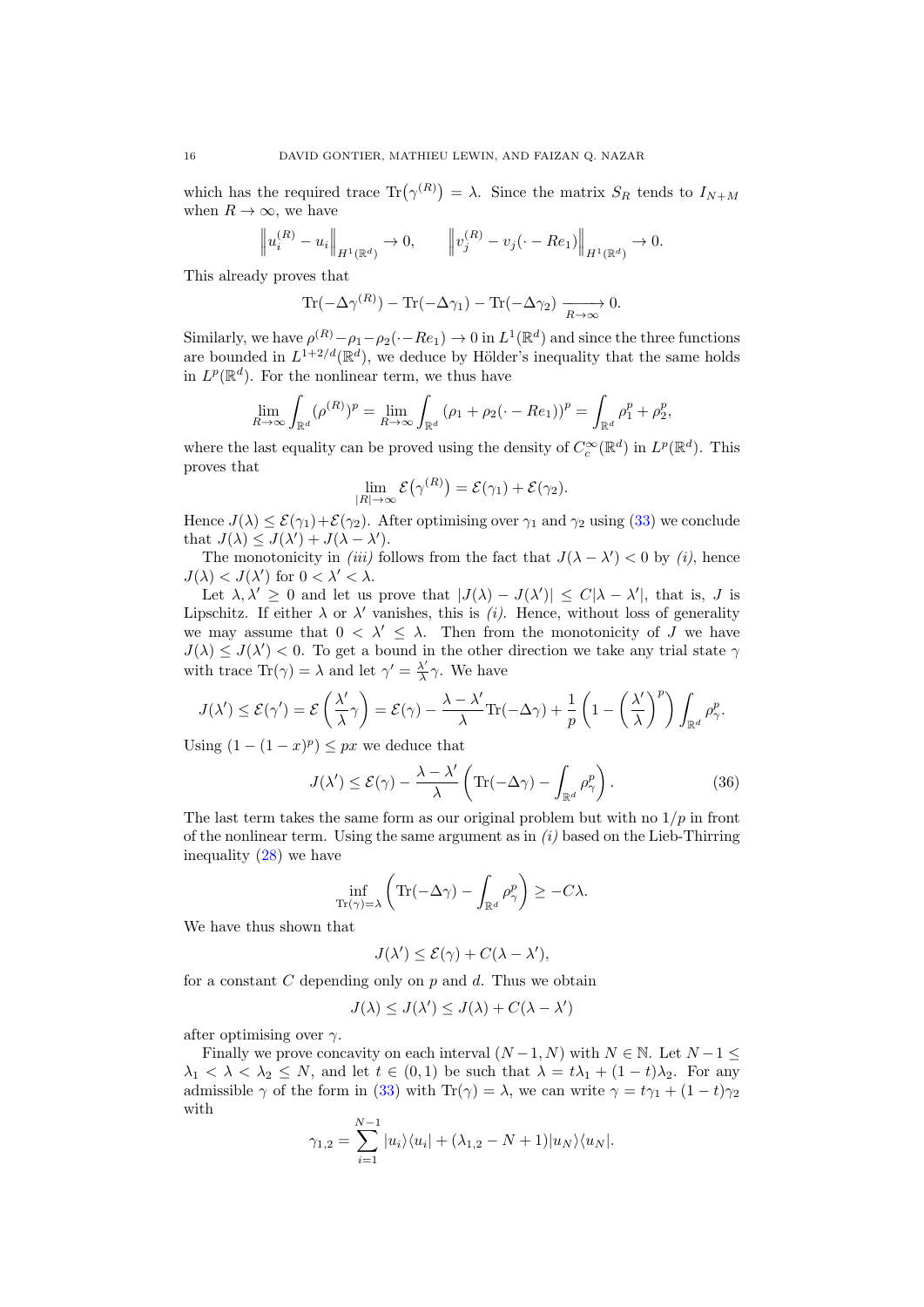which has the required trace  $\text{Tr}(\gamma^{(R)}) = \lambda$ . Since the matrix  $S_R$  tends to  $I_{N+M}$ when  $R \to \infty$ , we have

$$
\|u_i^{(R)} - u_i\|_{H^1(\mathbb{R}^d)} \to 0, \qquad \|v_j^{(R)} - v_j(\cdot - Re_1)\|_{H^1(\mathbb{R}^d)} \to 0.
$$

This already proves that

$$
\operatorname{Tr}(-\Delta \gamma^{(R)}) - \operatorname{Tr}(-\Delta \gamma_1) - \operatorname{Tr}(-\Delta \gamma_2) \xrightarrow[R \to \infty]{} 0.
$$

Similarly, we have  $\rho^{(R)} - \rho_1 - \rho_2(\cdot - Re_1) \to 0$  in  $L^1(\mathbb{R}^d)$  and since the three functions are bounded in  $L^{1+2/d}(\mathbb{R}^d)$ , we deduce by Hölder's inequality that the same holds in  $L^p(\mathbb{R}^d)$ . For the nonlinear term, we thus have

$$
\lim_{R \to \infty} \int_{\mathbb{R}^d} (\rho^{(R)})^p = \lim_{R \to \infty} \int_{\mathbb{R}^d} (\rho_1 + \rho_2(\cdot - Re_1))^p = \int_{\mathbb{R}^d} \rho_1^p + \rho_2^p,
$$

where the last equality can be proved using the density of  $C_c^{\infty}(\mathbb{R}^d)$  in  $L^p(\mathbb{R}^d)$ . This proves that

$$
\lim_{|R|\to\infty} \mathcal{E}(\gamma^{(R)}) = \mathcal{E}(\gamma_1) + \mathcal{E}(\gamma_2).
$$

Hence  $J(\lambda) \leq \mathcal{E}(\gamma_1) + \mathcal{E}(\gamma_2)$ . After optimising over  $\gamma_1$  and  $\gamma_2$  using [\(33\)](#page-12-3) we conclude that  $J(\lambda) \leq J(\lambda') + J(\lambda - \lambda')$ .

The monotonicity in *(iii)* follows from the fact that  $J(\lambda - \lambda') < 0$  by *(i)*, hence  $J(\lambda) < J(\lambda')$  for  $0 < \lambda' < \lambda$ .

Let  $\lambda, \lambda' \geq 0$  and let us prove that  $|J(\lambda) - J(\lambda')| \leq C|\lambda - \lambda'|$ , that is, J is Lipschitz. If either  $\lambda$  or  $\lambda'$  vanishes, this is (i). Hence, without loss of generality we may assume that  $0 < \lambda' \leq \lambda$ . Then from the monotonicity of J we have  $J(\lambda) \leq J(\lambda') < 0$ . To get a bound in the other direction we take any trial state  $\gamma$ with trace  $\text{Tr}(\gamma) = \lambda$  and let  $\gamma' = \frac{\lambda'}{\lambda}$  $\frac{\lambda'}{\lambda}\gamma$ . We have

$$
J(\lambda') \leq \mathcal{E}(\gamma') = \mathcal{E}\left(\frac{\lambda'}{\lambda}\gamma\right) = \mathcal{E}(\gamma) - \frac{\lambda - \lambda'}{\lambda}\text{Tr}(-\Delta\gamma) + \frac{1}{p}\left(1 - \left(\frac{\lambda'}{\lambda}\right)^p\right)\int_{\mathbb{R}^d} \rho_\gamma^p.
$$

Using  $(1 - (1 - x)^p) \le px$  we deduce that

$$
J(\lambda') \le \mathcal{E}(\gamma) - \frac{\lambda - \lambda'}{\lambda} \left( \text{Tr}(-\Delta \gamma) - \int_{\mathbb{R}^d} \rho_\gamma^p \right). \tag{36}
$$

The last term takes the same form as our original problem but with no  $1/p$  in front of the nonlinear term. Using the same argument as in  $(i)$  based on the Lieb-Thirring inequality [\(28\)](#page-10-2) we have

$$
\inf_{\mathrm{Tr}(\gamma)=\lambda} \left( \mathrm{Tr}(-\Delta \gamma) - \int_{\mathbb{R}^d} \rho_\gamma^p \right) \geq -C\lambda.
$$

We have thus shown that

$$
J(\lambda') \leq \mathcal{E}(\gamma) + C(\lambda - \lambda'),
$$

for a constant  $C$  depending only on  $p$  and  $d$ . Thus we obtain

$$
J(\lambda) \leq J(\lambda') \leq J(\lambda) + C(\lambda - \lambda')
$$

after optimising over  $\gamma$ .

Finally we prove concavity on each interval  $(N-1, N)$  with  $N \in \mathbb{N}$ . Let  $N-1 \leq$  $\lambda_1 < \lambda < \lambda_2 \leq N$ , and let  $t \in (0,1)$  be such that  $\lambda = t\lambda_1 + (1-t)\lambda_2$ . For any admissible  $\gamma$  of the form in [\(33\)](#page-12-3) with Tr( $\gamma$ ) =  $\lambda$ , we can write  $\gamma = t\gamma_1 + (1 - t)\gamma_2$ with

$$
\gamma_{1,2} = \sum_{i=1}^{N-1} |u_i\rangle\langle u_i| + (\lambda_{1,2} - N + 1)|u_N\rangle\langle u_N|.
$$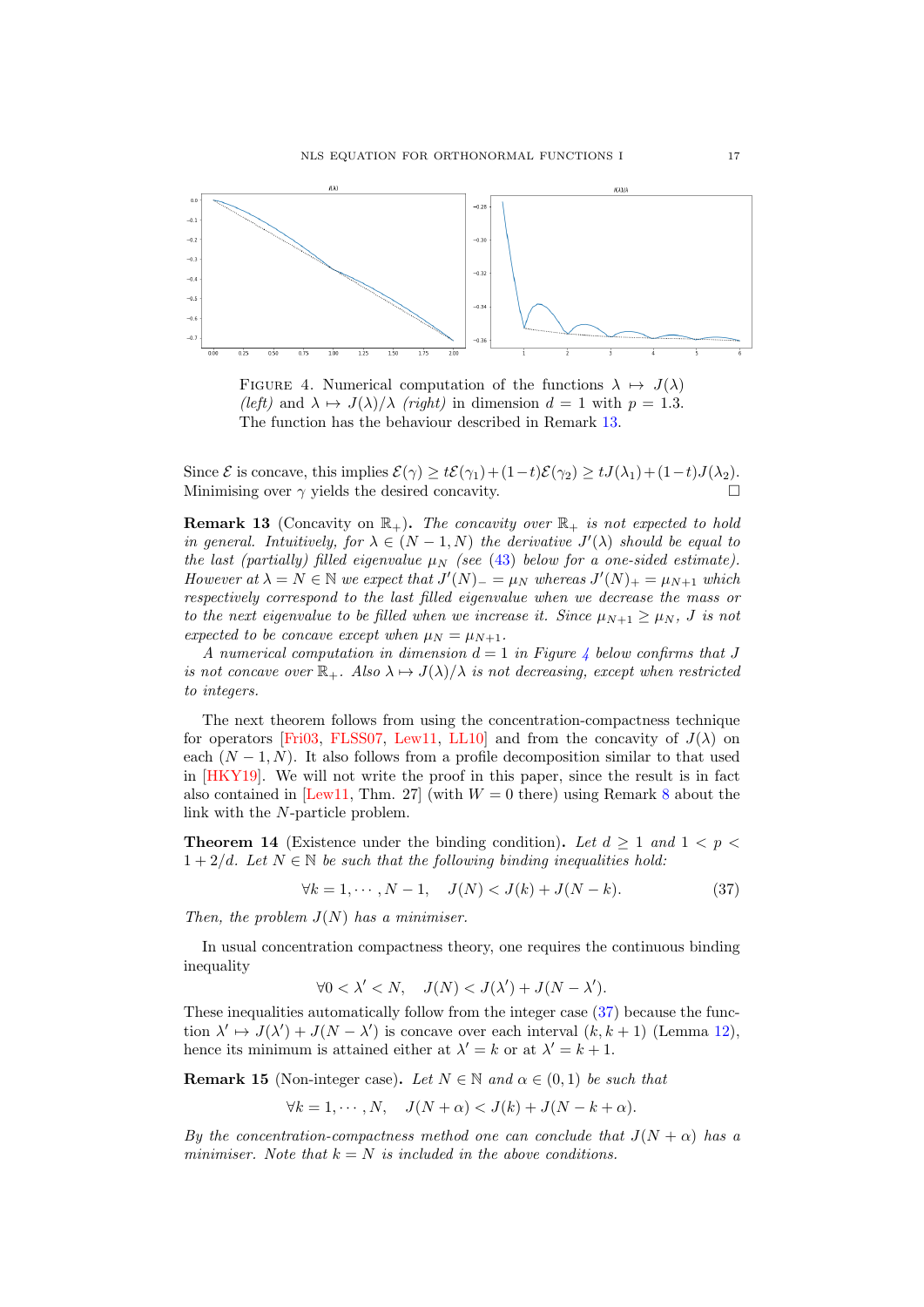<span id="page-16-2"></span>

FIGURE 4. Numerical computation of the functions  $\lambda \mapsto J(\lambda)$ (left) and  $\lambda \mapsto J(\lambda)/\lambda$  (right) in dimension  $d = 1$  with  $p = 1.3$ . The function has the behaviour described in Remark [13.](#page-16-1)

Since  $\mathcal E$  is concave, this implies  $\mathcal E(\gamma) \geq t\mathcal E(\gamma_1) + (1-t)\mathcal E(\gamma_2) \geq tJ(\lambda_1) + (1-t)J(\lambda_2)$ . Minimising over  $\gamma$  yields the desired concavity.

<span id="page-16-1"></span>**Remark 13** (Concavity on  $\mathbb{R}_+$ ). The concavity over  $\mathbb{R}_+$  is not expected to hold in general. Intuitively, for  $\lambda \in (N-1,N)$  the derivative  $J'(\lambda)$  should be equal to the last (partially) filled eigenvalue  $\mu$ <sub>N</sub> (see [\(43\)](#page-18-0) below for a one-sided estimate). However at  $\lambda = N \in \mathbb{N}$  we expect that  $J'(N) = \mu_N$  whereas  $J'(N)_+ = \mu_{N+1}$  which respectively correspond to the last filled eigenvalue when we decrease the mass or to the next eigenvalue to be filled when we increase it. Since  $\mu_{N+1} \geq \mu_N$ , J is not expected to be concave except when  $\mu_N = \mu_{N+1}$ .

A numerical computation in dimension  $d = 1$  in Figure [4](#page-16-2) below confirms that J is not concave over  $\mathbb{R}_+$ . Also  $\lambda \mapsto J(\lambda)/\lambda$  is not decreasing, except when restricted to integers.

The next theorem follows from using the concentration-compactness technique for operators [\[Fri03,](#page-37-14) [FLSS07,](#page-37-13) [Lew11,](#page-38-14) [LL10\]](#page-38-26) and from the concavity of  $J(\lambda)$  on each  $(N-1, N)$ . It also follows from a profile decomposition similar to that used in [\[HKY19\]](#page-37-4). We will not write the proof in this paper, since the result is in fact also contained in [\[Lew11,](#page-38-14) Thm. 27] (with  $W = 0$  there) using Remark [8](#page-7-0) about the link with the N-particle problem.

<span id="page-16-0"></span>**Theorem 14** (Existence under the binding condition). Let  $d \geq 1$  and  $1 < p <$  $1 + 2/d$ . Let  $N \in \mathbb{N}$  be such that the following binding inequalities hold:

<span id="page-16-3"></span>
$$
\forall k = 1, \cdots, N - 1, \quad J(N) < J(k) + J(N - k). \tag{37}
$$

Then, the problem  $J(N)$  has a minimiser.

In usual concentration compactness theory, one requires the continuous binding inequality

$$
\forall 0 < \lambda' < N, \quad J(N) < J(\lambda') + J(N - \lambda').
$$

These inequalities automatically follow from the integer case [\(37\)](#page-16-3) because the function  $\lambda' \mapsto J(\lambda') + J(N - \lambda')$  is concave over each interval  $(k, k + 1)$  (Lemma [12\)](#page-13-1), hence its minimum is attained either at  $\lambda' = k$  or at  $\lambda' = k + 1$ .

<span id="page-16-4"></span>**Remark 15** (Non-integer case). Let  $N \in \mathbb{N}$  and  $\alpha \in (0,1)$  be such that

 $\forall k = 1, \cdots, N, \quad J(N + \alpha) < J(k) + J(N - k + \alpha).$ 

By the concentration-compactness method one can conclude that  $J(N + \alpha)$  has a minimiser. Note that  $k = N$  is included in the above conditions.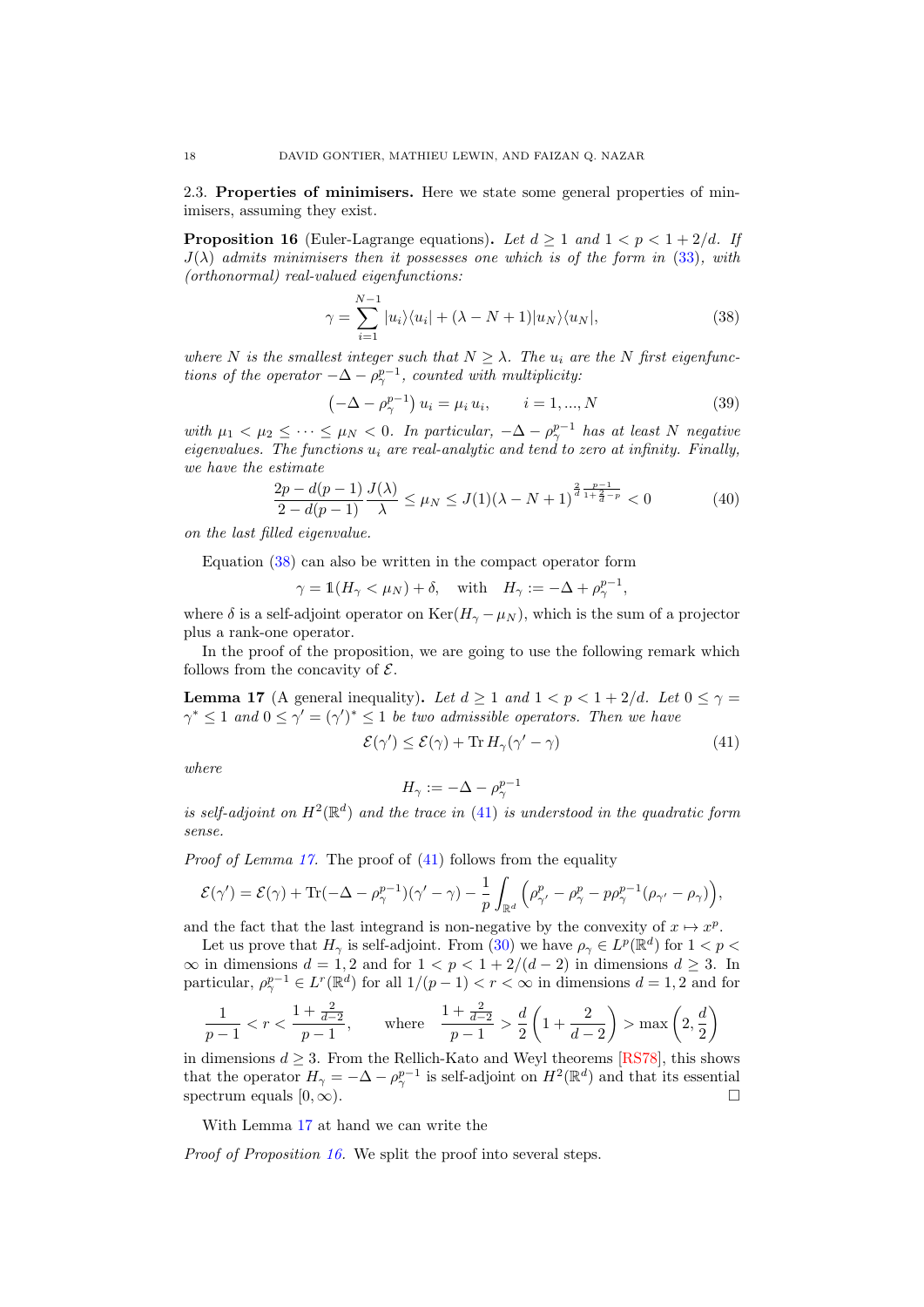2.3. Properties of minimisers. Here we state some general properties of minimisers, assuming they exist.

<span id="page-17-0"></span>**Proposition 16** (Euler-Lagrange equations). Let  $d \geq 1$  and  $1 < p < 1 + 2/d$ . If  $J(\lambda)$  admits minimisers then it possesses one which is of the form in [\(33\)](#page-12-3), with (orthonormal) real-valued eigenfunctions:

<span id="page-17-1"></span>
$$
\gamma = \sum_{i=1}^{N-1} |u_i\rangle\langle u_i| + (\lambda - N + 1)|u_N\rangle\langle u_N|,
$$
\n(38)

where N is the smallest integer such that  $N \geq \lambda$ . The  $u_i$  are the N first eigenfunctions of the operator  $-\Delta - \rho_{\gamma}^{p-1}$ , counted with multiplicity.

<span id="page-17-5"></span>
$$
\left(-\Delta - \rho_{\gamma}^{p-1}\right)u_i = \mu_i u_i, \qquad i = 1, ..., N
$$
\n(39)

with  $\mu_1 < \mu_2 \leq \cdots \leq \mu_N < 0$ . In particular,  $-\Delta - \rho_{\gamma}^{p-1}$  has at least N negative eigenvalues. The functions  $u_i$  are real-analytic and tend to zero at infinity. Finally, we have the estimate

<span id="page-17-4"></span>
$$
\frac{2p - d(p-1)}{2 - d(p-1)} \frac{J(\lambda)}{\lambda} \le \mu_N \le J(1)(\lambda - N + 1)^{\frac{2}{d} \frac{p-1}{1 + \frac{2}{d} - p}} < 0 \tag{40}
$$

on the last filled eigenvalue.

Equation [\(38\)](#page-17-1) can also be written in the compact operator form

 $\gamma = \mathbb{1}(H_{\gamma} < \mu_N) + \delta, \quad \text{with} \quad H_{\gamma} := -\Delta + \rho_{\gamma}^{p-1},$ 

where  $\delta$  is a self-adjoint operator on Ker( $H_{\gamma} - \mu_N$ ), which is the sum of a projector plus a rank-one operator.

In the proof of the proposition, we are going to use the following remark which follows from the concavity of  $\mathcal{E}$ .

<span id="page-17-3"></span>**Lemma 17** (A general inequality). Let  $d \ge 1$  and  $1 < p < 1 + 2/d$ . Let  $0 \le \gamma =$  $\gamma^* \leq 1$  and  $0 \leq \gamma' = (\gamma')^* \leq 1$  be two admissible operators. Then we have

<span id="page-17-2"></span>
$$
\mathcal{E}(\gamma') \le \mathcal{E}(\gamma) + \text{Tr}\, H_{\gamma}(\gamma' - \gamma) \tag{41}
$$

where

$$
H_{\gamma} := -\Delta - \rho_{\gamma}^{p-1}
$$

is self-adjoint on  $H^2(\mathbb{R}^d)$  and the trace in [\(41\)](#page-17-2) is understood in the quadratic form sense.

Proof of Lemma [17.](#page-17-3) The proof of [\(41\)](#page-17-2) follows from the equality

$$
\mathcal{E}(\gamma') = \mathcal{E}(\gamma) + \text{Tr}(-\Delta - \rho_{\gamma}^{p-1})(\gamma' - \gamma) - \frac{1}{p} \int_{\mathbb{R}^d} \left( \rho_{\gamma'}^p - \rho_{\gamma}^p - p\rho_{\gamma'}^{p-1}(\rho_{\gamma'} - \rho_{\gamma}) \right),
$$

and the fact that the last integrand is non-negative by the convexity of  $x \mapsto x^p$ .

Let us prove that  $H_{\gamma}$  is self-adjoint. From [\(30\)](#page-12-4) we have  $\rho_{\gamma} \in L^p(\mathbb{R}^d)$  for  $1 < p <$  $\infty$  in dimensions  $d = 1, 2$  and for  $1 < p < 1 + 2/(d - 2)$  in dimensions  $d \geq 3$ . In particular,  $\rho^{p-1}_{\gamma} \in L^r(\mathbb{R}^d)$  for all  $1/(p-1) < r < \infty$  in dimensions  $d = 1, 2$  and for

$$
\frac{1}{p-1} < r < \frac{1 + \frac{2}{d-2}}{p-1}, \qquad \text{where} \quad \frac{1 + \frac{2}{d-2}}{p-1} > \frac{d}{2} \left( 1 + \frac{2}{d-2} \right) > \max \left( 2, \frac{d}{2} \right)
$$

in dimensions  $d \geq 3$ . From the Rellich-Kato and Weyl theorems [\[RS78\]](#page-38-7), this shows that the operator  $H_{\gamma} = -\Delta - \rho_{\gamma}^{p-1}$  is self-adjoint on  $H^2(\mathbb{R}^d)$  and that its essential spectrum equals  $[0, \infty)$ .

With Lemma [17](#page-17-3) at hand we can write the

Proof of Proposition [16.](#page-17-0) We split the proof into several steps.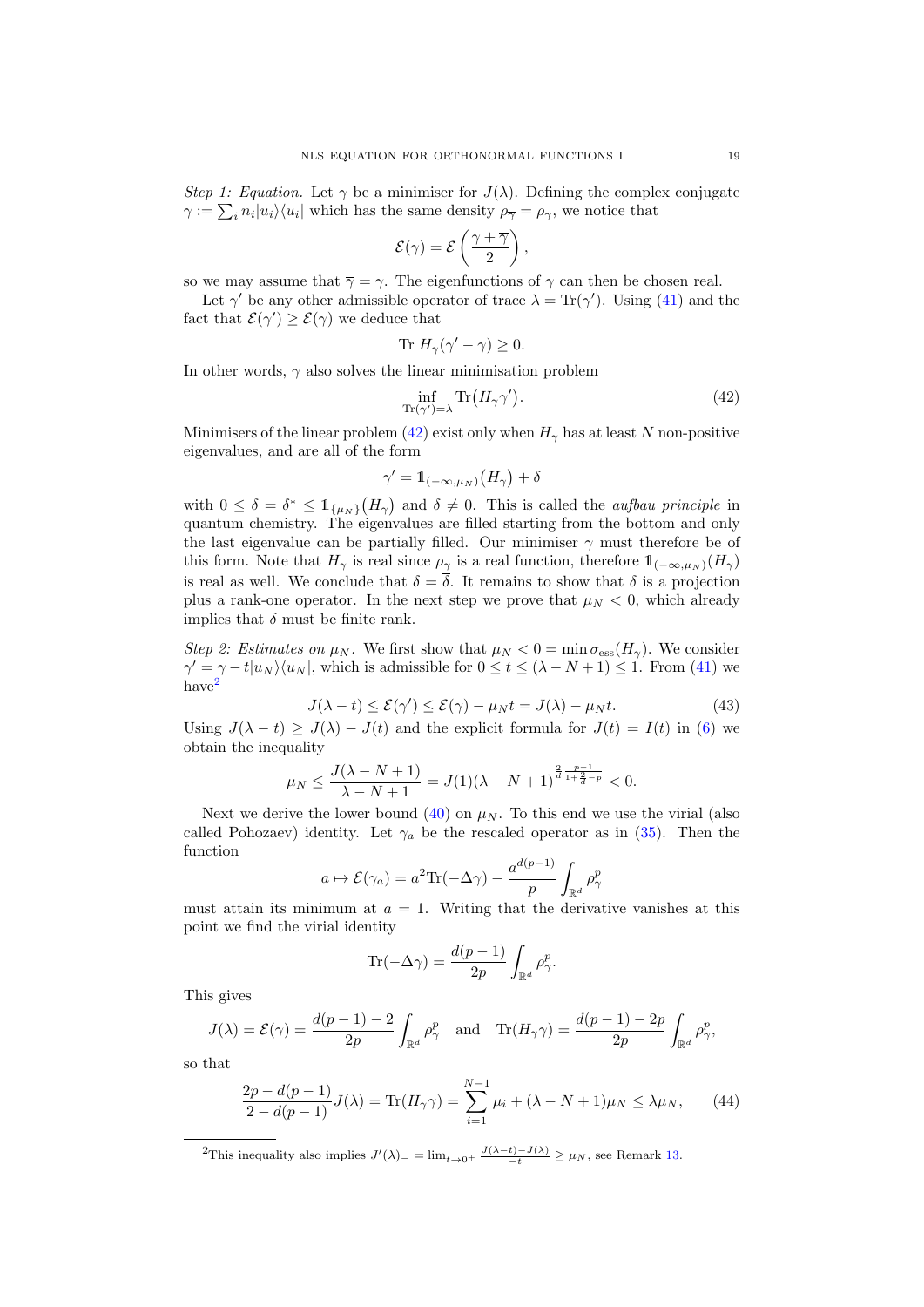Step 1: Equation. Let  $\gamma$  be a minimiser for  $J(\lambda)$ . Defining the complex conjugate  $\overline{\gamma} := \sum_i n_i |\overline{u_i}\rangle\langle\overline{u_i}|$  which has the same density  $\rho_{\overline{\gamma}} = \rho_{\gamma}$ , we notice that

$$
\mathcal{E}(\gamma) = \mathcal{E}\left(\frac{\gamma + \overline{\gamma}}{2}\right),\,
$$

so we may assume that  $\overline{\gamma} = \gamma$ . The eigenfunctions of  $\gamma$  can then be chosen real.

Let  $\gamma'$  be any other admissible operator of trace  $\lambda = \text{Tr}(\gamma')$ . Using [\(41\)](#page-17-2) and the fact that  $\mathcal{E}(\gamma') \geq \mathcal{E}(\gamma)$  we deduce that

$$
ext{Tr } H_{\gamma}(\gamma' - \gamma) \ge 0.
$$

In other words,  $\gamma$  also solves the linear minimisation problem

<span id="page-18-1"></span>
$$
\inf_{\mathrm{Tr}(\gamma')=\lambda} \mathrm{Tr}\big(H_{\gamma}\gamma'\big). \tag{42}
$$

Minimisers of the linear problem [\(42\)](#page-18-1) exist only when  $H_{\gamma}$  has at least N non-positive eigenvalues, and are all of the form

$$
\gamma' = \mathbb{1}_{(-\infty,\mu_N)}\big(H_\gamma\big) + \delta
$$

with  $0 \leq \delta = \delta^* \leq 1_{\{\mu_N\}}(H_\gamma)$  and  $\delta \neq 0$ . This is called the *aufbau principle* in quantum chemistry. The eigenvalues are filled starting from the bottom and only the last eigenvalue can be partially filled. Our minimiser  $\gamma$  must therefore be of this form. Note that  $H_{\gamma}$  is real since  $\rho_{\gamma}$  is a real function, therefore  $1_{(-\infty,\mu_N)}(H_{\gamma})$ is real as well. We conclude that  $\delta = \overline{\delta}$ . It remains to show that  $\delta$  is a projection plus a rank-one operator. In the next step we prove that  $\mu_N < 0$ , which already implies that  $\delta$  must be finite rank.

Step 2: Estimates on  $\mu_N$ . We first show that  $\mu_N < 0 = \min \sigma_{\text{ess}}(H_\gamma)$ . We consider  $\gamma' = \gamma - t |u_N\rangle\langle u_N|$ , which is admissible for  $0 \le t \le (\lambda - N + 1) \le 1$ . From [\(41\)](#page-17-2) we have<sup>[2](#page-18-2)</sup>

<span id="page-18-0"></span>
$$
J(\lambda - t) \le \mathcal{E}(\gamma') \le \mathcal{E}(\gamma) - \mu_N t = J(\lambda) - \mu_N t.
$$
 (43)

Using  $J(\lambda - t) \geq J(\lambda) - J(t)$  and the explicit formula for  $J(t) = I(t)$  in [\(6\)](#page-1-2) we obtain the inequality

$$
\mu_N \le \frac{J(\lambda - N + 1)}{\lambda - N + 1} = J(1)(\lambda - N + 1)^{\frac{2}{d} \frac{p-1}{1 + \frac{2}{d} - p}} < 0.
$$

Next we derive the lower bound  $(40)$  on  $\mu<sub>N</sub>$ . To this end we use the virial (also called Pohozaev) identity. Let  $\gamma_a$  be the rescaled operator as in [\(35\)](#page-14-0). Then the function

$$
a \mapsto \mathcal{E}(\gamma_a) = a^2 \text{Tr}(-\Delta \gamma) - \frac{a^{d(p-1)}}{p} \int_{\mathbb{R}^d} \rho_\gamma^p
$$

must attain its minimum at  $a = 1$ . Writing that the derivative vanishes at this point we find the virial identity

$$
\text{Tr}(-\Delta\gamma)=\frac{d(p-1)}{2p}\int_{\mathbb{R}^d}\rho_\gamma^p.
$$

This gives

$$
J(\lambda) = \mathcal{E}(\gamma) = \frac{d(p-1)-2}{2p} \int_{\mathbb{R}^d} \rho_\gamma^p \quad \text{and} \quad \text{Tr}(H_\gamma \gamma) = \frac{d(p-1)-2p}{2p} \int_{\mathbb{R}^d} \rho_\gamma^p,
$$

so that

$$
\frac{2p - d(p-1)}{2 - d(p-1)}J(\lambda) = \text{Tr}(H_{\gamma}\gamma) = \sum_{i=1}^{N-1} \mu_i + (\lambda - N + 1)\mu_N \le \lambda \mu_N,
$$
 (44)

<span id="page-18-2"></span><sup>2</sup>This inequality also implies  $J'(\lambda)$ <sub>-</sub> = lim<sub>t→0</sub>+  $\frac{J(\lambda-t)-J(\lambda)}{-t} \geq \mu_N$ , see Remark [13.](#page-16-1)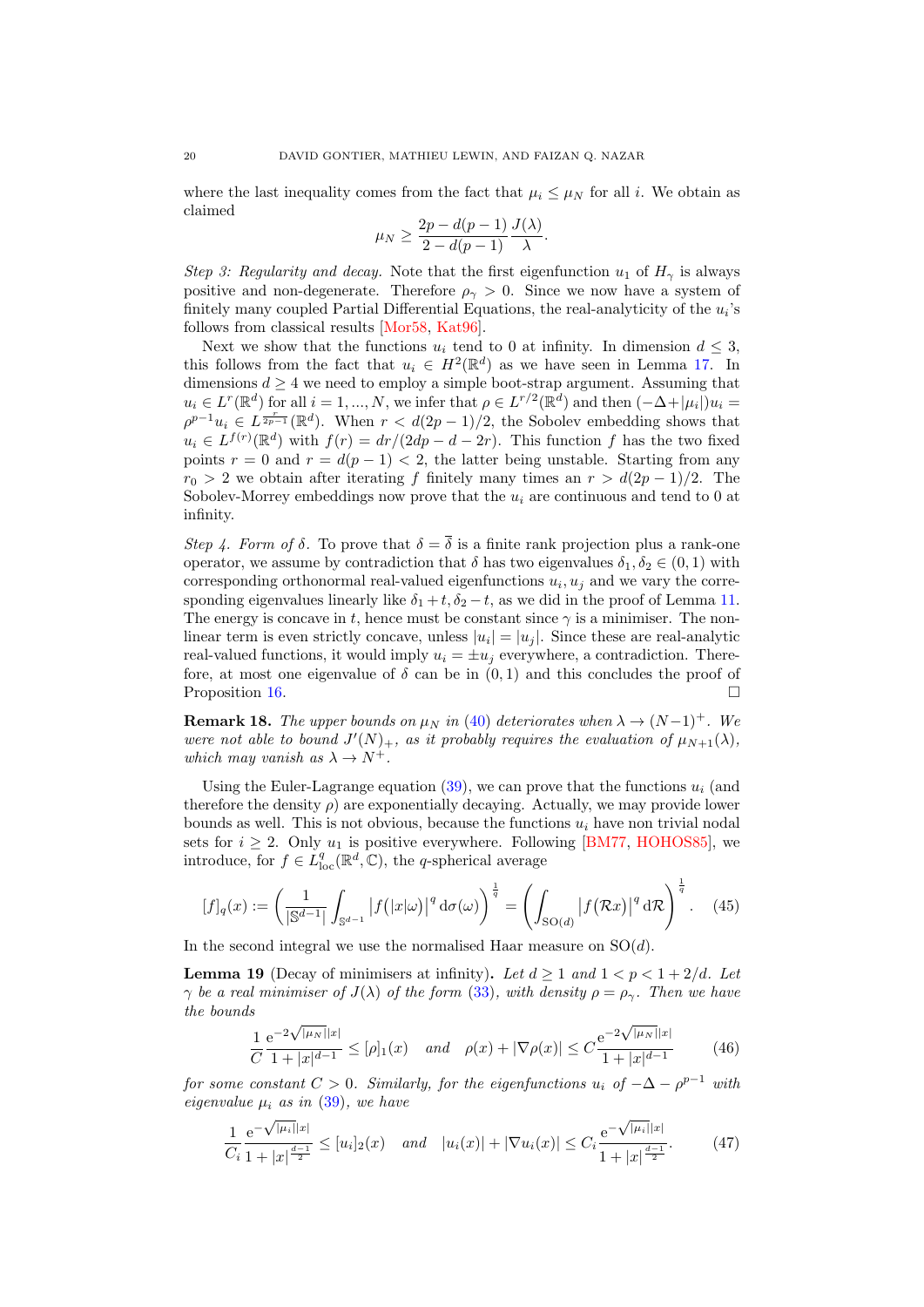where the last inequality comes from the fact that  $\mu_i \leq \mu_N$  for all i. We obtain as claimed

$$
\mu_N \ge \frac{2p - d(p-1)}{2 - d(p-1)} \frac{J(\lambda)}{\lambda}.
$$

Step 3: Regularity and decay. Note that the first eigenfunction  $u_1$  of  $H_\gamma$  is always positive and non-degenerate. Therefore  $\rho_{\gamma} > 0$ . Since we now have a system of finitely many coupled Partial Differential Equations, the real-analyticity of the  $u_i$ 's follows from classical results [\[Mor58,](#page-38-27) [Kat96\]](#page-37-15).

Next we show that the functions  $u_i$  tend to 0 at infinity. In dimension  $d \leq 3$ , this follows from the fact that  $u_i \in H^2(\mathbb{R}^d)$  as we have seen in Lemma [17.](#page-17-3) In dimensions  $d \geq 4$  we need to employ a simple boot-strap argument. Assuming that  $u_i \in L^r(\mathbb{R}^d)$  for all  $i = 1, ..., N$ , we infer that  $\rho \in L^{r/2}(\mathbb{R}^d)$  and then  $(-\Delta + |\mu_i|)u_i =$  $\rho^{p-1}u_i \in L^{\frac{r}{2p-1}}(\mathbb{R}^d)$ . When  $r < d(2p-1)/2$ , the Sobolev embedding shows that  $u_i \in L^{f(r)}(\mathbb{R}^d)$  with  $f(r) = dr/(2dp - d - 2r)$ . This function f has the two fixed points  $r = 0$  and  $r = d(p - 1) < 2$ , the latter being unstable. Starting from any  $r_0 > 2$  we obtain after iterating f finitely many times an  $r > d(2p-1)/2$ . The Sobolev-Morrey embeddings now prove that the  $u_i$  are continuous and tend to 0 at infinity.

Step 4. Form of  $\delta$ . To prove that  $\delta = \overline{\delta}$  is a finite rank projection plus a rank-one operator, we assume by contradiction that  $\delta$  has two eigenvalues  $\delta_1, \delta_2 \in (0, 1)$  with corresponding orthonormal real-valued eigenfunctions  $u_i, u_j$  and we vary the corresponding eigenvalues linearly like  $\delta_1 + t$ ,  $\delta_2 - t$ , as we did in the proof of Lemma [11.](#page-12-0) The energy is concave in t, hence must be constant since  $\gamma$  is a minimiser. The nonlinear term is even strictly concave, unless  $|u_i| = |u_j|$ . Since these are real-analytic real-valued functions, it would imply  $u_i = \pm u_i$  everywhere, a contradiction. Therefore, at most one eigenvalue of  $\delta$  can be in  $(0, 1)$  and this concludes the proof of Proposition [16.](#page-17-0)

**Remark 18.** The upper bounds on  $\mu_N$  in [\(40\)](#page-17-4) deteriorates when  $\lambda \to (N-1)^+$ . We were not able to bound  $J'(N)_+$ , as it probably requires the evaluation of  $\mu_{N+1}(\lambda)$ , which may vanish as  $\lambda \to N^+$ .

Using the Euler-Lagrange equation  $(39)$ , we can prove that the functions  $u_i$  (and therefore the density  $\rho$ ) are exponentially decaying. Actually, we may provide lower bounds as well. This is not obvious, because the functions  $u_i$  have non trivial nodal sets for  $i \geq 2$ . Only  $u_1$  is positive everywhere. Following [\[BM77,](#page-36-19) [HOHOS85\]](#page-37-16), we introduce, for  $f \in L^q_{loc}(\mathbb{R}^d, \mathbb{C})$ , the q-spherical average

$$
[f]_q(x) := \left(\frac{1}{|\mathbb{S}^{d-1}|} \int_{\mathbb{S}^{d-1}} |f(|x|\omega)|^q \,d\sigma(\omega)\right)^{\frac{1}{q}} = \left(\int_{\text{SO}(d)} |f(\mathcal{R}x)|^q \,d\mathcal{R}\right)^{\frac{1}{q}}.\tag{45}
$$

In the second integral we use the normalised Haar measure on  $SO(d)$ .

<span id="page-19-0"></span>**Lemma 19** (Decay of minimisers at infinity). Let  $d \geq 1$  and  $1 < p < 1 + 2/d$ . Let  $\gamma$  be a real minimiser of  $J(\lambda)$  of the form [\(33\)](#page-12-3), with density  $\rho = \rho_{\gamma}$ . Then we have the bounds √ √

<span id="page-19-1"></span>
$$
\frac{1}{C} \frac{e^{-2\sqrt{|\mu_N||x|}}}{1+|x|^{d-1}} \leq [\rho]_1(x) \quad \text{and} \quad \rho(x) + |\nabla \rho(x)| \leq C \frac{e^{-2\sqrt{|\mu_N||x|}}}{1+|x|^{d-1}} \tag{46}
$$

for some constant  $C > 0$ . Similarly, for the eigenfunctions  $u_i$  of  $-\Delta - \rho^{p-1}$  with eigenvalue  $\mu_i$  as in [\(39\)](#page-17-5), we have

<span id="page-19-2"></span>
$$
\frac{1}{C_i} \frac{e^{-\sqrt{|\mu_i||x|}}}{1+|x|^{\frac{d-1}{2}}} \le [u_i]_2(x) \quad \text{and} \quad |u_i(x)| + |\nabla u_i(x)| \le C_i \frac{e^{-\sqrt{|\mu_i||x|}}}{1+|x|^{\frac{d-1}{2}}}.
$$
 (47)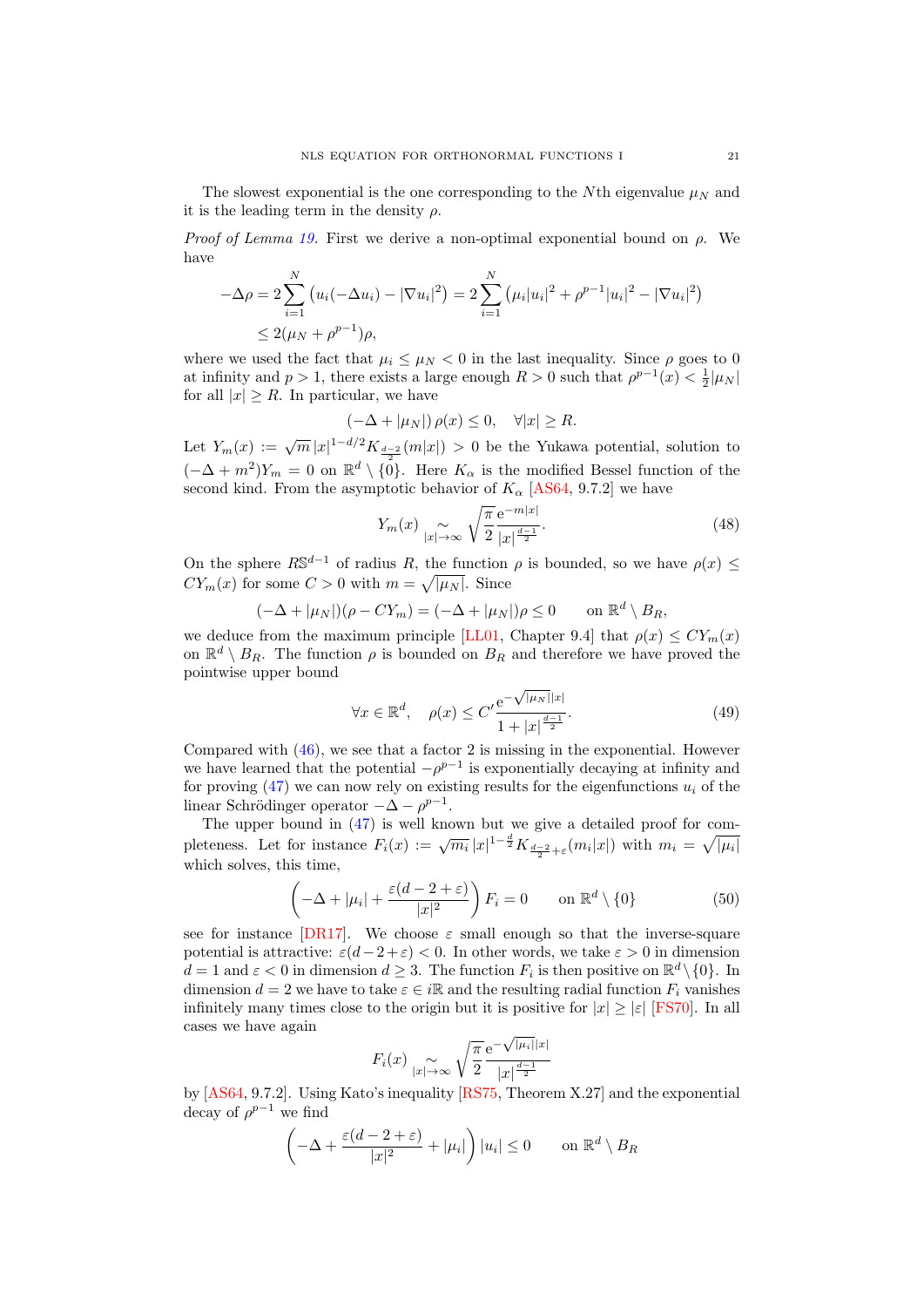The slowest exponential is the one corresponding to the Nth eigenvalue  $\mu_N$  and it is the leading term in the density  $\rho$ .

*Proof of Lemma [19.](#page-19-0)* First we derive a non-optimal exponential bound on  $\rho$ . We have

$$
-\Delta \rho = 2 \sum_{i=1}^{N} (u_i(-\Delta u_i) - |\nabla u_i|^2) = 2 \sum_{i=1}^{N} (\mu_i |u_i|^2 + \rho^{p-1} |u_i|^2 - |\nabla u_i|^2)
$$
  

$$
\leq 2(\mu_N + \rho^{p-1})\rho,
$$

where we used the fact that  $\mu_i \leq \mu_N < 0$  in the last inequality. Since  $\rho$  goes to 0 at infinity and  $p > 1$ , there exists a large enough  $R > 0$  such that  $\rho^{p-1}(x) < \frac{1}{2}|\mu_N|$ for all  $|x| \geq R$ . In particular, we have

$$
(-\Delta + |\mu_N|) \rho(x) \le 0, \quad \forall |x| \ge R.
$$

Let  $Y_m(x) := \sqrt{m} |x|^{1-d/2} K_{\frac{d-2}{2}}(m|x|) > 0$  be the Yukawa potential, solution to  $(-\Delta + m^2)Y_m = 0$  on  $\mathbb{R}^d \setminus \{0\}$ . Here  $K_\alpha$  is the modified Bessel function of the second kind. From the asymptotic behavior of  $K_{\alpha}$  [\[AS64,](#page-36-20) 9.7.2] we have

<span id="page-20-1"></span>
$$
Y_m(x) \underset{|x| \to \infty}{\sim} \sqrt{\frac{\pi}{2}} \frac{\mathrm{e}^{-m|x|}}{|x|^{\frac{d-1}{2}}}.\tag{48}
$$

On the sphere  $R\mathbb{S}^{d-1}$  of radius R, the function  $\rho$  is bounded, so we have  $\rho(x) \leq$  $CY_m(x)$  for some  $C > 0$  with  $m = \sqrt{|\mu_N|}$ . Since

$$
(-\Delta + |\mu_N|)(\rho - CY_m) = (-\Delta + |\mu_N|)\rho \le 0 \quad \text{on } \mathbb{R}^d \setminus B_R,
$$

we deduce from the maximum principle [\[LL01,](#page-38-6) Chapter 9.4] that  $\rho(x) \le CY_m(x)$ on  $\mathbb{R}^d \setminus B_R$ . The function  $\rho$  is bounded on  $B_R$  and therefore we have proved the pointwise upper bound

<span id="page-20-0"></span>
$$
\forall x \in \mathbb{R}^d, \quad \rho(x) \le C' \frac{e^{-\sqrt{|\mu_N||x|}}}{1+|x|^{\frac{d-1}{2}}}.
$$
\n(49)

Compared with [\(46\)](#page-19-1), we see that a factor 2 is missing in the exponential. However we have learned that the potential  $-\rho^{p-1}$  is exponentially decaying at infinity and for proving  $(47)$  we can now rely on existing results for the eigenfunctions  $u_i$  of the linear Schrödinger operator  $-\Delta - \rho^{p-1}$ .

The upper bound in [\(47\)](#page-19-2) is well known but we give a detailed proof for completeness. Let for instance  $F_i(x) := \sqrt{m_i} |x|^{1-\frac{d}{2}} K_{\frac{d-2}{2}+\varepsilon}(m_i|x|)$  with  $m_i = \sqrt{|\mu_i|}$ which solves, this time,

$$
\left(-\Delta + |\mu_i| + \frac{\varepsilon(d-2+\varepsilon)}{|x|^2}\right) F_i = 0 \qquad \text{on } \mathbb{R}^d \setminus \{0\}
$$
 (50)

see for instance [\[DR17\]](#page-37-17). We choose  $\varepsilon$  small enough so that the inverse-square potential is attractive:  $\varepsilon(d-2+\varepsilon) < 0$ . In other words, we take  $\varepsilon > 0$  in dimension  $d = 1$  and  $\varepsilon < 0$  in dimension  $d \geq 3$ . The function  $F_i$  is then positive on  $\mathbb{R}^d \setminus \{0\}$ . In dimension  $d = 2$  we have to take  $\varepsilon \in i\mathbb{R}$  and the resulting radial function  $F_i$  vanishes infinitely many times close to the origin but it is positive for  $|x| \geq |\varepsilon|$  [\[FS70\]](#page-37-18). In all cases we have again √

$$
F_i(x) \underset{|x| \to \infty}{\sim} \sqrt{\frac{\pi}{2}} \frac{e^{-\sqrt{|\mu_i||x|}}}{|x|^{\frac{d-1}{2}}}
$$

by [\[AS64,](#page-36-20) 9.7.2]. Using Kato's inequality [\[RS75,](#page-38-28) Theorem X.27] and the exponential decay of  $\rho^{p-1}$  we find

$$
\left(-\Delta + \frac{\varepsilon(d-2+\varepsilon)}{|x|^2} + |\mu_i|\right)|u_i| \le 0 \qquad \text{on } \mathbb{R}^d \setminus B_R
$$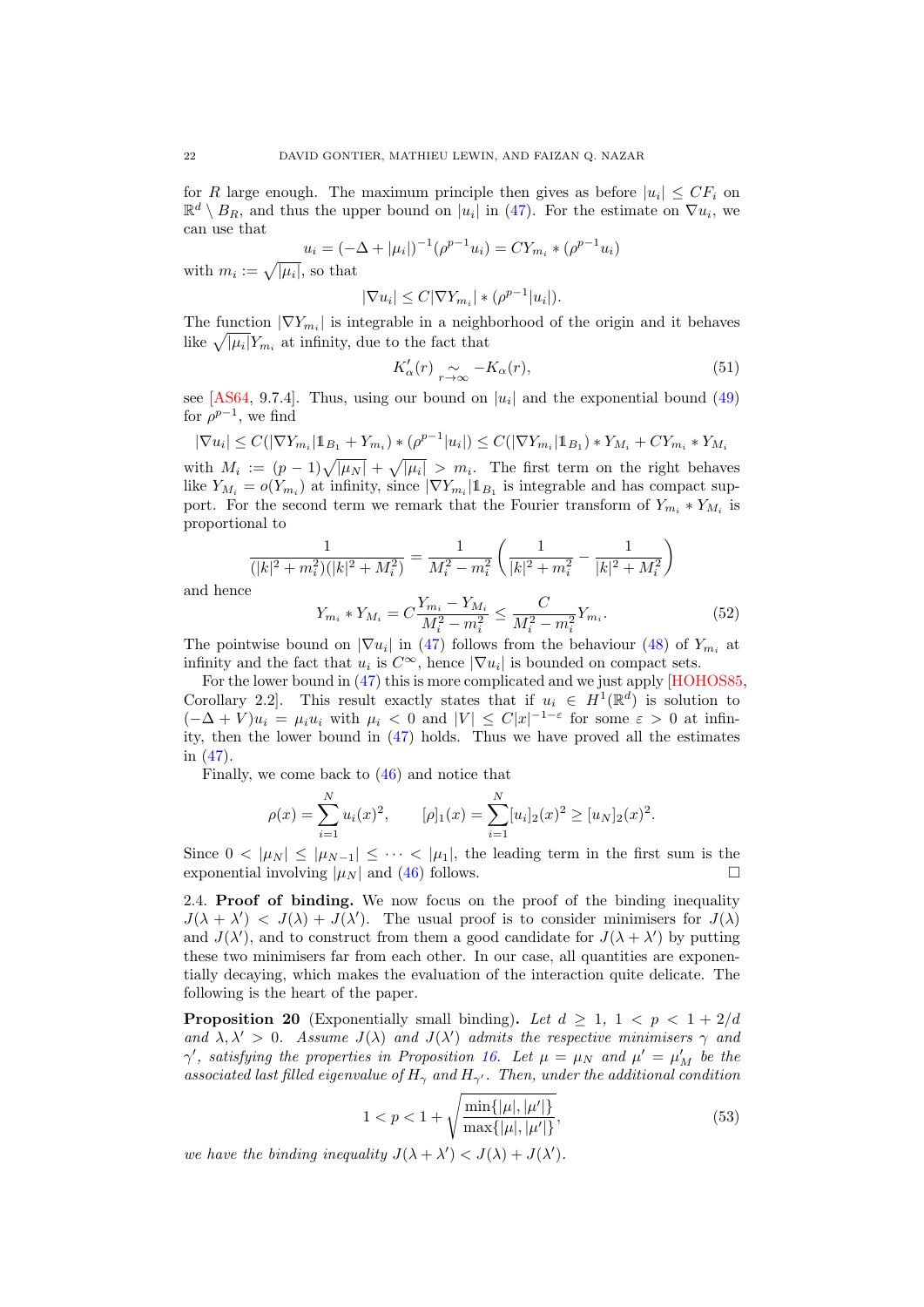for R large enough. The maximum principle then gives as before  $|u_i| \leq CF_i$  on  $\mathbb{R}^d \setminus B_R$ , and thus the upper bound on  $|u_i|$  in [\(47\)](#page-19-2). For the estimate on  $\nabla u_i$ , we can use that

$$
u_i = (-\Delta + |\mu_i|)^{-1} (\rho^{p-1} u_i) = C Y_{m_i} * (\rho^{p-1} u_i)
$$

with  $m_i := \sqrt{|\mu_i|}$ , so that

$$
|\nabla u_i| \le C|\nabla Y_{m_i}| * (\rho^{p-1}|u_i|).
$$

The function  $|\nabla Y_{m_i}|$  is integrable in a neighborhood of the origin and it behaves like  $\sqrt{|\mu_i|} Y_{m_i}$  at infinity, due to the fact that

<span id="page-21-4"></span>
$$
K'_{\alpha}(r) \underset{r \to \infty}{\sim} -K_{\alpha}(r), \tag{51}
$$

see [\[AS64,](#page-36-20) 9.7.4]. Thus, using our bound on  $|u_i|$  and the exponential bound [\(49\)](#page-20-0) for  $\rho^{p-1}$ , we find

$$
|\nabla u_i| \le C(|\nabla Y_{m_i}| \mathbb{1}_{B_1} + Y_{m_i}) \cdot (\rho^{p-1}|u_i|) \le C(|\nabla Y_{m_i}| \mathbb{1}_{B_1}) \cdot Y_{M_i} + CY_{m_i} \cdot Y_{M_i}
$$
  
with  $M_i := (p-1)_i / |u_i| + i / |u_i| > m_i$ . The first term on the right behave

with  $M_i := (p-1)\sqrt{|\mu_N|} + \sqrt{|\mu_i|} > m_i$ . The first term on the right behaves like  $Y_{M_i} = o(Y_{m_i})$  at infinity, since  $|\nabla Y_{m_i}| \mathbb{1}_{B_1}$  is integrable and has compact support. For the second term we remark that the Fourier transform of  $Y_{m_i} * Y_{M_i}$  is proportional to

$$
\frac{1}{(|k|^2 + m_i^2)(|k|^2 + M_i^2)} = \frac{1}{M_i^2 - m_i^2} \left( \frac{1}{|k|^2 + m_i^2} - \frac{1}{|k|^2 + M_i^2} \right)
$$

and henc

<span id="page-21-3"></span>
$$
Y_{m_i} * Y_{M_i} = C \frac{Y_{m_i} - Y_{M_i}}{M_i^2 - m_i^2} \le \frac{C}{M_i^2 - m_i^2} Y_{m_i}.
$$
\n(52)

The pointwise bound on  $|\nabla u_i|$  in [\(47\)](#page-19-2) follows from the behaviour [\(48\)](#page-20-1) of  $Y_{m_i}$  at infinity and the fact that  $u_i$  is  $C^{\infty}$ , hence  $|\nabla u_i|$  is bounded on compact sets.

For the lower bound in [\(47\)](#page-19-2) this is more complicated and we just apply [\[HOHOS85,](#page-37-16) Corollary 2.2]. This result exactly states that if  $u_i \in H^1(\mathbb{R}^d)$  is solution to  $(-\Delta + V)u_i = \mu_i u_i$  with  $\mu_i < 0$  and  $|V| \leq C|x|^{-1-\varepsilon}$  for some  $\varepsilon > 0$  at infinity, then the lower bound in [\(47\)](#page-19-2) holds. Thus we have proved all the estimates in [\(47\)](#page-19-2).

Finally, we come back to [\(46\)](#page-19-1) and notice that

$$
\rho(x) = \sum_{i=1}^{N} u_i(x)^2, \qquad [\rho]_1(x) = \sum_{i=1}^{N} [u_i]_2(x)^2 \ge [u_N]_2(x)^2.
$$

Since  $0 < |\mu_N| \leq |\mu_{N-1}| \leq \cdots < |\mu_1|$ , the leading term in the first sum is the exponential involving  $|\mu_N|$  and [\(46\)](#page-19-1) follows.

<span id="page-21-1"></span>2.4. Proof of binding. We now focus on the proof of the binding inequality  $J(\lambda + \lambda') < J(\lambda) + J(\lambda')$ . The usual proof is to consider minimisers for  $J(\lambda)$ and  $J(\lambda')$ , and to construct from them a good candidate for  $J(\lambda + \lambda')$  by putting these two minimisers far from each other. In our case, all quantities are exponentially decaying, which makes the evaluation of the interaction quite delicate. The following is the heart of the paper.

<span id="page-21-0"></span>**Proposition 20** (Exponentially small binding). Let  $d \geq 1$ ,  $1 < p < 1 + 2/d$ and  $\lambda, \lambda' > 0$ . Assume  $J(\lambda)$  and  $J(\lambda')$  admits the respective minimisers  $\gamma$  and  $\gamma'$ , satisfying the properties in Proposition [16.](#page-17-0) Let  $\mu = \mu_N$  and  $\mu' = \mu'_M$  be the associated last filled eigenvalue of  $H_{\gamma}$  and  $H_{\gamma'}$ . Then, under the additional condition

<span id="page-21-2"></span>
$$
1 < p < 1 + \sqrt{\frac{\min\{|\mu|, |\mu'|\}}{\max\{|\mu|, |\mu'|\}}},\tag{53}
$$

we have the binding inequality  $J(\lambda + \lambda') < J(\lambda) + J(\lambda')$ .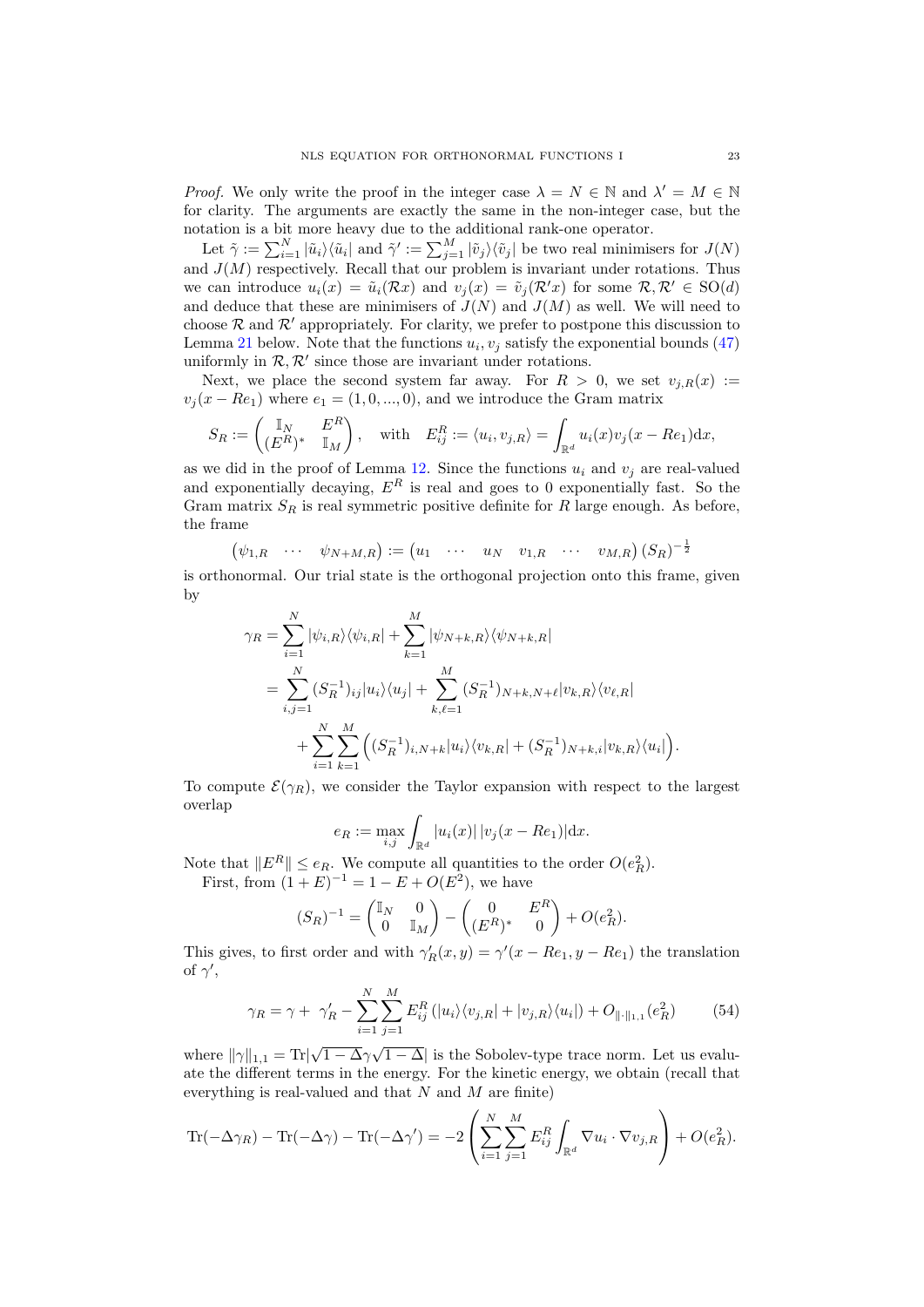*Proof.* We only write the proof in the integer case  $\lambda = N \in \mathbb{N}$  and  $\lambda' = M \in \mathbb{N}$ for clarity. The arguments are exactly the same in the non-integer case, but the notation is a bit more heavy due to the additional rank-one operator.

Let  $\tilde{\gamma} := \sum_{i=1}^N |\tilde{u}_i\rangle\langle\tilde{u}_i|$  and  $\tilde{\gamma}' := \sum_{j=1}^M |\tilde{v}_j\rangle\langle\tilde{v}_j|$  be two real minimisers for  $J(N)$ and  $J(M)$  respectively. Recall that our problem is invariant under rotations. Thus we can introduce  $u_i(x) = \tilde{u}_i(\mathcal{R}x)$  and  $v_i(x) = \tilde{v}_i(\mathcal{R}x)$  for some  $\mathcal{R}, \mathcal{R}' \in SO(d)$ and deduce that these are minimisers of  $J(N)$  and  $J(M)$  as well. We will need to choose  $\mathcal R$  and  $\mathcal R'$  appropriately. For clarity, we prefer to postpone this discussion to Lemma [21](#page-23-0) below. Note that the functions  $u_i, v_j$  satisfy the exponential bounds [\(47\)](#page-19-2) uniformly in  $\mathcal{R}, \mathcal{R}'$  since those are invariant under rotations.

Next, we place the second system far away. For  $R > 0$ , we set  $v_{j,R}(x) :=$  $v_j(x - Re_1)$  where  $e_1 = (1, 0, ..., 0)$ , and we introduce the Gram matrix

$$
S_R := \begin{pmatrix} \mathbb{I}_N & E^R \\ (E^R)^* & \mathbb{I}_M \end{pmatrix}, \quad \text{with} \quad E_{ij}^R := \langle u_i, v_{j,R} \rangle = \int_{\mathbb{R}^d} u_i(x) v_j(x - Re_1) \mathrm{d}x,
$$

as we did in the proof of Lemma [12.](#page-13-1) Since the functions  $u_i$  and  $v_j$  are real-valued and exponentially decaying,  $E^R$  is real and goes to 0 exponentially fast. So the Gram matrix  $S_R$  is real symmetric positive definite for R large enough. As before, the frame

$$
\begin{pmatrix} \psi_{1,R} & \cdots & \psi_{N+M,R} \end{pmatrix} := \begin{pmatrix} u_1 & \cdots & u_N & v_{1,R} & \cdots & v_{M,R} \end{pmatrix} (S_R)^{-\frac{1}{2}}
$$

is orthonormal. Our trial state is the orthogonal projection onto this frame, given by

$$
\gamma_R = \sum_{i=1}^N |\psi_{i,R}\rangle \langle \psi_{i,R}| + \sum_{k=1}^M |\psi_{N+k,R}\rangle \langle \psi_{N+k,R}|
$$
  
= 
$$
\sum_{i,j=1}^N (S_R^{-1})_{ij} |u_i\rangle \langle u_j| + \sum_{k,\ell=1}^M (S_R^{-1})_{N+k,N+\ell} |v_{k,R}\rangle \langle v_{\ell,R}|
$$
  
+ 
$$
\sum_{i=1}^N \sum_{k=1}^M ((S_R^{-1})_{i,N+k} |u_i\rangle \langle v_{k,R}| + (S_R^{-1})_{N+k,i} |v_{k,R}\rangle \langle u_i|).
$$

To compute  $\mathcal{E}(\gamma_R)$ , we consider the Taylor expansion with respect to the largest overlap

$$
e_R := \max_{i,j} \int_{\mathbb{R}^d} |u_i(x)| \, |v_j(x - Re_1)| \, dx.
$$

Note that  $||E^R|| \le e_R$ . We compute all quantities to the order  $O(e_R^2)$ . First, from  $(1 + E)^{-1} = 1 - E + O(E^2)$ , we have

$$
(S_R)^{-1} = \begin{pmatrix} \mathbb{I}_N & 0 \\ 0 & \mathbb{I}_M \end{pmatrix} - \begin{pmatrix} 0 & E^R \\ (E^R)^* & 0 \end{pmatrix} + O(e_R^2).
$$

This gives, to first order and with  $\gamma'_R(x,y) = \gamma'(x - Re_1, y - Re_1)$  the translation of  $\gamma'$ ,

<span id="page-22-0"></span>
$$
\gamma_R = \gamma + \gamma'_R - \sum_{i=1}^N \sum_{j=1}^M E_{ij}^R \left( |u_i\rangle\langle v_{j,R}| + |v_{j,R}\rangle\langle u_i| \right) + O_{\|\cdot\|_{1,1}}(e_R^2)
$$
(54)

where  $\|\gamma\|_{1,1} = \text{Tr}\|$  $1-\overline{\Delta \gamma}$  $\boxed{1-\Delta}$  is the Sobolev-type trace norm. Let us evaluate the different terms in the energy. For the kinetic energy, we obtain (recall that everything is real-valued and that  $N$  and  $M$  are finite)

$$
\text{Tr}(-\Delta\gamma_R) - \text{Tr}(-\Delta\gamma) - \text{Tr}(-\Delta\gamma') = -2\left(\sum_{i=1}^N \sum_{j=1}^M E_{ij}^R \int_{\mathbb{R}^d} \nabla u_i \cdot \nabla v_{j,R}\right) + O(e_R^2).
$$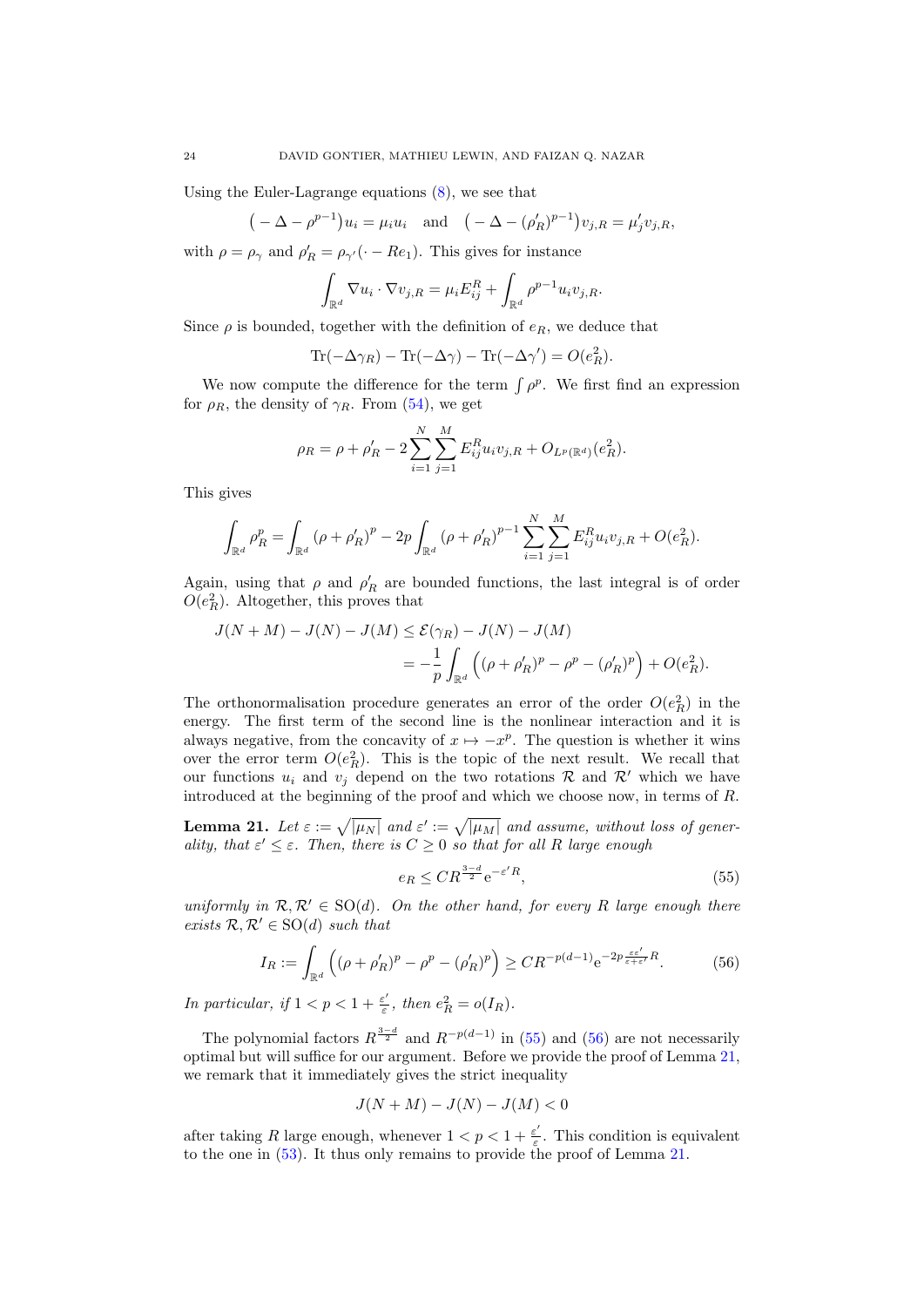Using the Euler-Lagrange equations [\(8\)](#page-1-1), we see that

$$
(-\Delta - \rho^{p-1})u_i = \mu_i u_i
$$
 and  $(-\Delta - (\rho'_R)^{p-1})v_{j,R} = \mu'_j v_{j,R}$ ,

with  $\rho = \rho_{\gamma}$  and  $\rho'_{R} = \rho_{\gamma'}(\cdot - Re_1)$ . This gives for instance

$$
\int_{\mathbb{R}^d} \nabla u_i \cdot \nabla v_{j,R} = \mu_i E_{ij}^R + \int_{\mathbb{R}^d} \rho^{p-1} u_i v_{j,R}.
$$

Since  $\rho$  is bounded, together with the definition of  $e_R$ , we deduce that

Tr( $-\Delta\gamma_R$ ) – Tr( $-\Delta\gamma$ ) – Tr( $-\Delta\gamma'$ ) =  $O(e_R^2)$ .

We now compute the difference for the term  $\int \rho^p$ . We first find an expression for  $\rho_R$ , the density of  $\gamma_R$ . From [\(54\)](#page-22-0), we get

$$
\rho_R = \rho + \rho'_R - 2 \sum_{i=1}^N \sum_{j=1}^M E_{ij}^R u_i v_{j,R} + O_{L^p(\mathbb{R}^d)}(e_R^2).
$$

This gives

$$
\int_{\mathbb{R}^d} \rho_R^p = \int_{\mathbb{R}^d} (\rho + \rho'_R)^p - 2p \int_{\mathbb{R}^d} (\rho + \rho'_R)^{p-1} \sum_{i=1}^N \sum_{j=1}^M E_{ij}^R u_i v_{j,R} + O(e_R^2).
$$

Again, using that  $\rho$  and  $\rho'_R$  are bounded functions, the last integral is of order  $O(e_R^2)$ . Altogether, this proves that

$$
J(N + M) - J(N) - J(M) \leq \mathcal{E}(\gamma_R) - J(N) - J(M)
$$
  
= 
$$
-\frac{1}{p} \int_{\mathbb{R}^d} \left( (\rho + \rho'_R)^p - \rho^p - (\rho'_R)^p \right) + O(e_R^2).
$$

The orthonormalisation procedure generates an error of the order  $O(e_R^2)$  in the energy. The first term of the second line is the nonlinear interaction and it is always negative, from the concavity of  $x \mapsto -x^p$ . The question is whether it wins over the error term  $O(e_R^2)$ . This is the topic of the next result. We recall that our functions  $u_i$  and  $v_j$  depend on the two rotations  $\mathcal R$  and  $\mathcal R'$  which we have introduced at the beginning of the proof and which we choose now, in terms of R.

<span id="page-23-0"></span>**Lemma 21.** Let  $\varepsilon := \sqrt{|\mu_N|}$  and  $\varepsilon' := \sqrt{|\mu_M|}$  and assume, without loss of generality, that  $\varepsilon' \leq \varepsilon$ . Then, there is  $C \geq 0$  so that for all R large enough

<span id="page-23-1"></span>
$$
e_R \le C R^{\frac{3-d}{2}} e^{-\varepsilon' R},\tag{55}
$$

uniformly in  $\mathcal{R}, \mathcal{R}' \in SO(d)$ . On the other hand, for every R large enough there exists  $\mathcal{R}, \mathcal{R}' \in SO(d)$  such that

<span id="page-23-2"></span>
$$
I_R := \int_{\mathbb{R}^d} \left( (\rho + \rho'_R)^p - \rho^p - (\rho'_R)^p \right) \ge C R^{-p(d-1)} e^{-2p \frac{\varepsilon \varepsilon'}{\varepsilon + \varepsilon'} R}.
$$
 (56)

In particular, if  $1 < p < 1 + \frac{\varepsilon'}{\varepsilon}$  $\frac{\varepsilon'}{\varepsilon}$ , then  $e_R^2 = o(I_R)$ .

The polynomial factors  $R^{\frac{3-d}{2}}$  and  $R^{-p(d-1)}$  in [\(55\)](#page-23-1) and [\(56\)](#page-23-2) are not necessarily optimal but will suffice for our argument. Before we provide the proof of Lemma [21,](#page-23-0) we remark that it immediately gives the strict inequality

$$
J(N+M) - J(N) - J(M) < 0
$$

after taking R large enough, whenever  $1 < p < 1 + \frac{\varepsilon^2}{\varepsilon}$  $\frac{\varepsilon'}{\varepsilon}$ . This condition is equivalent to the one in [\(53\)](#page-21-2). It thus only remains to provide the proof of Lemma [21.](#page-23-0)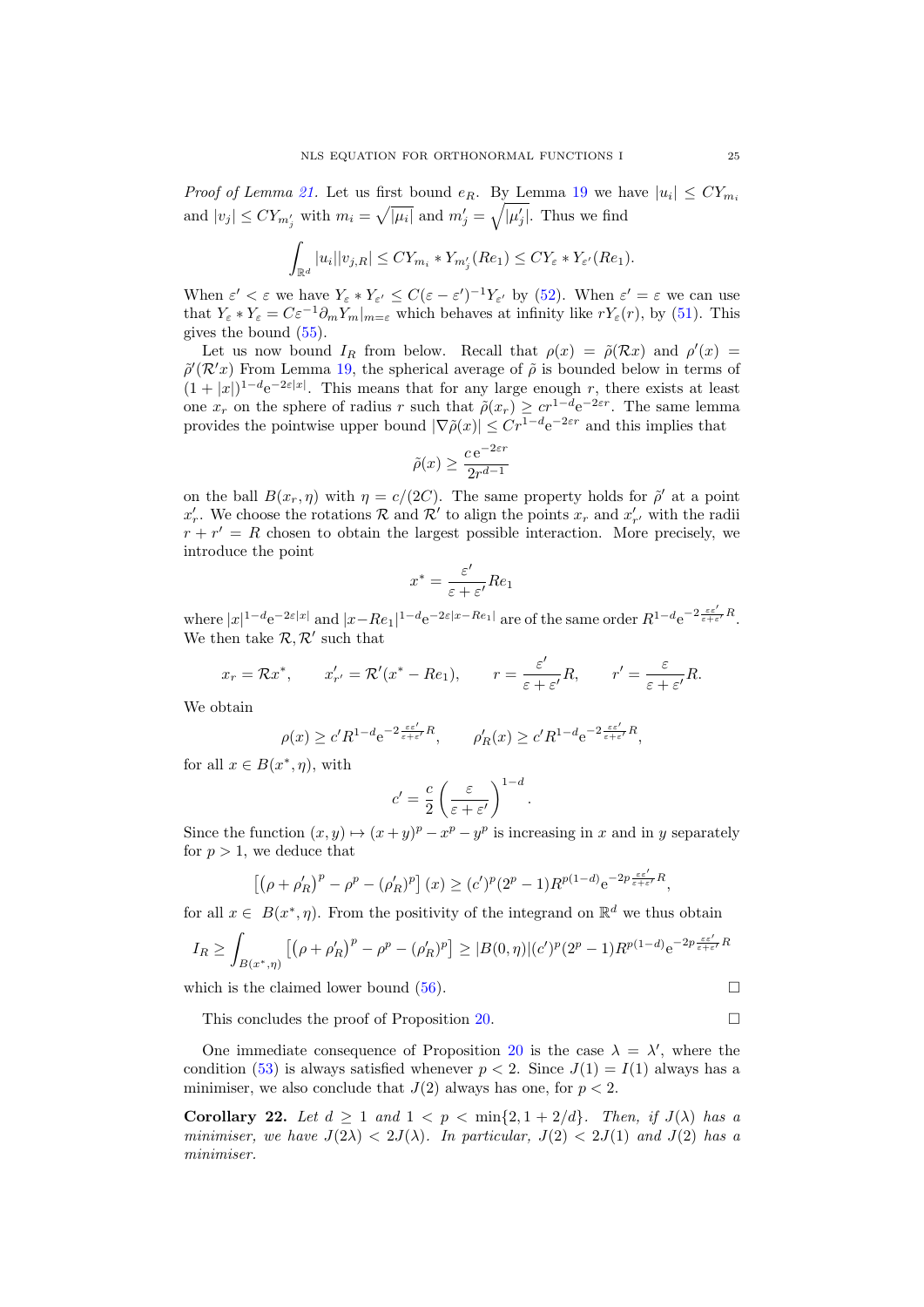*Proof of Lemma [21.](#page-23-0)* Let us first bound  $e_R$ . By Lemma [19](#page-19-0) we have  $|u_i| \leq CY_{m_i}$ and  $|v_j| \leq C Y_{m'_j}$  with  $m_i = \sqrt{|\mu_i|}$  and  $m'_j = \sqrt{|\mu'_j|}$ . Thus we find

$$
\int_{\mathbb{R}^d} |u_i||v_{j,R}| \leq CY_{m_i} * Y_{m'_j}(Re_1) \leq CY_{\varepsilon} * Y_{\varepsilon'}(Re_1).
$$

When  $\varepsilon' < \varepsilon$  we have  $Y_{\varepsilon} * Y_{\varepsilon'} \leq C(\varepsilon - \varepsilon')^{-1} Y_{\varepsilon'}$  by [\(52\)](#page-21-3). When  $\varepsilon' = \varepsilon$  we can use that  $Y_{\varepsilon} * Y_{\varepsilon} = C \varepsilon^{-1} \partial_m Y_m |_{m=\varepsilon}$  which behaves at infinity like  $r Y_{\varepsilon}(r)$ , by [\(51\)](#page-21-4). This gives the bound [\(55\)](#page-23-1).

Let us now bound  $I_R$  from below. Recall that  $\rho(x) = \tilde{\rho}(\mathcal{R}x)$  and  $\rho'(x) =$  $\tilde{\rho}'(\mathcal{R}^{\prime}x)$  From Lemma [19,](#page-19-0) the spherical average of  $\tilde{\rho}$  is bounded below in terms of  $(1+|x|)^{1-d}e^{-2\varepsilon|x|}$ . This means that for any large enough r, there exists at least one  $x_r$  on the sphere of radius r such that  $\tilde{\rho}(x_r) \geq c r^{1-d} e^{-2\varepsilon r}$ . The same lemma provides the pointwise upper bound  $|\nabla \tilde{\rho}(x)| \leq Cr^{1-d}e^{-2\varepsilon r}$  and this implies that

$$
\tilde{\rho}(x) \ge \frac{c \,\mathrm{e}^{-2\varepsilon r}}{2r^{d-1}}
$$

on the ball  $B(x_r, \eta)$  with  $\eta = c/(2C)$ . The same property holds for  $\tilde{\rho}'$  at a point  $x'_r$ . We choose the rotations R and R' to align the points  $x_r$  and  $x'_{r'}$  with the radii  $r + r' = R$  chosen to obtain the largest possible interaction. More precisely, we introduce the point

$$
x^* = \frac{\varepsilon'}{\varepsilon + \varepsilon'} Re_1
$$

where  $|x|^{1-d}e^{-2\varepsilon|x|}$  and  $|x-Re_1|^{1-d}e^{-2\varepsilon|x-Re_1|}$  are of the same order  $R^{1-d}e^{-2\frac{\varepsilon\varepsilon'}{\varepsilon+\varepsilon'}R}$ . We then take  $\mathcal{R}, \mathcal{R}'$  such that

$$
x_r = \mathcal{R}x^*,
$$
  $x'_{r'} = \mathcal{R}'(x^* - Re_1),$   $r = \frac{\varepsilon'}{\varepsilon + \varepsilon'}R,$   $r' = \frac{\varepsilon}{\varepsilon + \varepsilon'}R.$ 

We obtain

$$
\rho(x) \ge c' R^{1-d} e^{-2\frac{\varepsilon \varepsilon'}{\varepsilon + \varepsilon'}R}, \qquad \rho'_R(x) \ge c' R^{1-d} e^{-2\frac{\varepsilon \varepsilon'}{\varepsilon + \varepsilon'}R},
$$

for all  $x \in B(x^*, \eta)$ , with

$$
c' = \frac{c}{2} \left( \frac{\varepsilon}{\varepsilon + \varepsilon'} \right)^{1-d}.
$$

Since the function  $(x, y) \mapsto (x + y)^p - x^p - y^p$  is increasing in x and in y separately for  $p > 1$ , we deduce that

$$
\left[\left(\rho+\rho'_R\right)^p-\rho^p-(\rho'_R)^p\right](x)\geq (c')^p(2^p-1)R^{p(1-d)}e^{-2p\frac{\varepsilon\varepsilon'}{\varepsilon+\varepsilon'}R},
$$

for all  $x \in B(x^*, \eta)$ . From the positivity of the integrand on  $\mathbb{R}^d$  we thus obtain

$$
I_R \ge \int_{B(x^*, \eta)} \left[ (\rho + \rho'_R)^p - \rho^p - (\rho'_R)^p \right] \ge |B(0, \eta)| (c')^p (2^p - 1) R^{p(1-d)} e^{-2p \frac{\varepsilon \varepsilon'}{\varepsilon + \varepsilon'} R}
$$

which is the claimed lower bound  $(56)$ .

$$
\overline{a}
$$

This concludes the proof of Proposition [20.](#page-21-0)

One immediate consequence of Proposition [20](#page-21-0) is the case  $\lambda = \lambda'$ , where the condition [\(53\)](#page-21-2) is always satisfied whenever  $p < 2$ . Since  $J(1) = I(1)$  always has a minimiser, we also conclude that  $J(2)$  always has one, for  $p < 2$ .

<span id="page-24-0"></span>Corollary 22. Let  $d \geq 1$  and  $1 < p < \min\{2, 1 + 2/d\}$ . Then, if  $J(\lambda)$  has a minimiser, we have  $J(2\lambda) < 2J(\lambda)$ . In particular,  $J(2) < 2J(1)$  and  $J(2)$  has a minimiser.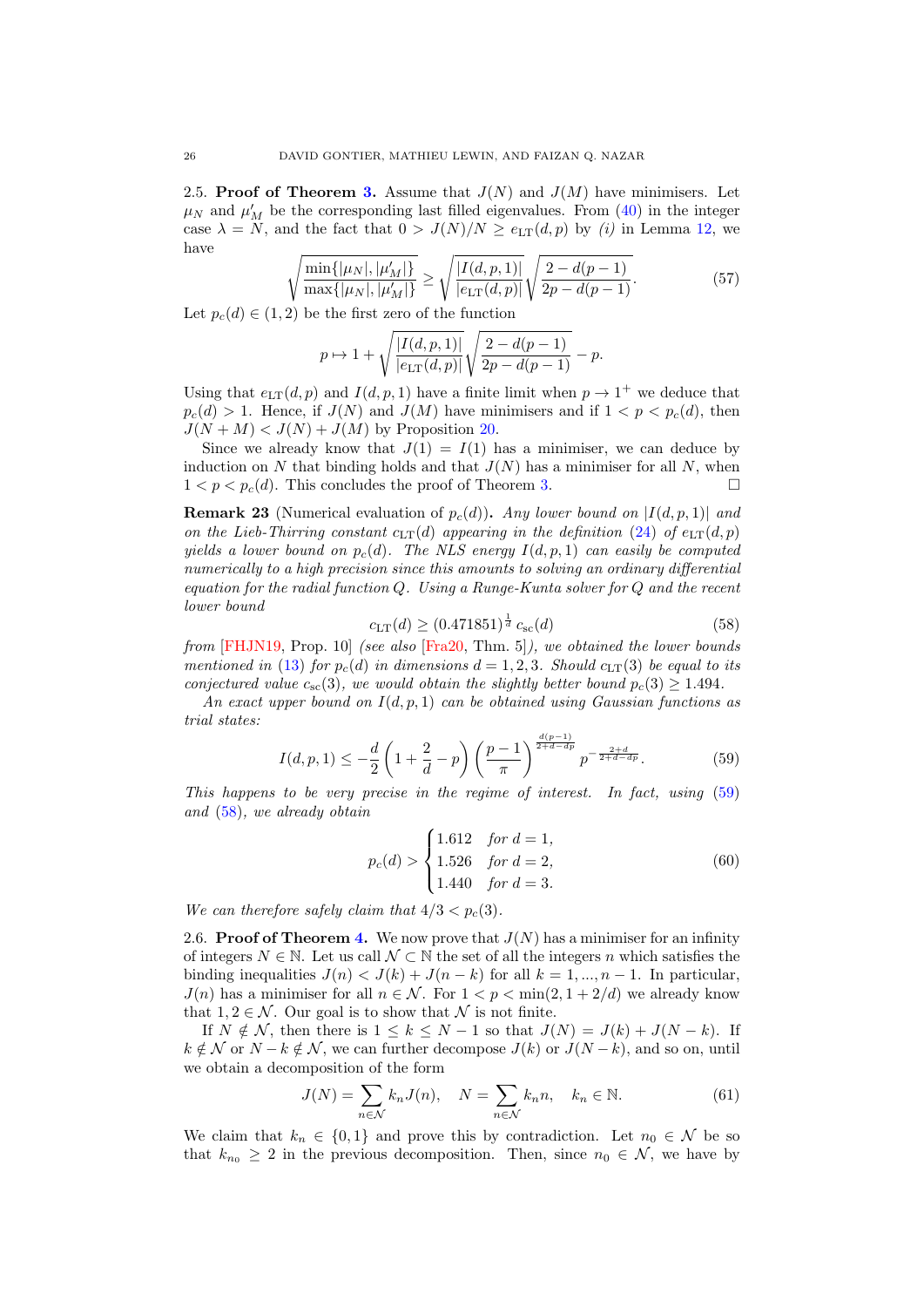<span id="page-25-0"></span>2.5. Proof of Theorem [3.](#page-3-3) Assume that  $J(N)$  and  $J(M)$  have minimisers. Let  $\mu_N$  and  $\mu'_M$  be the corresponding last filled eigenvalues. From [\(40\)](#page-17-4) in the integer case  $\lambda = N$ , and the fact that  $0 > J(N)/N \ge e_{LT}(d, p)$  by *(i)* in Lemma [12,](#page-13-1) we have

$$
\sqrt{\frac{\min\{|\mu_N|, |\mu'_M|\}}{\max\{|\mu_N|, |\mu'_M|\}}}\ge \sqrt{\frac{|I(d, p, 1)|}{|e_{\text{LT}}(d, p)|}}\sqrt{\frac{2 - d(p - 1)}{2p - d(p - 1)}}.\tag{57}
$$

Let  $p_c(d) \in (1,2)$  be the first zero of the function

$$
p \mapsto 1 + \sqrt{\frac{|I(d, p, 1)|}{|e_{\text{LT}}(d, p)|}} \sqrt{\frac{2 - d(p - 1)}{2p - d(p - 1)}} - p.
$$

Using that  $e_{LT}(d, p)$  and  $I(d, p, 1)$  have a finite limit when  $p \to 1^+$  we deduce that  $p_c(d) > 1$ . Hence, if  $J(N)$  and  $J(M)$  have minimisers and if  $1 < p < p_c(d)$ , then  $J(N+M) < J(N) + J(M)$  by Proposition [20.](#page-21-0)

Since we already know that  $J(1) = I(1)$  has a minimiser, we can deduce by induction on N that binding holds and that  $J(N)$  has a minimiser for all N, when  $1 < p < p<sub>c</sub>(d)$ . This concludes the proof of Theorem [3.](#page-3-3)

<span id="page-25-1"></span>**Remark 23** (Numerical evaluation of  $p_c(d)$ ). Any lower bound on  $|I(d, p, 1)|$  and on the Lieb-Thirring constant  $c_{LT}(d)$  appearing in the definition [\(24\)](#page-9-4) of  $e_{LT}(d, p)$ yields a lower bound on  $p_c(d)$ . The NLS energy  $I(d, p, 1)$  can easily be computed numerically to a high precision since this amounts to solving an ordinary differential equation for the radial function  $Q$ . Using a Runge-Kunta solver for  $Q$  and the recent lower bound

<span id="page-25-3"></span>
$$
c_{\rm LT}(d) \ge (0.471851)^{\frac{1}{d}} c_{\rm sc}(d) \tag{58}
$$

from [\[FHJN19,](#page-37-8) Prop. 10] (see also [\[Fra20,](#page-37-6) Thm. 5]), we obtained the lower bounds mentioned in [\(13\)](#page-3-5) for  $p_c(d)$  in dimensions  $d = 1, 2, 3$ . Should  $c_{LT}(3)$  be equal to its conjectured value  $c_{\rm sc}(3)$ , we would obtain the slightly better bound  $p_c(3) \geq 1.494$ .

An exact upper bound on  $I(d, p, 1)$  can be obtained using Gaussian functions as trial states:

<span id="page-25-2"></span>
$$
I(d, p, 1) \le -\frac{d}{2} \left( 1 + \frac{2}{d} - p \right) \left( \frac{p-1}{\pi} \right)^{\frac{d(p-1)}{2+d-dp}} p^{-\frac{2+d}{2+d-dp}}.
$$
 (59)

This happens to be very precise in the regime of interest. In fact, using [\(59\)](#page-25-2) and [\(58\)](#page-25-3), we already obtain

$$
p_c(d) > \begin{cases} 1.612 & \text{for } d = 1, \\ 1.526 & \text{for } d = 2, \\ 1.440 & \text{for } d = 3. \end{cases}
$$
 (60)

We can therefore safely claim that  $4/3 < p_c(3)$ .

2.6. **Proof of Theorem [4.](#page-4-1)** We now prove that  $J(N)$  has a minimiser for an infinity of integers  $N \in \mathbb{N}$ . Let us call  $\mathcal{N} \subset \mathbb{N}$  the set of all the integers n which satisfies the binding inequalities  $J(n) < J(k) + J(n - k)$  for all  $k = 1, ..., n - 1$ . In particular,  $J(n)$  has a minimiser for all  $n \in \mathcal{N}$ . For  $1 < p < \min(2, 1 + 2/d)$  we already know that  $1, 2 \in \mathcal{N}$ . Our goal is to show that  $\mathcal N$  is not finite.

If  $N \notin \mathcal{N}$ , then there is  $1 \leq k \leq N-1$  so that  $J(N) = J(k) + J(N-k)$ . If  $k \notin \mathcal{N}$  or  $N - k \notin \mathcal{N}$ , we can further decompose  $J(k)$  or  $J(N - k)$ , and so on, until we obtain a decomposition of the form

<span id="page-25-4"></span>
$$
J(N) = \sum_{n \in \mathcal{N}} k_n J(n), \quad N = \sum_{n \in \mathcal{N}} k_n n, \quad k_n \in \mathbb{N}.
$$
 (61)

We claim that  $k_n \in \{0,1\}$  and prove this by contradiction. Let  $n_0 \in \mathcal{N}$  be so that  $k_{n_0} \geq 2$  in the previous decomposition. Then, since  $n_0 \in \mathcal{N}$ , we have by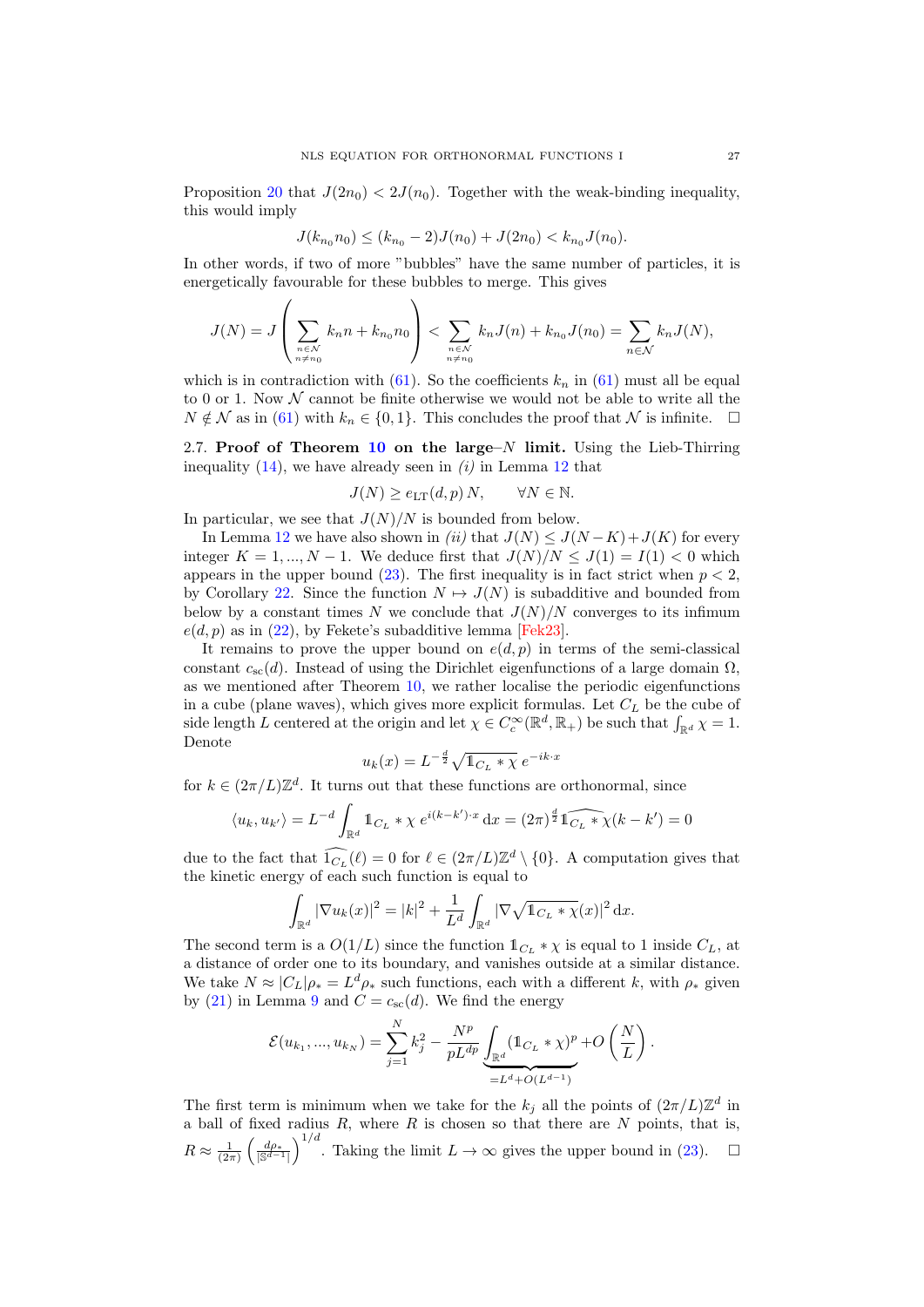Proposition [20](#page-21-0) that  $J(2n_0) < 2J(n_0)$ . Together with the weak-binding inequality, this would imply

$$
J(k_{n_0}n_0) \le (k_{n_0} - 2)J(n_0) + J(2n_0) < k_{n_0}J(n_0).
$$

In other words, if two of more "bubbles" have the same number of particles, it is energetically favourable for these bubbles to merge. This gives

$$
J(N) = J\left(\sum_{\substack{n \in \mathcal{N} \\ n \neq n_0}} k_n n + k_{n_0} n_0\right) < \sum_{\substack{n \in \mathcal{N} \\ n \neq n_0}} k_n J(n) + k_{n_0} J(n_0) = \sum_{n \in \mathcal{N}} k_n J(N),
$$

which is in contradiction with [\(61\)](#page-25-4). So the coefficients  $k_n$  in (61) must all be equal to 0 or 1. Now  $N$  cannot be finite otherwise we would not be able to write all the  $N \notin \mathcal{N}$  as in [\(61\)](#page-25-4) with  $k_n \in \{0,1\}$ . This concludes the proof that  $\mathcal{N}$  is infinite.  $\Box$ 

<span id="page-26-0"></span>2.7. Proof of Theorem [10](#page-9-3) on the large– $N$  limit. Using the Lieb-Thirring inequality  $(14)$ , we have already seen in  $(i)$  in Lemma [12](#page-13-1) that

$$
J(N) \ge e_{\text{LT}}(d, p) N, \qquad \forall N \in \mathbb{N}.
$$

In particular, we see that  $J(N)/N$  is bounded from below.

In Lemma [12](#page-13-1) we have also shown in (ii) that  $J(N) \leq J(N-K)+J(K)$  for every integer  $K = 1, ..., N - 1$ . We deduce first that  $J(N)/N < J(1) = I(1) < 0$  which appears in the upper bound [\(23\)](#page-9-0). The first inequality is in fact strict when  $p < 2$ . by Corollary [22.](#page-24-0) Since the function  $N \mapsto J(N)$  is subadditive and bounded from below by a constant times N we conclude that  $J(N)/N$  converges to its infimum  $e(d, p)$  as in [\(22\)](#page-9-1), by Fekete's subadditive lemma [\[Fek23\]](#page-37-19).

It remains to prove the upper bound on  $e(d, p)$  in terms of the semi-classical constant  $c_{sc}(d)$ . Instead of using the Dirichlet eigenfunctions of a large domain  $\Omega$ , as we mentioned after Theorem [10,](#page-9-3) we rather localise the periodic eigenfunctions in a cube (plane waves), which gives more explicit formulas. Let  $C_L$  be the cube of side length L centered at the origin and let  $\chi \in C_c^{\infty}(\mathbb{R}^d, \mathbb{R}_+)$  be such that  $\int_{\mathbb{R}^d} \chi = 1$ . Denote

$$
u_k(x) = L^{-\frac{d}{2}} \sqrt{\mathbb{1}_{C_L} * \chi} e^{-ik \cdot x}
$$

for  $k \in (2\pi/L)\mathbb{Z}^d$ . It turns out that these functions are orthonormal, since

$$
\langle u_k, u_{k'} \rangle = L^{-d} \int_{\mathbb{R}^d} \mathbb{1}_{C_L} * \chi \, e^{i(k - k') \cdot x} \, dx = (2\pi)^{\frac{d}{2}} \widehat{\mathbb{1}_{C_L} * \chi(k - k')} = 0
$$

due to the fact that  $\widehat{\mathcal{1}_{C_L}}(\ell) = 0$  for  $\ell \in (2\pi/L)\mathbb{Z}^d \setminus \{0\}$ . A computation gives that the kinetic energy of each such function is equal to

$$
\int_{\mathbb{R}^d} |\nabla u_k(x)|^2 = |k|^2 + \frac{1}{L^d} \int_{\mathbb{R}^d} |\nabla \sqrt{\mathbb{1}_{C_L} * \chi}(x)|^2 dx.
$$

The second term is a  $O(1/L)$  since the function  $\mathbb{1}_{C_L} * \chi$  is equal to 1 inside  $C_L$ , at a distance of order one to its boundary, and vanishes outside at a similar distance. We take  $N \approx |C_L| \rho_* = L^d \rho_*$  such functions, each with a different k, with  $\rho_*$  given by [\(21\)](#page-8-2) in Lemma [9](#page-8-0) and  $C = c_{\rm sc}(d)$ . We find the energy

$$
\mathcal{E}(u_{k_1},...,u_{k_N}) = \sum_{j=1}^N k_j^2 - \frac{N^p}{pL^{dp}} \underbrace{\int_{\mathbb{R}^d} (\mathbb{1}_{C_L} * \chi)^p}_{=L^d + O(L^{d-1})} + O\left(\frac{N}{L}\right).
$$

The first term is minimum when we take for the  $k_j$  all the points of  $(2\pi/L)\mathbb{Z}^d$  in a ball of fixed radius  $R$ , where  $R$  is chosen so that there are  $N$  points, that is,  $R \approx \frac{1}{(2\pi)} \left( \frac{d\rho_*}{|\mathbb{S}^{d-1}|} \right)^{1/d}$ . Taking the limit  $L \to \infty$  gives the upper bound in [\(23\)](#page-9-0).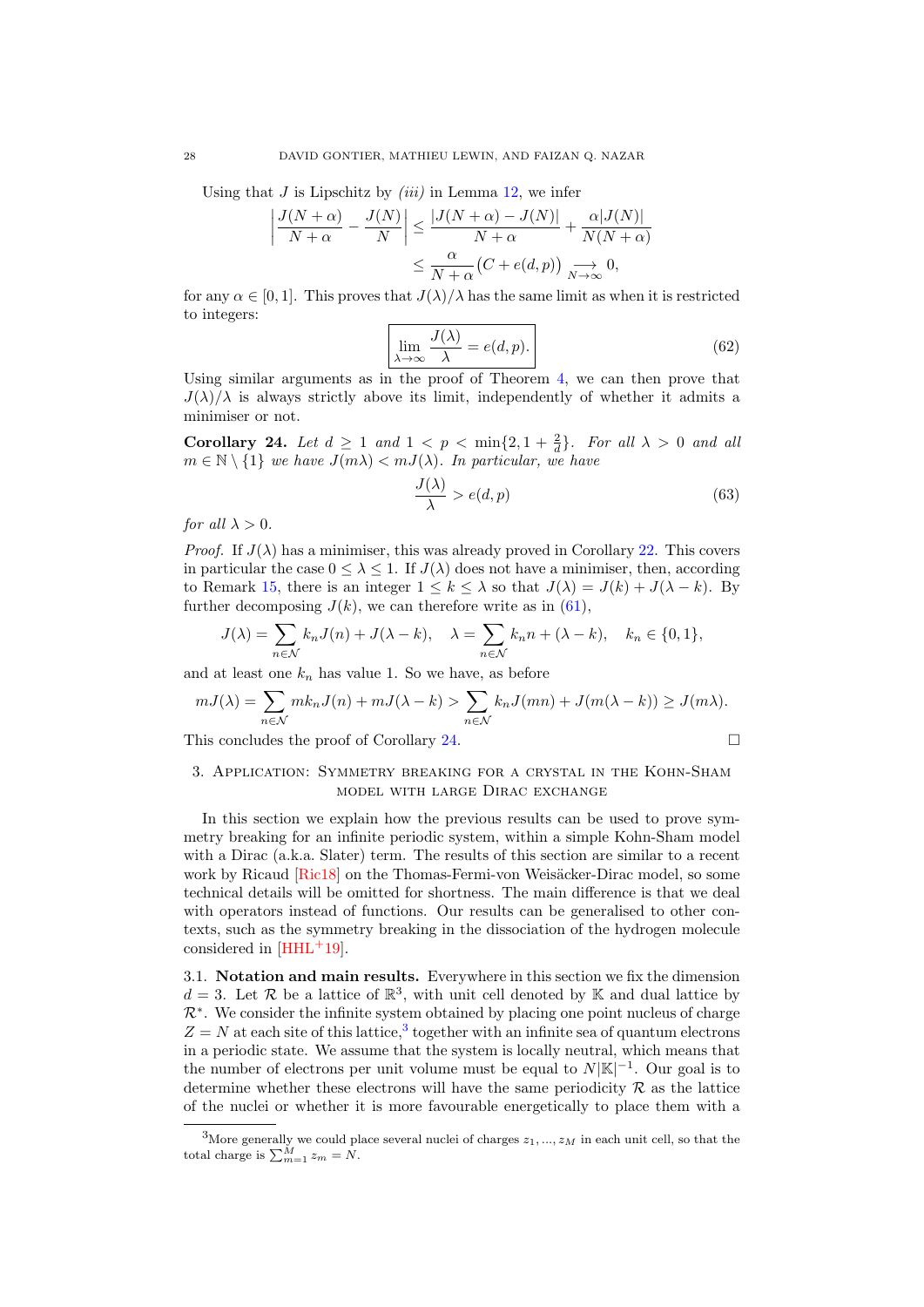Using that  $J$  is Lipschitz by *(iii)* in Lemma [12,](#page-13-1) we infer

$$
\left| \frac{J(N+\alpha)}{N+\alpha} - \frac{J(N)}{N} \right| \le \frac{|J(N+\alpha) - J(N)|}{N+\alpha} + \frac{\alpha |J(N)|}{N(N+\alpha)}
$$

$$
\le \frac{\alpha}{N+\alpha} (C + e(d, p)) \underset{N \to \infty}{\longrightarrow} 0,
$$

for any  $\alpha \in [0,1]$ . This proves that  $J(\lambda)/\lambda$  has the same limit as when it is restricted to integers:

$$
\lim_{\lambda \to \infty} \frac{J(\lambda)}{\lambda} = e(d, p). \tag{62}
$$

Using similar arguments as in the proof of Theorem  $4$ , we can then prove that  $J(\lambda)/\lambda$  is always strictly above its limit, independently of whether it admits a minimiser or not.

<span id="page-27-1"></span>Corollary 24. Let  $d \geq 1$  and  $1 < p < \min\{2, 1 + \frac{2}{d}\}\$ . For all  $\lambda > 0$  and all  $m \in \mathbb{N} \setminus \{1\}$  we have  $J(m\lambda) < mJ(\lambda)$ . In particular, we have

$$
\frac{J(\lambda)}{\lambda} > e(d, p) \tag{63}
$$

for all  $\lambda > 0$ .

*Proof.* If  $J(\lambda)$  has a minimiser, this was already proved in Corollary [22.](#page-24-0) This covers in particular the case  $0 \leq \lambda \leq 1$ . If  $J(\lambda)$  does not have a minimiser, then, according to Remark [15,](#page-16-4) there is an integer  $1 \leq k \leq \lambda$  so that  $J(\lambda) = J(k) + J(\lambda - k)$ . By further decomposing  $J(k)$ , we can therefore write as in [\(61\)](#page-25-4),

$$
J(\lambda) = \sum_{n \in \mathcal{N}} k_n J(n) + J(\lambda - k), \quad \lambda = \sum_{n \in \mathcal{N}} k_n n + (\lambda - k), \quad k_n \in \{0, 1\},
$$

and at least one  $k_n$  has value 1. So we have, as before

$$
mJ(\lambda) = \sum_{n \in \mathcal{N}} m k_n J(n) + m J(\lambda - k) > \sum_{n \in \mathcal{N}} k_n J(mn) + J(m(\lambda - k)) \ge J(m\lambda).
$$

This concludes the proof of Corollary [24.](#page-27-1)  $\Box$ 

## <span id="page-27-0"></span>3. Application: Symmetry breaking for a crystal in the Kohn-Sham model with large Dirac exchange

In this section we explain how the previous results can be used to prove symmetry breaking for an infinite periodic system, within a simple Kohn-Sham model with a Dirac (a.k.a. Slater) term. The results of this section are similar to a recent work by Ricaud [\[Ric18\]](#page-38-15) on the Thomas-Fermi-von Weisäcker-Dirac model, so some technical details will be omitted for shortness. The main difference is that we deal with operators instead of functions. Our results can be generalised to other contexts, such as the symmetry breaking in the dissociation of the hydrogen molecule considered in  $[HHL+19]$  $[HHL+19]$ .

3.1. Notation and main results. Everywhere in this section we fix the dimension  $d=3$ . Let R be a lattice of  $\mathbb{R}^3$ , with unit cell denoted by K and dual lattice by  $\mathcal{R}^*$ . We consider the infinite system obtained by placing one point nucleus of charge  $Z = N$  at each site of this lattice,<sup>[3](#page-27-2)</sup> together with an infinite sea of quantum electrons in a periodic state. We assume that the system is locally neutral, which means that the number of electrons per unit volume must be equal to  $N|\mathbb{K}|^{-1}$ . Our goal is to determine whether these electrons will have the same periodicity  $\mathcal R$  as the lattice of the nuclei or whether it is more favourable energetically to place them with a

<span id="page-27-2"></span><sup>&</sup>lt;sup>3</sup>More generally we could place several nuclei of charges  $z_1, ..., z_M$  in each unit cell, so that the total charge is  $\sum_{m=1}^{M} z_m = N$ .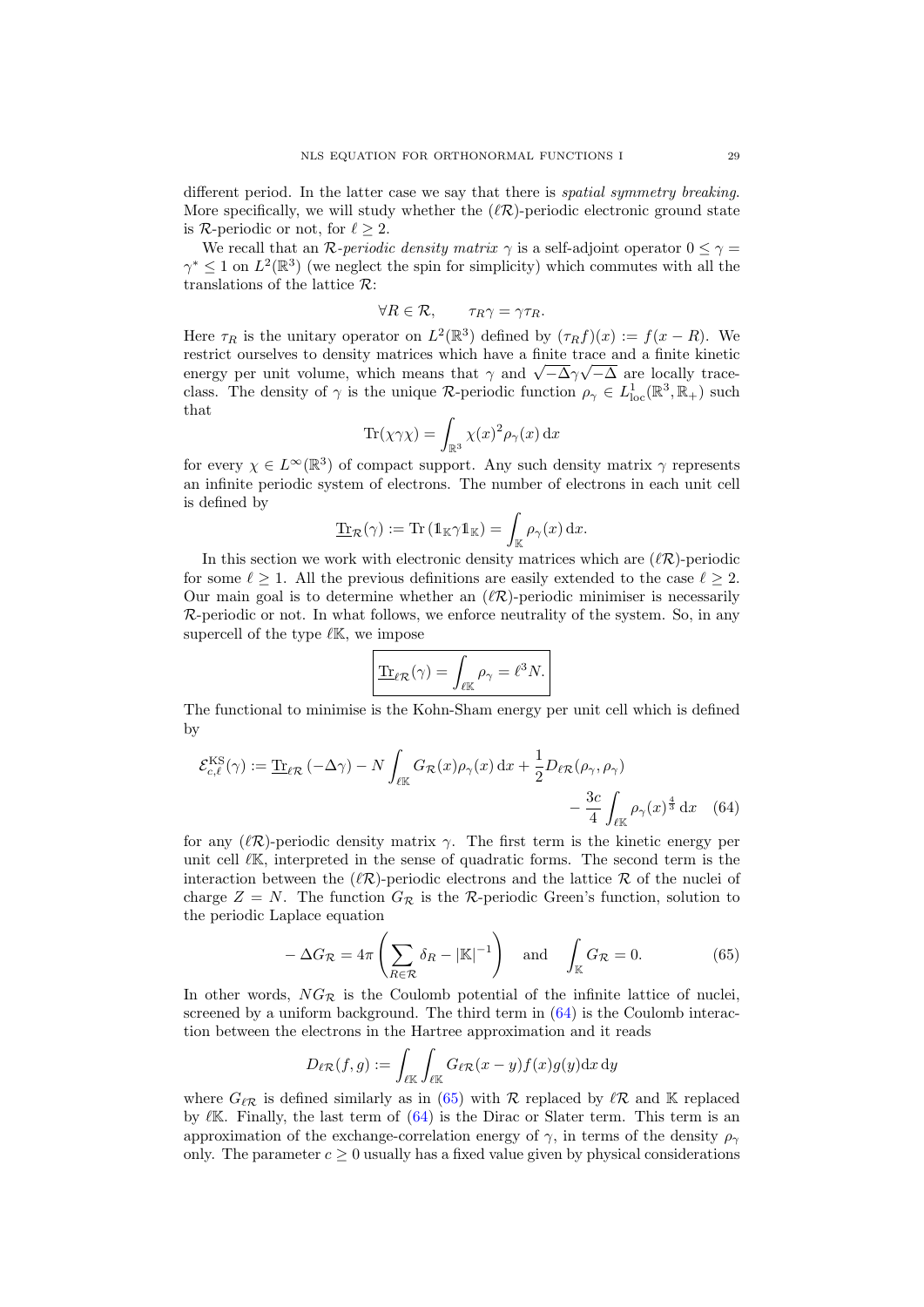different period. In the latter case we say that there is *spatial symmetry breaking*. More specifically, we will study whether the  $(\ell \mathcal{R})$ -periodic electronic ground state is R-periodic or not, for  $\ell > 2$ .

We recall that an R-periodic density matrix  $\gamma$  is a self-adjoint operator  $0 \leq \gamma =$  $\gamma^* \leq 1$  on  $L^2(\mathbb{R}^3)$  (we neglect the spin for simplicity) which commutes with all the translations of the lattice  $\mathcal{R}$ :

$$
\forall R \in \mathcal{R}, \qquad \tau_R \gamma = \gamma \tau_R.
$$

Here  $\tau_R$  is the unitary operator on  $L^2(\mathbb{R}^3)$  defined by  $(\tau_R f)(x) := f(x - R)$ . We restrict ourselves to density matrices which have a finite trace and a finite kinetic restrict ourselves to density matrices which have a finite trace and a finite kinetic<br>energy per unit volume, which means that  $\gamma$  and  $\sqrt{-\Delta}\gamma\sqrt{-\Delta}$  are locally traceclass. The density of  $\gamma$  is the unique R-periodic function  $\rho_{\gamma} \in L^1_{loc}(\mathbb{R}^3, \mathbb{R}_+)$  such that

$$
\text{Tr}(\chi\gamma\chi) = \int_{\mathbb{R}^3} \chi(x)^2 \rho_\gamma(x) \, \mathrm{d}x
$$

for every  $\chi \in L^{\infty}(\mathbb{R}^3)$  of compact support. Any such density matrix  $\gamma$  represents an infinite periodic system of electrons. The number of electrons in each unit cell is defined by

$$
\underline{\text{Tr}}_{\mathcal{R}}(\gamma) := \text{Tr} \left( \mathbb{1}_{\mathbb{K}} \gamma \mathbb{1}_{\mathbb{K}} \right) = \int_{\mathbb{K}} \rho_{\gamma}(x) \, \mathrm{d}x.
$$

In this section we work with electronic density matrices which are  $(\ell \mathcal{R})$ -periodic for some  $\ell \geq 1$ . All the previous definitions are easily extended to the case  $\ell \geq 2$ . Our main goal is to determine whether an  $(\ell \mathcal{R})$ -periodic minimiser is necessarily  $\mathcal{R}$ -periodic or not. In what follows, we enforce neutrality of the system. So, in any supercell of the type  $\ell\mathbb{K}$ , we impose

<span id="page-28-0"></span>
$$
\underline{\text{Tr}}_{\ell\mathcal{R}}(\gamma) = \int_{\ell\mathbb{K}} \rho_{\gamma} = \ell^3 N.
$$

The functional to minimise is the Kohn-Sham energy per unit cell which is defined by

$$
\mathcal{E}_{c,\ell}^{\text{KS}}(\gamma) := \underline{\text{Tr}}_{\ell\mathcal{R}} \left( -\Delta\gamma \right) - N \int_{\ell\mathbb{K}} G_{\mathcal{R}}(x) \rho_{\gamma}(x) \, \mathrm{d}x + \frac{1}{2} D_{\ell\mathcal{R}}(\rho_{\gamma}, \rho_{\gamma}) - \frac{3c}{4} \int_{\ell\mathbb{K}} \rho_{\gamma}(x)^{\frac{4}{3}} \, \mathrm{d}x \tag{64}
$$

for any  $(\ell \mathcal{R})$ -periodic density matrix  $\gamma$ . The first term is the kinetic energy per unit cell  $\ell$ K, interpreted in the sense of quadratic forms. The second term is the interaction between the  $(\ell \mathcal{R})$ -periodic electrons and the lattice R of the nuclei of charge  $Z = N$ . The function  $G_{\mathcal{R}}$  is the R-periodic Green's function, solution to the periodic Laplace equation

<span id="page-28-1"></span>
$$
-\Delta G_{\mathcal{R}} = 4\pi \left( \sum_{R \in \mathcal{R}} \delta_R - |\mathbb{K}|^{-1} \right) \quad \text{and} \quad \int_{\mathbb{K}} G_{\mathcal{R}} = 0. \tag{65}
$$

In other words,  $NG_{\mathcal{R}}$  is the Coulomb potential of the infinite lattice of nuclei, screened by a uniform background. The third term in [\(64\)](#page-28-0) is the Coulomb interaction between the electrons in the Hartree approximation and it reads

$$
D_{\ell\mathcal{R}}(f,g) := \int_{\ell\mathbb{K}} \int_{\ell\mathbb{K}} G_{\ell\mathcal{R}}(x-y)f(x)g(y) \mathrm{d}x \, \mathrm{d}y
$$

where  $G_{\ell \mathcal{R}}$  is defined similarly as in [\(65\)](#page-28-1) with R replaced by  $\ell \mathcal{R}$  and K replaced by  $\ell$ K. Finally, the last term of  $(64)$  is the Dirac or Slater term. This term is an approximation of the exchange-correlation energy of  $\gamma$ , in terms of the density  $\rho_{\gamma}$ only. The parameter  $c \geq 0$  usually has a fixed value given by physical considerations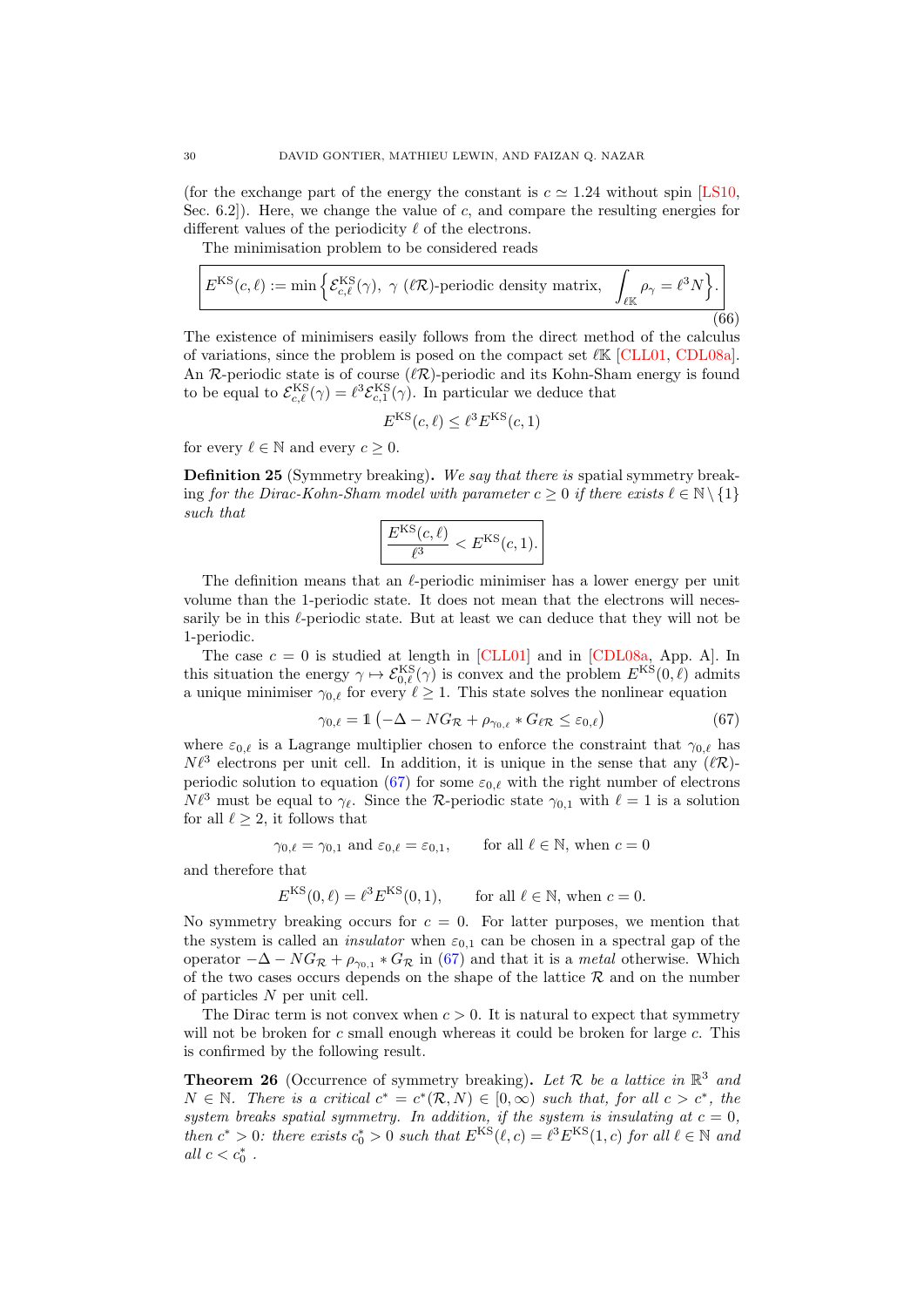(for the exchange part of the energy the constant is  $c \approx 1.24$  without spin [\[LS10,](#page-38-12) Sec. 6.2... Here, we change the value of c, and compare the resulting energies for different values of the periodicity  $\ell$  of the electrons.

The minimisation problem to be considered reads

$$
E^{\text{KS}}(c,\ell) := \min\left\{ \mathcal{E}_{c,\ell}^{\text{KS}}(\gamma), \ \gamma \ (\ell \mathcal{R}) \text{-periodic density matrix}, \ \int_{\ell \mathbb{K}} \rho_{\gamma} = \ell^3 N \right\}. \tag{66}
$$

The existence of minimisers easily follows from the direct method of the calculus of variations, since the problem is posed on the compact set  $\ell \mathbb{K}$  [\[CLL01,](#page-36-21) [CDL08a\]](#page-36-22). An  $\mathcal{R}$ -periodic state is of course  $(\ell \mathcal{R})$ -periodic and its Kohn-Sham energy is found to be equal to  $\mathcal{E}_{c,\ell}^{\text{KS}}(\gamma) = \ell^3 \mathcal{E}_{c,1}^{\text{KS}}(\gamma)$ . In particular we deduce that

$$
E^{\text{KS}}(c,\ell) \leq \ell^3 E^{\text{KS}}(c,1)
$$

for every  $\ell \in \mathbb{N}$  and every  $c \geq 0$ .

Definition 25 (Symmetry breaking). We say that there is spatial symmetry breaking for the Dirac-Kohn-Sham model with parameter  $c \geq 0$  if there exists  $\ell \in \mathbb{N} \setminus \{1\}$ such that

$$
\left| \frac{E^{\text{KS}}(c,\ell)}{\ell^3} < E^{\text{KS}}(c,1).
$$

The definition means that an  $\ell$ -periodic minimiser has a lower energy per unit volume than the 1-periodic state. It does not mean that the electrons will necessarily be in this  $\ell$ -periodic state. But at least we can deduce that they will not be 1-periodic.

The case  $c = 0$  is studied at length in [\[CLL01\]](#page-36-21) and in [\[CDL08a,](#page-36-22) App. A]. In this situation the energy  $\gamma \mapsto \mathcal{E}_{0,\ell}^{KS}(\gamma)$  is convex and the problem  $E^{KS}(0,\ell)$  admits a unique minimiser  $\gamma_{0,\ell}$  for every  $\ell \geq 1$ . This state solves the nonlinear equation

<span id="page-29-0"></span>
$$
\gamma_{0,\ell} = 1 \left( -\Delta - NG_{\mathcal{R}} + \rho_{\gamma_{0,\ell}} * G_{\ell \mathcal{R}} \leq \varepsilon_{0,\ell} \right) \tag{67}
$$

where  $\varepsilon_{0,\ell}$  is a Lagrange multiplier chosen to enforce the constraint that  $\gamma_{0,\ell}$  has  $N\ell^3$  electrons per unit cell. In addition, it is unique in the sense that any  $(\ell \mathcal{R})$ -periodic solution to equation [\(67\)](#page-29-0) for some  $\varepsilon_{0,\ell}$  with the right number of electrons  $N \ell^3$  must be equal to  $\gamma_{\ell}$ . Since the R-periodic state  $\gamma_{0,1}$  with  $\ell = 1$  is a solution for all  $\ell \geq 2$ , it follows that

$$
\gamma_{0,\ell} = \gamma_{0,1}
$$
 and  $\varepsilon_{0,\ell} = \varepsilon_{0,1}$ , for all  $\ell \in \mathbb{N}$ , when  $c = 0$ 

and therefore that

$$
E^{\text{KS}}(0,\ell) = \ell^3 E^{\text{KS}}(0,1), \qquad \text{for all } \ell \in \mathbb{N}, \text{ when } c = 0.
$$

No symmetry breaking occurs for  $c = 0$ . For latter purposes, we mention that the system is called an *insulator* when  $\varepsilon_{0,1}$  can be chosen in a spectral gap of the operator  $-\Delta - NG_{\mathcal{R}} + \rho_{\gamma_{0,1}} * G_{\mathcal{R}}$  in [\(67\)](#page-29-0) and that it is a *metal* otherwise. Which of the two cases occurs depends on the shape of the lattice  $R$  and on the number of particles N per unit cell.

The Dirac term is not convex when  $c > 0$ . It is natural to expect that symmetry will not be broken for  $c$  small enough whereas it could be broken for large  $c$ . This is confirmed by the following result.

<span id="page-29-1"></span>**Theorem 26** (Occurrence of symmetry breaking). Let  $\mathcal{R}$  be a lattice in  $\mathbb{R}^3$  and  $N \in \mathbb{N}$ . There is a critical  $c^* = c^*(R, N) \in [0, \infty)$  such that, for all  $c > c^*$ , the system breaks spatial symmetry. In addition, if the system is insulating at  $c = 0$ , then  $c^* > 0$ : there exists  $c_0^* > 0$  such that  $E^{KS}(\ell, c) = \ell^3 E^{KS}(1, c)$  for all  $\ell \in \mathbb{N}$  and all  $c < c_0^*$ .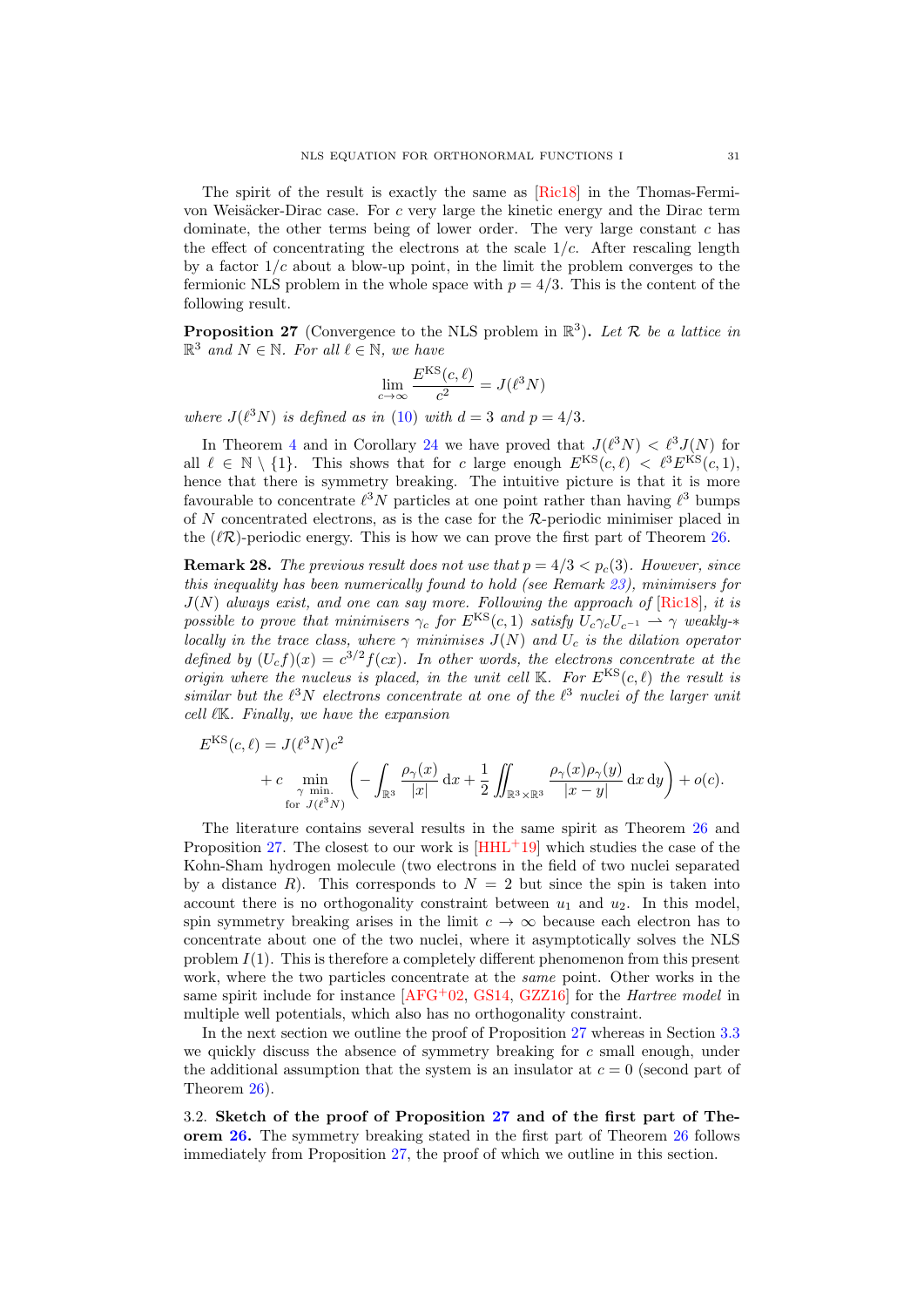The spirit of the result is exactly the same as [\[Ric18\]](#page-38-15) in the Thomas-Fermivon Weisäcker-Dirac case. For  $c$  very large the kinetic energy and the Dirac term dominate, the other terms being of lower order. The very large constant  $c$  has the effect of concentrating the electrons at the scale  $1/c$ . After rescaling length by a factor  $1/c$  about a blow-up point, in the limit the problem converges to the fermionic NLS problem in the whole space with  $p = 4/3$ . This is the content of the following result.

<span id="page-30-0"></span>**Proposition 27** (Convergence to the NLS problem in  $\mathbb{R}^3$ ). Let R be a lattice in  $\mathbb{R}^3$  and  $N \in \mathbb{N}$ . For all  $\ell \in \mathbb{N}$ , we have

$$
\lim_{c \to \infty} \frac{E^{\text{KS}}(c,\ell)}{c^2} = J(\ell^3 N)
$$

where  $J(\ell^3 N)$  is defined as in [\(10\)](#page-3-4) with  $d = 3$  and  $p = 4/3$ .

In Theorem [4](#page-4-1) and in Corollary [24](#page-27-1) we have proved that  $J(\ell^3 N) < \ell^3 J(N)$  for all  $\ell \in \mathbb{N} \setminus \{1\}$ . This shows that for c large enough  $E^{KS}(c, \ell) < \ell^3 E^{KS}(c, 1)$ , hence that there is symmetry breaking. The intuitive picture is that it is more favourable to concentrate  $\ell^3 N$  particles at one point rather than having  $\ell^3$  bumps of  $N$  concentrated electrons, as is the case for the  $R$ -periodic minimiser placed in the  $(\ell \mathcal{R})$ -periodic energy. This is how we can prove the first part of Theorem [26.](#page-29-1)

**Remark 28.** The previous result does not use that  $p = 4/3 < p_c(3)$ . However, since this inequality has been numerically found to hold (see Remark  $23$ ), minimisers for  $J(N)$  always exist, and one can say more. Following the approach of  $[Ric18]$ , it is possible to prove that minimisers  $\gamma_c$  for  $E^{KS}(c, 1)$  satisfy  $U_c \gamma_c U_{c^{-1}} \rightharpoonup \gamma$  weakly- $*$ locally in the trace class, where  $\gamma$  minimises  $J(N)$  and  $U_c$  is the dilation operator defined by  $(U_c f)(x) = c^{3/2} f(cx)$ . In other words, the electrons concentrate at the origin where the nucleus is placed, in the unit cell  $K$ . For  $E^{KS}(c, \ell)$  the result is similar but the  $\ell^3 N$  electrons concentrate at one of the  $\ell^3$  nuclei of the larger unit cell  $\ell$ K. Finally, we have the expansion

$$
E^{\text{KS}}(c,\ell) = J(\ell^3 N) c^2
$$
  
+ 
$$
c \min_{\substack{\gamma \text{ min.}\\ \text{for } J(\ell^3 N)}} \left( - \int_{\mathbb{R}^3} \frac{\rho_\gamma(x)}{|x|} dx + \frac{1}{2} \iint_{\mathbb{R}^3 \times \mathbb{R}^3} \frac{\rho_\gamma(x) \rho_\gamma(y)}{|x - y|} dx dy \right) + o(c).
$$

The literature contains several results in the same spirit as Theorem [26](#page-29-1) and Proposition [27.](#page-30-0) The closest to our work is  $\text{[HHL+19]}$  $\text{[HHL+19]}$  $\text{[HHL+19]}$  which studies the case of the Kohn-Sham hydrogen molecule (two electrons in the field of two nuclei separated by a distance R). This corresponds to  $N = 2$  but since the spin is taken into account there is no orthogonality constraint between  $u_1$  and  $u_2$ . In this model, spin symmetry breaking arises in the limit  $c \to \infty$  because each electron has to concentrate about one of the two nuclei, where it asymptotically solves the NLS problem  $I(1)$ . This is therefore a completely different phenomenon from this present work, where the two particles concentrate at the same point. Other works in the same spirit include for instance  $[AFG^+02, GS14, GZZ16]$  $[AFG^+02, GS14, GZZ16]$  $[AFG^+02, GS14, GZZ16]$  $[AFG^+02, GS14, GZZ16]$  $[AFG^+02, GS14, GZZ16]$  for the *Hartree model* in multiple well potentials, which also has no orthogonality constraint.

In the next section we outline the proof of Proposition [27](#page-30-0) whereas in Section [3.3](#page-32-0) we quickly discuss the absence of symmetry breaking for  $c$  small enough, under the additional assumption that the system is an insulator at  $c = 0$  (second part of Theorem [26\)](#page-29-1).

3.2. Sketch of the proof of Proposition [27](#page-30-0) and of the first part of Theorem [26.](#page-29-1) The symmetry breaking stated in the first part of Theorem [26](#page-29-1) follows immediately from Proposition [27,](#page-30-0) the proof of which we outline in this section.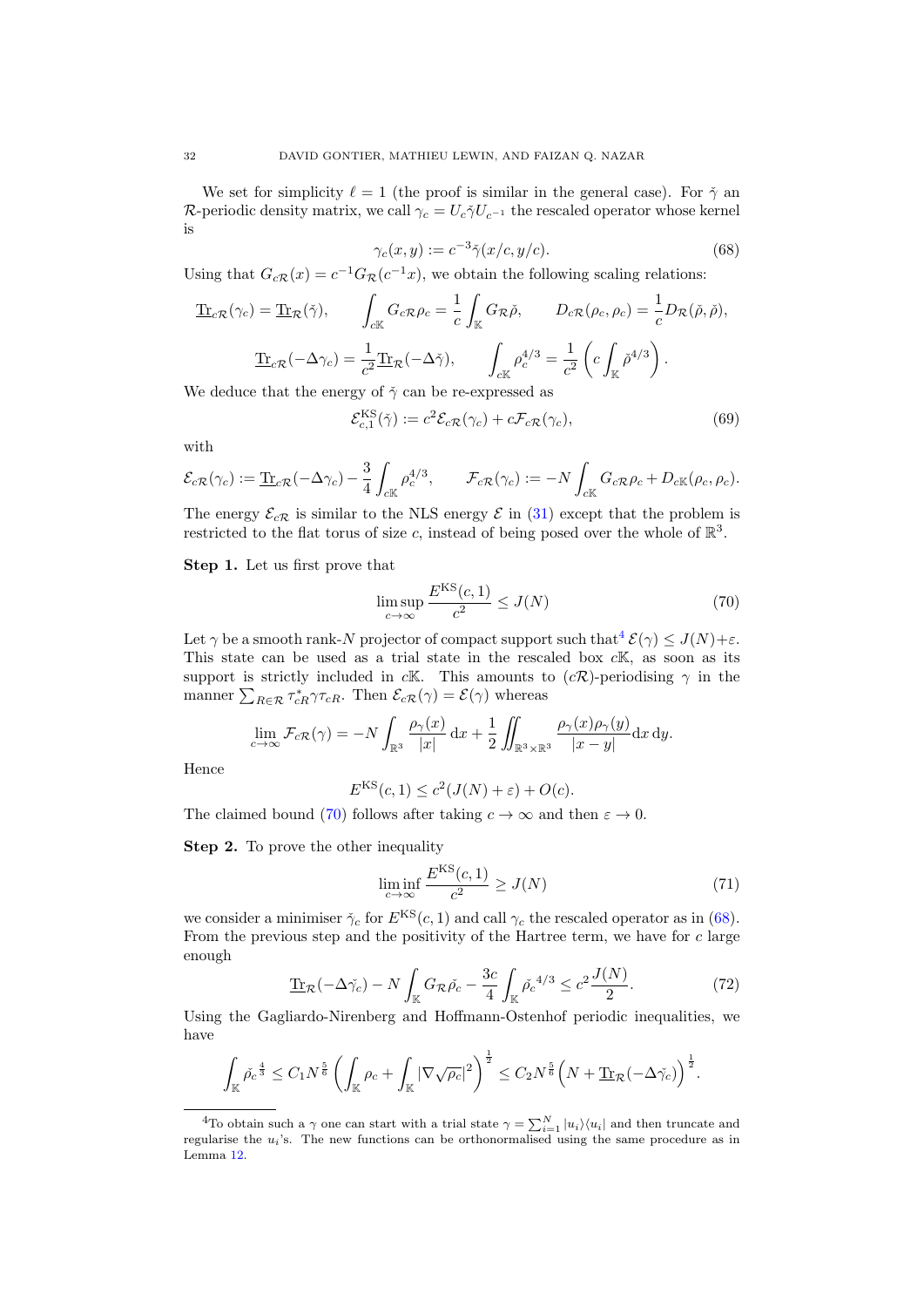We set for simplicity  $\ell = 1$  (the proof is similar in the general case). For  $\check{\gamma}$  and R-periodic density matrix, we call  $\gamma_c = U_c \tilde{\gamma} U_{c^{-1}}$  the rescaled operator whose kernel is

<span id="page-31-2"></span>
$$
\gamma_c(x, y) := c^{-3} \check{\gamma}(x/c, y/c). \tag{68}
$$

Using that  $G_{cR}(x) = c^{-1}G_R(c^{-1}x)$ , we obtain the following scaling relations:

$$
\underline{\text{Tr}}_{c\mathcal{R}}(\gamma_c) = \underline{\text{Tr}}_{\mathcal{R}}(\check{\gamma}), \qquad \int_{c\mathbb{K}} G_{c\mathcal{R}} \rho_c = \frac{1}{c} \int_{\mathbb{K}} G_{\mathcal{R}} \check{\rho}, \qquad D_{c\mathcal{R}}(\rho_c, \rho_c) = \frac{1}{c} D_{\mathcal{R}}(\check{\rho}, \check{\rho}),
$$

$$
\underline{\text{Tr}}_{c\mathcal{R}}(-\Delta \gamma_c) = \frac{1}{c^2} \underline{\text{Tr}}_{\mathcal{R}}(-\Delta \check{\gamma}), \qquad \int_{c\mathbb{K}} \rho_c^{4/3} = \frac{1}{c^2} \left( c \int_{\mathbb{K}} \check{\rho}^{4/3} \right).
$$

We deduce that the energy of  $\check{\gamma}$  can be re-expressed as

$$
\mathcal{E}_{c,1}^{\text{KS}}(\tilde{\gamma}) := c^2 \mathcal{E}_{c\mathcal{R}}(\gamma_c) + c \mathcal{F}_{c\mathcal{R}}(\gamma_c),\tag{69}
$$

with

$$
\mathcal{E}_{c\mathcal{R}}(\gamma_c) := \underline{\text{Tr}}_{c\mathcal{R}}(-\Delta \gamma_c) - \frac{3}{4} \int_{c\mathbb{K}} \rho_c^{4/3}, \qquad \mathcal{F}_{c\mathcal{R}}(\gamma_c) := -N \int_{c\mathbb{K}} G_{c\mathcal{R}} \rho_c + D_{c\mathbb{K}}(\rho_c, \rho_c).
$$

The energy  $\mathcal{E}_{cR}$  is similar to the NLS energy  $\mathcal E$  in [\(31\)](#page-12-5) except that the problem is restricted to the flat torus of size c, instead of being posed over the whole of  $\mathbb{R}^3$ .

Step 1. Let us first prove that

<span id="page-31-1"></span>
$$
\limsup_{c \to \infty} \frac{E^{\text{KS}}(c, 1)}{c^2} \le J(N)
$$
\n(70)

Let  $\gamma$  be a smooth rank-N projector of compact support such that  $\mathcal{E}(\gamma) \leq J(N)+\varepsilon$ . This state can be used as a trial state in the rescaled box  $c\mathbb{K}$ , as soon as its support is strictly included in cK. This amounts to  $(c\mathcal{R})$ -periodising  $\gamma$  in the manner  $\sum_{R \in \mathcal{R}} \tau_{cR}^* \gamma \tau_{cR}$ . Then  $\mathcal{E}_{cR}(\gamma) = \mathcal{E}(\gamma)$  whereas

$$
\lim_{c \to \infty} \mathcal{F}_{c}(\gamma) = -N \int_{\mathbb{R}^3} \frac{\rho_\gamma(x)}{|x|} dx + \frac{1}{2} \iint_{\mathbb{R}^3 \times \mathbb{R}^3} \frac{\rho_\gamma(x) \rho_\gamma(y)}{|x - y|} dx dy.
$$

Hence

$$
E^{KS}(c, 1) \le c^2(J(N) + \varepsilon) + O(c).
$$

The claimed bound [\(70\)](#page-31-1) follows after taking  $c \to \infty$  and then  $\varepsilon \to 0$ .

Step 2. To prove the other inequality

$$
\liminf_{c \to \infty} \frac{E^{\text{KS}}(c, 1)}{c^2} \ge J(N) \tag{71}
$$

we consider a minimiser  $\check{\gamma}_c$  for  $E^{KS}(c, 1)$  and call  $\gamma_c$  the rescaled operator as in [\(68\)](#page-31-2). From the previous step and the positivity of the Hartree term, we have for  $c$  large enough

<span id="page-31-3"></span>
$$
\underline{\text{Tr}}_{\mathcal{R}}(-\Delta \check{\gamma_c}) - N \int_{\mathbb{K}} G_{\mathcal{R}} \check{\rho_c} - \frac{3c}{4} \int_{\mathbb{K}} \check{\rho_c}^{4/3} \le c^2 \frac{J(N)}{2}.
$$
 (72)

Using the Gagliardo-Nirenberg and Hoffmann-Ostenhof periodic inequalities, we have

$$
\int_{\mathbb{K}} \check{\rho_c}^{\frac{4}{3}} \leq C_1 N^{\frac{5}{6}} \left( \int_{\mathbb{K}} \rho_c + \int_{\mathbb{K}} |\nabla \sqrt{\rho_c}|^2 \right)^{\frac{1}{2}} \leq C_2 N^{\frac{5}{6}} \left( N + \underline{\text{Tr}}_{\mathcal{R}} (-\Delta \check{\gamma_c}) \right)^{\frac{1}{2}}.
$$

<span id="page-31-0"></span><sup>&</sup>lt;sup>4</sup>To obtain such a  $\gamma$  one can start with a trial state  $\gamma = \sum_{i=1}^{N} |u_i\rangle\langle u_i|$  and then truncate and regularise the  $u_i$ 's. The new functions can be orthonormalised using the same procedure as in Lemma [12.](#page-13-1)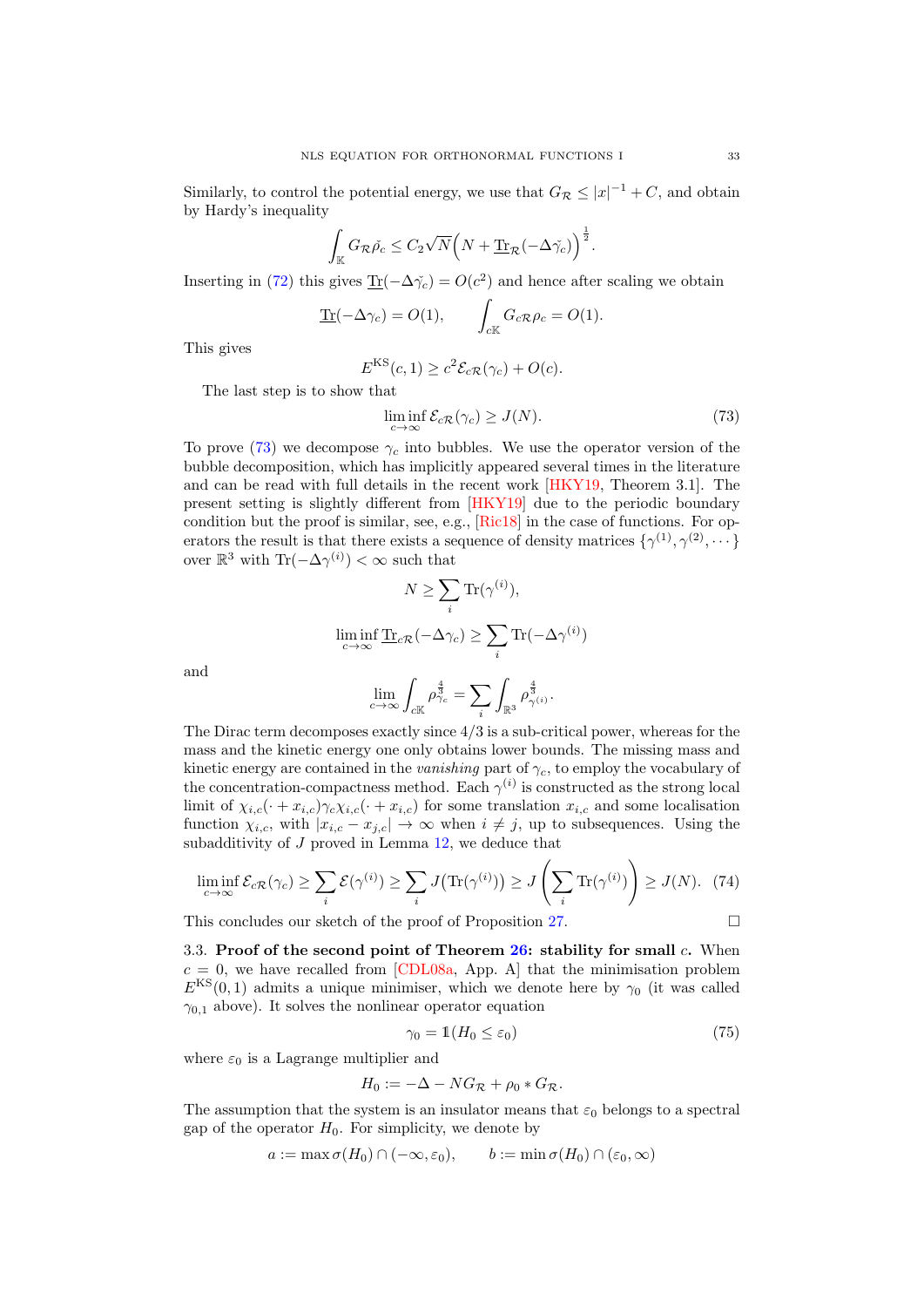Similarly, to control the potential energy, we use that  $G_{\mathcal{R}} \leq |x|^{-1} + C$ , and obtain by Hardy's inequality

$$
\int_{\mathbb{K}} G_{\mathcal{R}} \check{\rho_c} \leq C_2 \sqrt{N} \Big(N + \underline{\text{Tr}}_{\mathcal{R}} (-\Delta \check{\gamma_c})\Big)^{\frac{1}{2}}.
$$

Inserting in [\(72\)](#page-31-3) this gives  $\underline{\text{Tr}}(-\Delta \gamma_c) = O(c^2)$  and hence after scaling we obtain

$$
\underline{\text{Tr}}(-\Delta \gamma_c) = O(1), \qquad \int_{cK} G_c \mathcal{R} \rho_c = O(1).
$$

This gives

$$
E^{KS}(c,1) \ge c^2 \mathcal{E}_{c\mathcal{R}}(\gamma_c) + O(c).
$$

The last step is to show that

<span id="page-32-1"></span>
$$
\liminf_{c \to \infty} \mathcal{E}_{c\mathcal{R}}(\gamma_c) \ge J(N). \tag{73}
$$

To prove [\(73\)](#page-32-1) we decompose  $\gamma_c$  into bubbles. We use the operator version of the bubble decomposition, which has implicitly appeared several times in the literature and can be read with full details in the recent work [\[HKY19,](#page-37-4) Theorem 3.1]. The present setting is slightly different from [\[HKY19\]](#page-37-4) due to the periodic boundary condition but the proof is similar, see, e.g., [\[Ric18\]](#page-38-15) in the case of functions. For operators the result is that there exists a sequence of density matrices  $\{\gamma^{(1)}, \gamma^{(2)}, \dots\}$ over  $\mathbb{R}^3$  with  $\text{Tr}(-\Delta \gamma^{(i)}) < \infty$  such that

$$
N \geq \sum_{i} \text{Tr}(\gamma^{(i)}),
$$
  

$$
\liminf_{c \to \infty} \underline{\text{Tr}}_{c\mathcal{R}}(-\Delta \gamma_c) \geq \sum_{i} \text{Tr}(-\Delta \gamma^{(i)})
$$
  

$$
\lim_{c \to \infty} \int_{c\mathbb{K}} \rho_{\gamma_c}^{\frac{4}{3}} = \sum_{i} \int_{\mathbb{R}^3} \rho_{\gamma^{(i)}}^{\frac{4}{3}}.
$$

and

The Dirac term decomposes exactly since 
$$
4/3
$$
 is a sub-critical power, whereas for the  
mass and the kinetic energy one only obtains lower bounds. The missing mass and  
kinetic energy are contained in the *vanishing* part of  $\gamma_c$ , to employ the vocabulary of  
the concentration-compactness method. Each  $\gamma^{(i)}$  is constructed as the strong local  
limit of  $\chi_{i,c}(\cdot + x_{i,c})\gamma_c\chi_{i,c}(\cdot + x_{i,c})$  for some translation  $x_{i,c}$  and some localisation  
function  $\chi_{i,c}$ , with  $|x_{i,c} - x_{j,c}| \to \infty$  when  $i \neq j$ , up to subsequences. Using the  
subadditivity of J proved in Lemma 12, we deduce that

$$
\liminf_{c \to \infty} \mathcal{E}_{c}(\gamma_c) \ge \sum_i \mathcal{E}(\gamma^{(i)}) \ge \sum_i J\big(\text{Tr}(\gamma^{(i)})\big) \ge J\left(\sum_i \text{Tr}(\gamma^{(i)})\right) \ge J(N). \tag{74}
$$

This concludes our sketch of the proof of Proposition [27.](#page-30-0)

$$
\mathbf{L}^{\prime}
$$

<span id="page-32-0"></span>3.3. Proof of the second point of Theorem  $26$ : stability for small c. When  $c = 0$ , we have recalled from [\[CDL08a,](#page-36-22) App. A] that the minimisation problem  $E^{KS}(0,1)$  admits a unique minimiser, which we denote here by  $\gamma_0$  (it was called  $\gamma_{0,1}$  above). It solves the nonlinear operator equation

<span id="page-32-2"></span>
$$
\gamma_0 = \mathbb{1}(H_0 \le \varepsilon_0) \tag{75}
$$

where  $\varepsilon_0$  is a Lagrange multiplier and

$$
H_0 := -\Delta - NG_{\mathcal{R}} + \rho_0 * G_{\mathcal{R}}.
$$

The assumption that the system is an insulator means that  $\varepsilon_0$  belongs to a spectral gap of the operator  $H_0$ . For simplicity, we denote by

$$
a := \max \sigma(H_0) \cap (-\infty, \varepsilon_0), \qquad b := \min \sigma(H_0) \cap (\varepsilon_0, \infty)
$$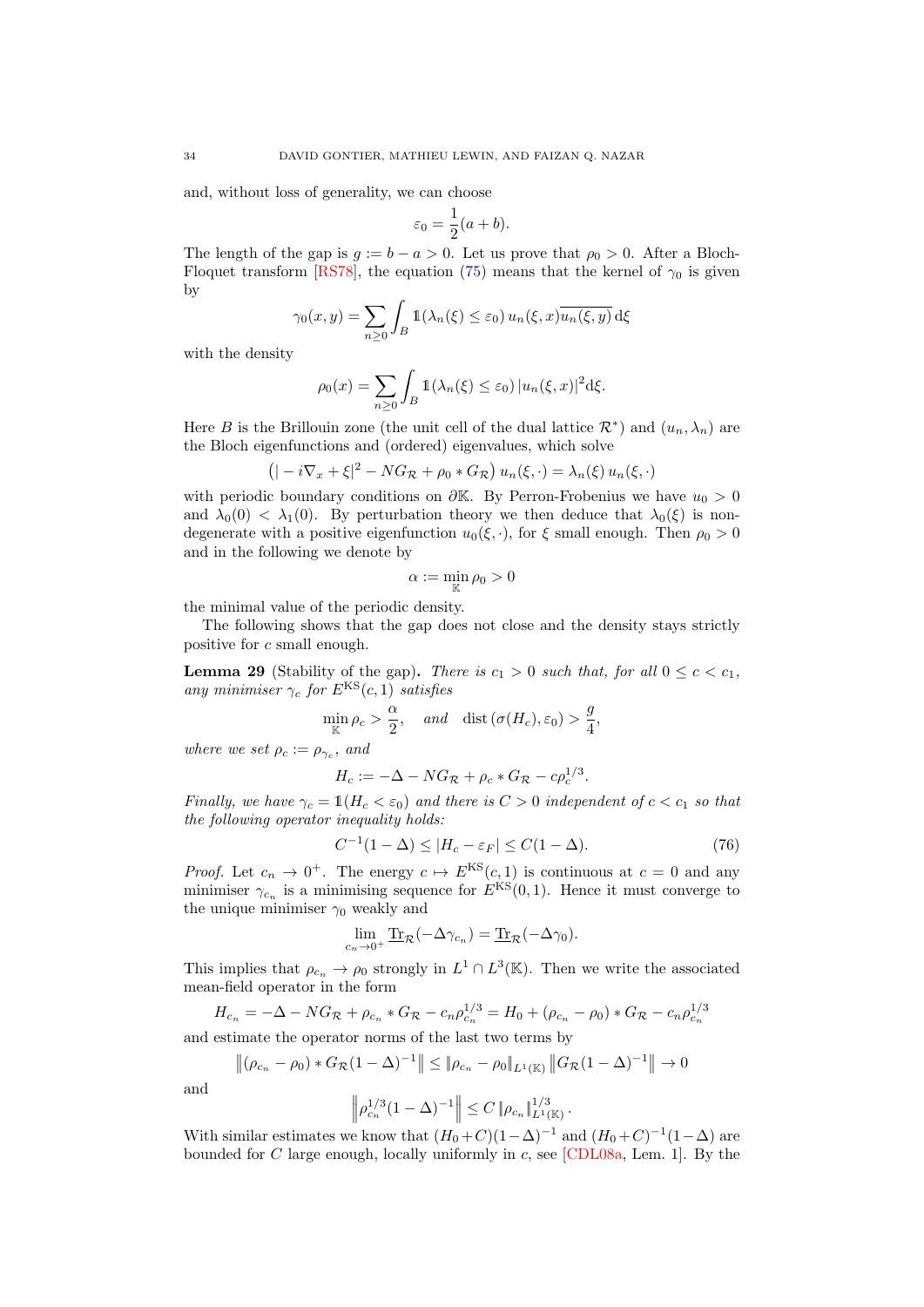and, without loss of generality, we can choose

$$
\varepsilon_0 = \frac{1}{2}(a+b).
$$

The length of the gap is  $g := b - a > 0$ . Let us prove that  $\rho_0 > 0$ . After a Bloch-Floquet transform [\[RS78\]](#page-38-7), the equation [\(75\)](#page-32-2) means that the kernel of  $\gamma_0$  is given by

$$
\gamma_0(x, y) = \sum_{n \ge 0} \int_B \mathbb{1}(\lambda_n(\xi) \le \varepsilon_0) u_n(\xi, x) \overline{u_n(\xi, y)} d\xi
$$

with the density

$$
\rho_0(x) = \sum_{n \ge 0} \int_B \mathbb{1}(\lambda_n(\xi) \le \varepsilon_0) |u_n(\xi, x)|^2 d\xi.
$$

Here B is the Brillouin zone (the unit cell of the dual lattice  $\mathcal{R}^*$ ) and  $(u_n, \lambda_n)$  are the Bloch eigenfunctions and (ordered) eigenvalues, which solve

$$
(|-i\nabla_x + \xi|^2 - NG_{\mathcal{R}} + \rho_0 * G_{\mathcal{R}}) u_n(\xi, \cdot) = \lambda_n(\xi) u_n(\xi, \cdot)
$$

with periodic boundary conditions on  $\partial K$ . By Perron-Frobenius we have  $u_0 > 0$ and  $\lambda_0(0) < \lambda_1(0)$ . By perturbation theory we then deduce that  $\lambda_0(\xi)$  is nondegenerate with a positive eigenfunction  $u_0(\xi, \cdot)$ , for  $\xi$  small enough. Then  $\rho_0 > 0$ and in the following we denote by

$$
\alpha:=\min_{\mathbb{K}}\rho_0>0
$$

the minimal value of the periodic density.

The following shows that the gap does not close and the density stays strictly positive for c small enough.

<span id="page-33-1"></span>**Lemma 29** (Stability of the gap). There is  $c_1 > 0$  such that, for all  $0 \leq c < c_1$ , any minimiser  $\gamma_c$  for  $E^{KS}(c, 1)$  satisfies

$$
\min_{\mathbb{K}} \rho_c > \frac{\alpha}{2}, \quad \text{and} \quad \text{dist}(\sigma(H_c), \varepsilon_0) > \frac{g}{4},
$$

where we set  $\rho_c := \rho_{\gamma_c}$ , and

$$
H_c := -\Delta - NG_{\mathcal{R}} + \rho_c * G_{\mathcal{R}} - c\rho_c^{1/3}.
$$

Finally, we have  $\gamma_c = \mathbb{1}(H_c < \varepsilon_0)$  and there is  $C > 0$  independent of  $c < c_1$  so that the following operator inequality holds:

<span id="page-33-0"></span>
$$
C^{-1}(1 - \Delta) \le |H_c - \varepsilon_F| \le C(1 - \Delta). \tag{76}
$$

*Proof.* Let  $c_n \to 0^+$ . The energy  $c \mapsto E^{KS}(c, 1)$  is continuous at  $c = 0$  and any minimiser  $\gamma_{c_n}$  is a minimising sequence for  $E^{KS}(0,1)$ . Hence it must converge to the unique minimiser  $\gamma_0$  weakly and

$$
\lim_{c_n \to 0^+} \underline{\text{Tr}}_{\mathcal{R}}(-\Delta \gamma_{c_n}) = \underline{\text{Tr}}_{\mathcal{R}}(-\Delta \gamma_0).
$$

This implies that  $\rho_{c_n} \to \rho_0$  strongly in  $L^1 \cap L^3(\mathbb{K})$ . Then we write the associated mean-field operator in the form

$$
H_{c_n} = -\Delta - NG_{\mathcal{R}} + \rho_{c_n} * G_{\mathcal{R}} - c_n \rho_{c_n}^{1/3} = H_0 + (\rho_{c_n} - \rho_0) * G_{\mathcal{R}} - c_n \rho_{c_n}^{1/3}
$$

and estimate the operator norms of the last two terms by

$$
\left\| (\rho_{c_n} - \rho_0) * G_{\mathcal{R}} (1 - \Delta)^{-1} \right\| \leq \|\rho_{c_n} - \rho_0\|_{L^1(\mathbb{K})} \|G_{\mathcal{R}} (1 - \Delta)^{-1}\| \to 0
$$

and

$$
\left\|\rho_{c_n}^{1/3}(1-\Delta)^{-1}\right\| \leq C \left\|\rho_{c_n}\right\|_{L^1(\mathbb{K})}^{1/3}.
$$

With similar estimates we know that  $(H_0+C)(1-\Delta)^{-1}$  and  $(H_0+C)^{-1}(1-\Delta)$  are bounded for C large enough, locally uniformly in c, see [\[CDL08a,](#page-36-22) Lem. 1]. By the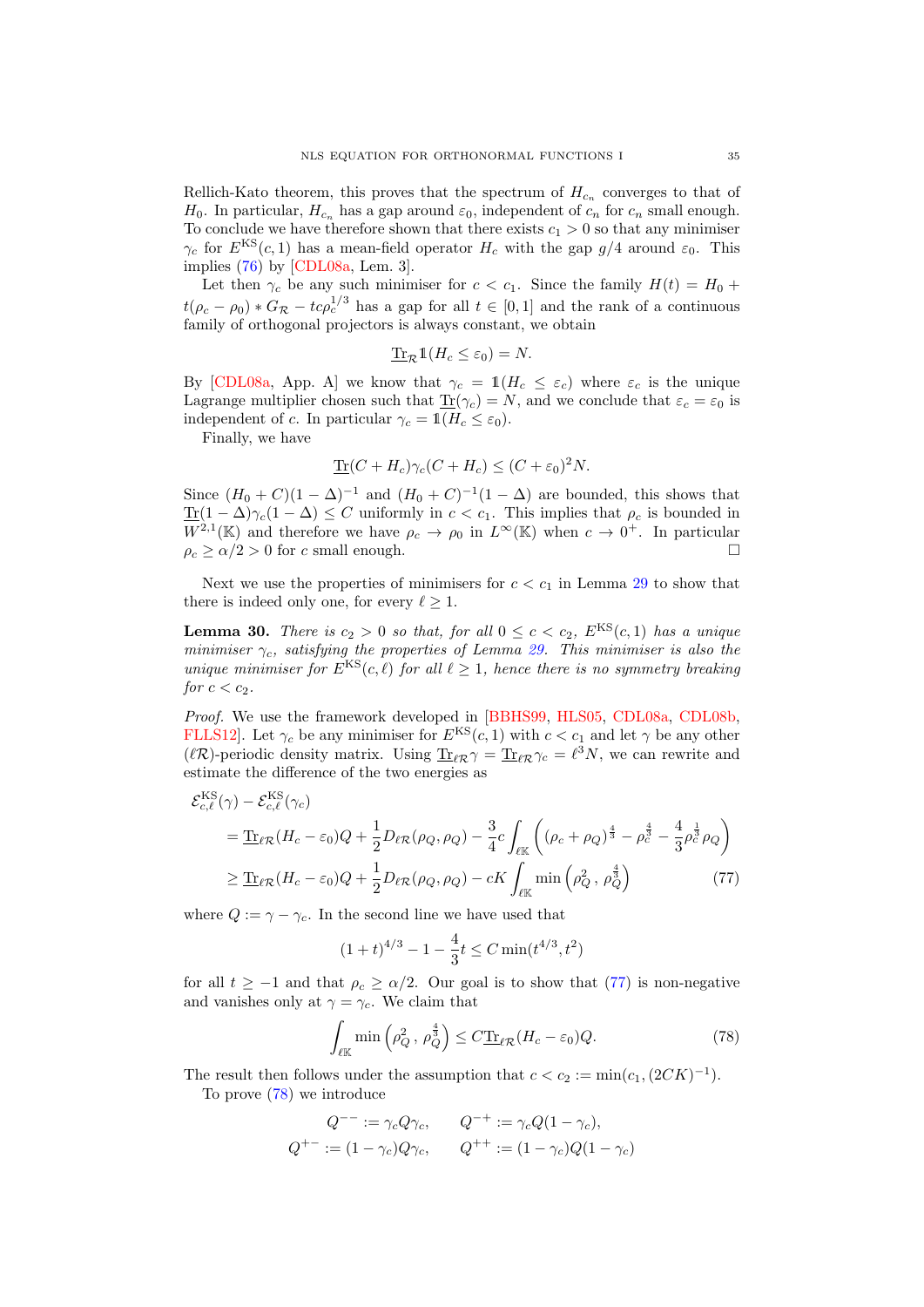Rellich-Kato theorem, this proves that the spectrum of  $H_{c_n}$  converges to that of  $H_0$ . In particular,  $H_{c_n}$  has a gap around  $\varepsilon_0$ , independent of  $c_n$  for  $c_n$  small enough. To conclude we have therefore shown that there exists  $c_1 > 0$  so that any minimiser  $\gamma_c$  for  $E^{KS}(c, 1)$  has a mean-field operator  $H_c$  with the gap  $g/4$  around  $\varepsilon_0$ . This implies [\(76\)](#page-33-0) by [\[CDL08a,](#page-36-22) Lem. 3].

Let then  $\gamma_c$  be any such minimiser for  $c < c_1$ . Since the family  $H(t) = H_0 +$  $t(\rho_c - \rho_0) * G_{\mathcal{R}} - t c \rho_c^{1/3}$  has a gap for all  $t \in [0,1]$  and the rank of a continuous family of orthogonal projectors is always constant, we obtain

$$
\underline{\text{Tr}}_{\mathcal{R}} 1(H_c \leq \varepsilon_0) = N.
$$

By [\[CDL08a,](#page-36-22) App. A] we know that  $\gamma_c = 1(H_c \leq \varepsilon_c)$  where  $\varepsilon_c$  is the unique Lagrange multiplier chosen such that  $\underline{\text{Tr}}(\gamma_c) = N$ , and we conclude that  $\varepsilon_c = \varepsilon_0$  is independent of c. In particular  $\gamma_c = \mathbb{1}(H_c \leq \varepsilon_0)$ .

Finally, we have

$$
\underline{\text{Tr}}(C+H_c)\gamma_c(C+H_c) \le (C+\varepsilon_0)^2 N.
$$

Since  $(H_0 + C)(1 - \Delta)^{-1}$  and  $(H_0 + C)^{-1}(1 - \Delta)$  are bounded, this shows that  $\text{Tr}(1-\Delta)\gamma_c(1-\Delta) \leq C$  uniformly in  $c < c_1$ . This implies that  $\rho_c$  is bounded in  $W^{2,1}(\mathbb{K})$  and therefore we have  $\rho_c \to \rho_0$  in  $L^{\infty}(\mathbb{K})$  when  $c \to 0^+$ . In particular  $\rho_c \ge \alpha/2 > 0$  for c small enough.

Next we use the properties of minimisers for  $c < c_1$  in Lemma [29](#page-33-1) to show that there is indeed only one, for every  $\ell > 1$ .

**Lemma 30.** There is  $c_2 > 0$  so that, for all  $0 \leq c < c_2$ ,  $E^{KS}(c, 1)$  has a unique minimiser  $\gamma_c$ , satisfying the properties of Lemma [29.](#page-33-1) This minimiser is also the unique minimiser for  $E^{KS}(c, \ell)$  for all  $\ell \geq 1$ , hence there is no symmetry breaking for  $c < c_2$ .

Proof. We use the framework developed in [\[BBHS99,](#page-36-23) [HLS05,](#page-37-23) [CDL08a,](#page-36-22) [CDL08b,](#page-36-24) FLLS12. Let  $\gamma_c$  be any minimiser for  $E^{KS}(c, 1)$  with  $c < c_1$  and let  $\gamma$  be any other ( $\ell \mathcal{R}$ )-periodic density matrix. Using  $\underline{\text{Tr}}_{\ell \mathcal{R}}\gamma = \underline{\text{Tr}}_{\ell \mathcal{R}}\gamma_c = \ell^3 N$ , we can rewrite and estimate the difference of the two energies as

$$
\mathcal{E}_{c,\ell}^{\text{KS}}(\gamma) - \mathcal{E}_{c,\ell}^{\text{KS}}(\gamma_c)
$$
\n
$$
= \underline{\text{Tr}}_{\ell\mathcal{R}}(H_c - \varepsilon_0)Q + \frac{1}{2}D_{\ell\mathcal{R}}(\rho_Q, \rho_Q) - \frac{3}{4}c \int_{\ell\mathbb{K}} \left( (\rho_c + \rho_Q)^{\frac{4}{3}} - \rho_c^{\frac{4}{3}} - \frac{4}{3}\rho_c^{\frac{1}{3}}\rho_Q \right)
$$
\n
$$
\geq \underline{\text{Tr}}_{\ell\mathcal{R}}(H_c - \varepsilon_0)Q + \frac{1}{2}D_{\ell\mathcal{R}}(\rho_Q, \rho_Q) - cK \int_{\ell\mathbb{K}} \min\left(\rho_Q^2, \rho_Q^{\frac{4}{3}}\right) \tag{77}
$$

where  $Q := \gamma - \gamma_c$ . In the second line we have used that

<span id="page-34-0"></span>
$$
(1+t)^{4/3} - 1 - \frac{4}{3}t \le C \min(t^{4/3}, t^2)
$$

for all  $t \ge -1$  and that  $\rho_c \ge \alpha/2$ . Our goal is to show that [\(77\)](#page-34-0) is non-negative and vanishes only at  $\gamma = \gamma_c$ . We claim that

<span id="page-34-1"></span>
$$
\int_{\ell \mathbb{K}} \min \left( \rho_Q^2 \, , \, \rho_Q^{\frac{4}{3}} \right) \le C \underline{\text{Tr}}_{\ell \mathcal{R}} (H_c - \varepsilon_0) Q. \tag{78}
$$

The result then follows under the assumption that  $c < c_2 := \min(c_1, (2CK)^{-1})$ .

To prove [\(78\)](#page-34-1) we introduce

$$
Q^{--} := \gamma_c Q \gamma_c, \qquad Q^{-+} := \gamma_c Q (1 - \gamma_c),
$$
  

$$
Q^{+-} := (1 - \gamma_c) Q \gamma_c, \qquad Q^{++} := (1 - \gamma_c) Q (1 - \gamma_c)
$$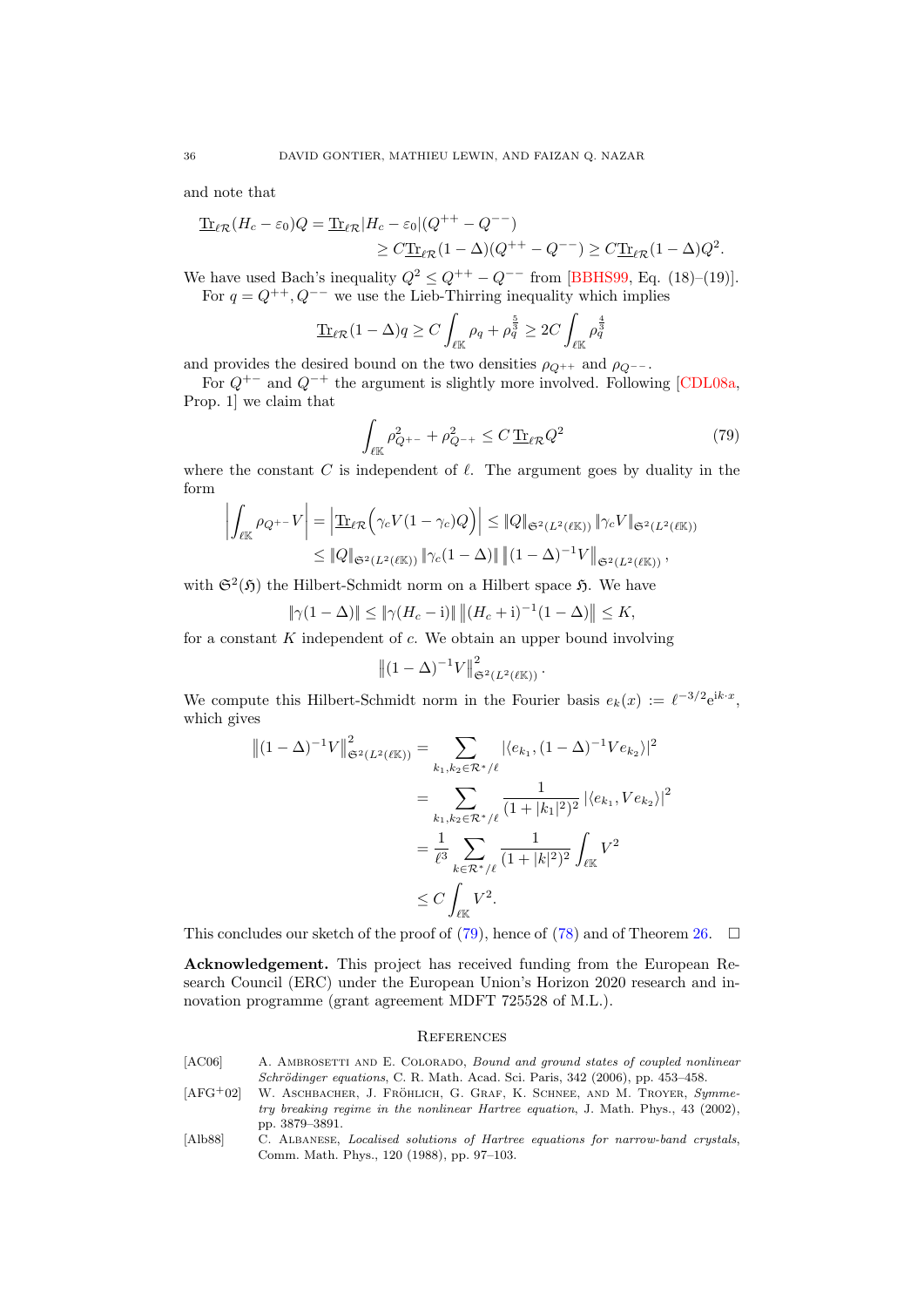and note that

$$
\underline{\text{Tr}}_{\ell\mathcal{R}}(H_c - \varepsilon_0)Q = \underline{\text{Tr}}_{\ell\mathcal{R}}|H_c - \varepsilon_0|(Q^{++} - Q^{--})
$$
  
\n
$$
\geq C\underline{\text{Tr}}_{\ell\mathcal{R}}(1 - \Delta)(Q^{++} - Q^{--}) \geq C\underline{\text{Tr}}_{\ell\mathcal{R}}(1 - \Delta)Q^2.
$$

We have used Bach's inequality  $Q^2 \leq Q^{++} - Q^{--}$  from [\[BBHS99,](#page-36-23) Eq. (18)–(19)]. For  $q = Q^{++}$ ,  $Q^{--}$  we use the Lieb-Thirring inequality which implies

$$
\underline{\text{Tr}}_{\ell\mathcal{R}}(1-\Delta)q \ge C \int_{\ell\mathbb{K}} \rho_q + \rho_q^{\frac{5}{2}} \ge 2C \int_{\ell\mathbb{K}} \rho_q^{\frac{4}{3}}
$$

and provides the desired bound on the two densities  $\rho_{Q^{++}}$  and  $\rho_{Q^{--}}$ .

For  $Q^{+-}$  and  $Q^{-+}$  the argument is slightly more involved. Following [\[CDL08a,](#page-36-22) Prop. 1] we claim that

<span id="page-35-3"></span>
$$
\int_{\ell \mathbb{K}} \rho_{Q^{+-}}^2 + \rho_{Q^{-+}}^2 \le C \, \text{Tr}_{\ell \mathcal{R}} Q^2 \tag{79}
$$

where the constant C is independent of  $\ell$ . The argument goes by duality in the form

$$
\left| \int_{\ell \mathbb{K}} \rho_{Q^{+}} - V \right| = \left| \underline{\text{Tr}}_{\ell \mathcal{R}} \left( \gamma_c V (1 - \gamma_c) Q \right) \right| \leq \| Q \|_{\mathfrak{S}^2(L^2(\ell \mathbb{K}))} \|\gamma_c V\|_{\mathfrak{S}^2(L^2(\ell \mathbb{K}))}
$$
  

$$
\leq \| Q \|_{\mathfrak{S}^2(L^2(\ell \mathbb{K}))} \|\gamma_c (1 - \Delta) \| \left( (1 - \Delta)^{-1} V \right) \|_{\mathfrak{S}^2(L^2(\ell \mathbb{K}))},
$$

with  $\mathfrak{S}^2(\mathfrak{H})$  the Hilbert-Schmidt norm on a Hilbert space  $\mathfrak{H}$ . We have

$$
\|\gamma(1-\Delta)\| \le \|\gamma(H_c - i)\| \|(H_c + i)^{-1}(1-\Delta)\| \le K,
$$

for a constant  $K$  independent of  $c$ . We obtain an upper bound involving

$$
||(1-\Delta)^{-1}V||_{\mathfrak{S}^2(L^2(\ell \mathbb{K}))}^2.
$$

We compute this Hilbert-Schmidt norm in the Fourier basis  $e_k(x) := \ell^{-3/2} e^{ik \cdot x}$ , which gives

$$
\begin{split} \left\|(1-\Delta)^{-1}V\right\|_{\mathfrak{S}^{2}(L^{2}(\ell\mathbb{K}))}^{2} &= \sum_{k_{1},k_{2}\in\mathcal{R}^{*}/\ell}|\langle e_{k_{1}},(1-\Delta)^{-1}Ve_{k_{2}}\rangle|^{2} \\ &= \sum_{k_{1},k_{2}\in\mathcal{R}^{*}/\ell} \frac{1}{(1+|k_{1}|^{2})^{2}}\left|\langle e_{k_{1}},Ve_{k_{2}}\rangle\right|^{2} \\ &= \frac{1}{\ell^{3}}\sum_{k\in\mathcal{R}^{*}/\ell} \frac{1}{(1+|k|^{2})^{2}}\int_{\ell\mathbb{K}}V^{2} \\ &\leq C\int_{\ell\mathbb{K}}V^{2}.\end{split}
$$

This concludes our sketch of the proof of [\(79\)](#page-35-3), hence of [\(78\)](#page-34-1) and of Theorem [26.](#page-29-1)  $\Box$ 

Acknowledgement. This project has received funding from the European Research Council (ERC) under the European Union's Horizon 2020 research and innovation programme (grant agreement MDFT 725528 of M.L.).

#### **REFERENCES**

<span id="page-35-2"></span><span id="page-35-0"></span>

| [AC06]     | A. AMBROSETTI AND E. COLORADO, Bound and ground states of coupled nonlinear          |
|------------|--------------------------------------------------------------------------------------|
|            | <i>Schrödinger equations, C. R. Math. Acad. Sci. Paris, 342 (2006), pp. 453–458.</i> |
| $[AFG+02]$ | W. ASCHBACHER, J. FRÖHLICH, G. GRAF, K. SCHNEE, AND M. TROYER, Symme-                |
|            | try breaking regime in the nonlinear Hartree equation, J. Math. Phys., 43 (2002),    |
|            | pp. 3879–3891.                                                                       |

<span id="page-35-1"></span>[Alb88] C. Albanese, Localised solutions of Hartree equations for narrow-band crystals, Comm. Math. Phys., 120 (1988), pp. 97–103.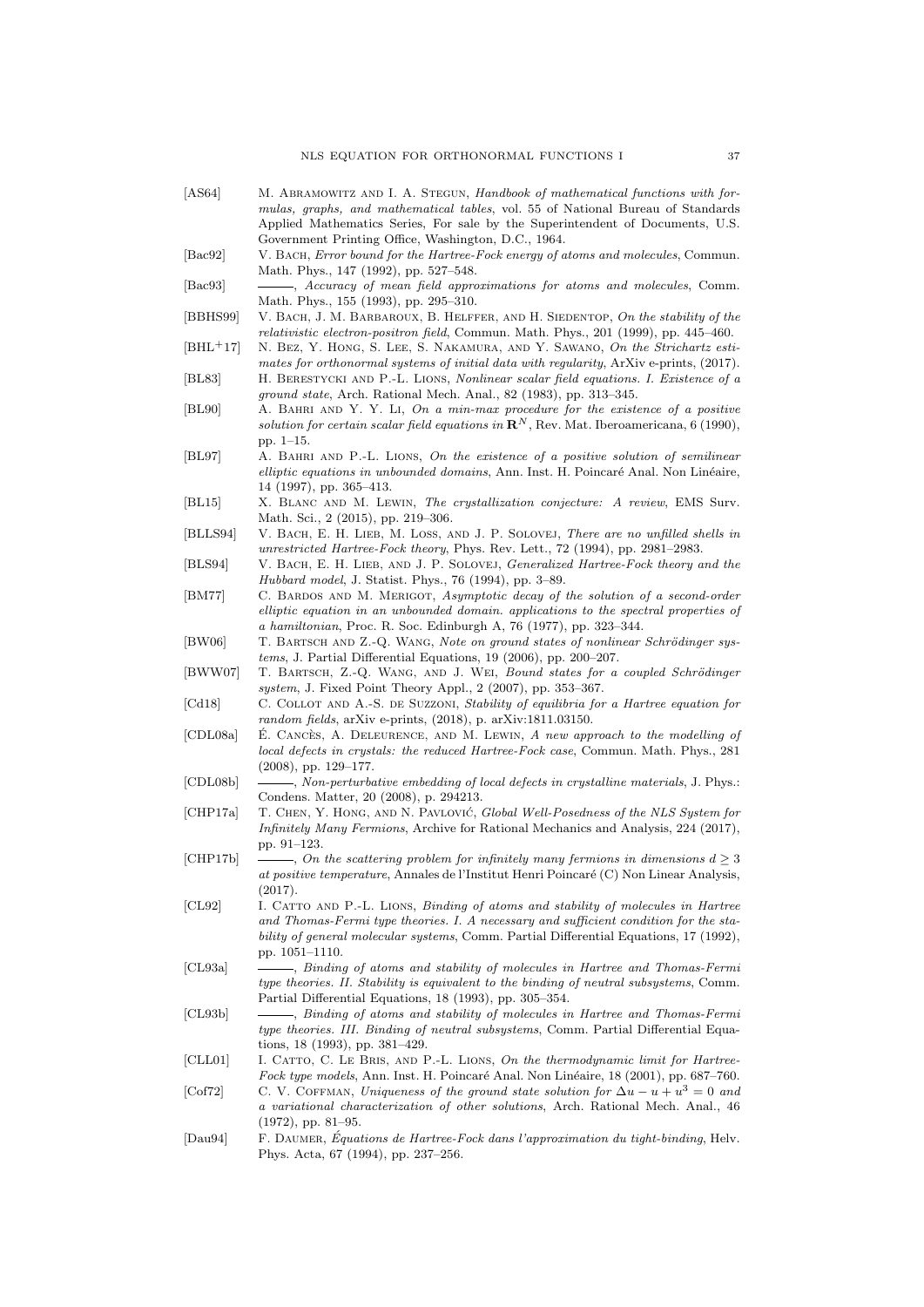- <span id="page-36-24"></span><span id="page-36-23"></span><span id="page-36-22"></span><span id="page-36-21"></span><span id="page-36-20"></span><span id="page-36-19"></span><span id="page-36-18"></span><span id="page-36-17"></span><span id="page-36-16"></span><span id="page-36-15"></span><span id="page-36-14"></span><span id="page-36-13"></span><span id="page-36-12"></span><span id="page-36-11"></span><span id="page-36-10"></span><span id="page-36-9"></span><span id="page-36-8"></span><span id="page-36-7"></span><span id="page-36-6"></span><span id="page-36-5"></span><span id="page-36-4"></span><span id="page-36-3"></span><span id="page-36-2"></span><span id="page-36-1"></span><span id="page-36-0"></span>[AS64] M. ABRAMOWITZ AND I. A. STEGUN, Handbook of mathematical functions with formulas, graphs, and mathematical tables, vol. 55 of National Bureau of Standards Applied Mathematics Series, For sale by the Superintendent of Documents, U.S. Government Printing Office, Washington, D.C., 1964. [Bac92] V. BACH, *Error bound for the Hartree-Fock energy of atoms and molecules*, Commun. Math. Phys., 147 (1992), pp. 527–548. [Bac93]  $\qquad \qquad \qquad -4. Accuracy of mean field approximations for atoms and molecules, Comm.$ Math. Phys., 155 (1993), pp. 295–310. [BBHS99] V. Bach, J. M. Barbaroux, B. Helffer, and H. Siedentop, On the stability of the relativistic electron-positron field, Commun. Math. Phys., 201 (1999), pp. 445–460. [BHL+17] N. Bez, Y. Hong, S. Lee, S. Nakamura, and Y. Sawano, On the Strichartz estimates for orthonormal systems of initial data with regularity, ArXiv e-prints, (2017). [BL83] H. Berestycki and P.-L. Lions, Nonlinear scalar field equations. I. Existence of a ground state, Arch. Rational Mech. Anal., 82 (1983), pp. 313–345. [BL90] A. Bahri and Y. Y. Li, On a min-max procedure for the existence of a positive solution for certain scalar field equations in  $\mathbf{R}^{N}$ , Rev. Mat. Iberoamericana, 6 (1990), pp. 1–15. [BL97] A. Bahri and P.-L. Lions, On the existence of a positive solution of semilinear elliptic equations in unbounded domains, Ann. Inst. H. Poincaré Anal. Non Linéaire, 14 (1997), pp. 365–413. [BL15] X. Blanc and M. Lewin, The crystallization conjecture: A review, EMS Surv. Math. Sci., 2 (2015), pp. 219–306. [BLLS94] V. BACH, E. H. LIEB, M. LOSS, AND J. P. SOLOVEJ, There are no unfilled shells in unrestricted Hartree-Fock theory, Phys. Rev. Lett., 72 (1994), pp. 2981–2983. [BLS94] V. BACH, E. H. LIEB, AND J. P. SOLOVEJ, *Generalized Hartree-Fock theory and the* Hubbard model, J. Statist. Phys., 76 (1994), pp. 3–89. [BM77] C. BARDOS AND M. MERIGOT, Asymptotic decay of the solution of a second-order elliptic equation in an unbounded domain. applications to the spectral properties of a hamiltonian, Proc. R. Soc. Edinburgh A, 76 (1977), pp. 323–344. [BW06] T. BARTSCH AND Z.-Q. WANG, Note on ground states of nonlinear Schrödinger systems, J. Partial Differential Equations, 19 (2006), pp. 200–207. [BWW07] T. BARTSCH, Z.-Q. WANG, AND J. WEI, Bound states for a coupled Schrödinger system, J. Fixed Point Theory Appl., 2 (2007), pp. 353–367. [Cd18] C. COLLOT AND A.-S. DE SUZZONI, Stability of equilibria for a Hartree equation for random fields, arXiv e-prints, (2018), p. arXiv:1811.03150. [CDL08a]  $\&$  E. CANCES, A. DELEURENCE, AND M. LEWIN, A new approach to the modelling of local defects in crystals: the reduced Hartree-Fock case, Commun. Math. Phys., 281 (2008), pp. 129–177. [CDL08b]  $\quad \overline{\phantom{a}}$  Non-perturbative embedding of local defects in crystalline materials, J. Phys.: Condens. Matter, 20 (2008), p. 294213. [CHP17a] T. CHEN, Y. HONG, AND N. PAVLOVIĆ, Global Well-Posedness of the NLS System for Infinitely Many Fermions, Archive for Rational Mechanics and Analysis, 224 (2017), pp. 91–123.  $[CHP17b] \ \ \_\_\_\_\_$  On the scattering problem for infinitely many fermions in dimensions  $d \geq 3$ at positive temperature, Annales de l'Institut Henri Poincaré (C) Non Linear Analysis, (2017). [CL92] I. Catto and P.-L. Lions, Binding of atoms and stability of molecules in Hartree and Thomas-Fermi type theories. I. A necessary and sufficient condition for the stability of general molecular systems, Comm. Partial Differential Equations, 17 (1992), pp. 1051–1110. [CL93a] , Binding of atoms and stability of molecules in Hartree and Thomas-Fermi type theories. II. Stability is equivalent to the binding of neutral subsystems, Comm. Partial Differential Equations, 18 (1993), pp. 305–354. [CL93b] , Binding of atoms and stability of molecules in Hartree and Thomas-Fermi type theories. III. Binding of neutral subsystems, Comm. Partial Differential Equations, 18 (1993), pp. 381–429. [CLL01] I. CATTO, C. LE BRIS, AND P.-L. LIONS, On the thermodynamic limit for Hartree-Fock type models, Ann. Inst. H. Poincaré Anal. Non Linéaire, 18 (2001), pp. 687–760. [Cof72] C. V. COFFMAN, Uniqueness of the ground state solution for  $\Delta u - u + u^3 = 0$  and a variational characterization of other solutions, Arch. Rational Mech. Anal., 46 (1972), pp. 81–95.  $[Dau94]$  F. DAUMER, Équations de Hartree-Fock dans l'approximation du tight-binding, Helv.
	- Phys. Acta, 67 (1994), pp. 237–256.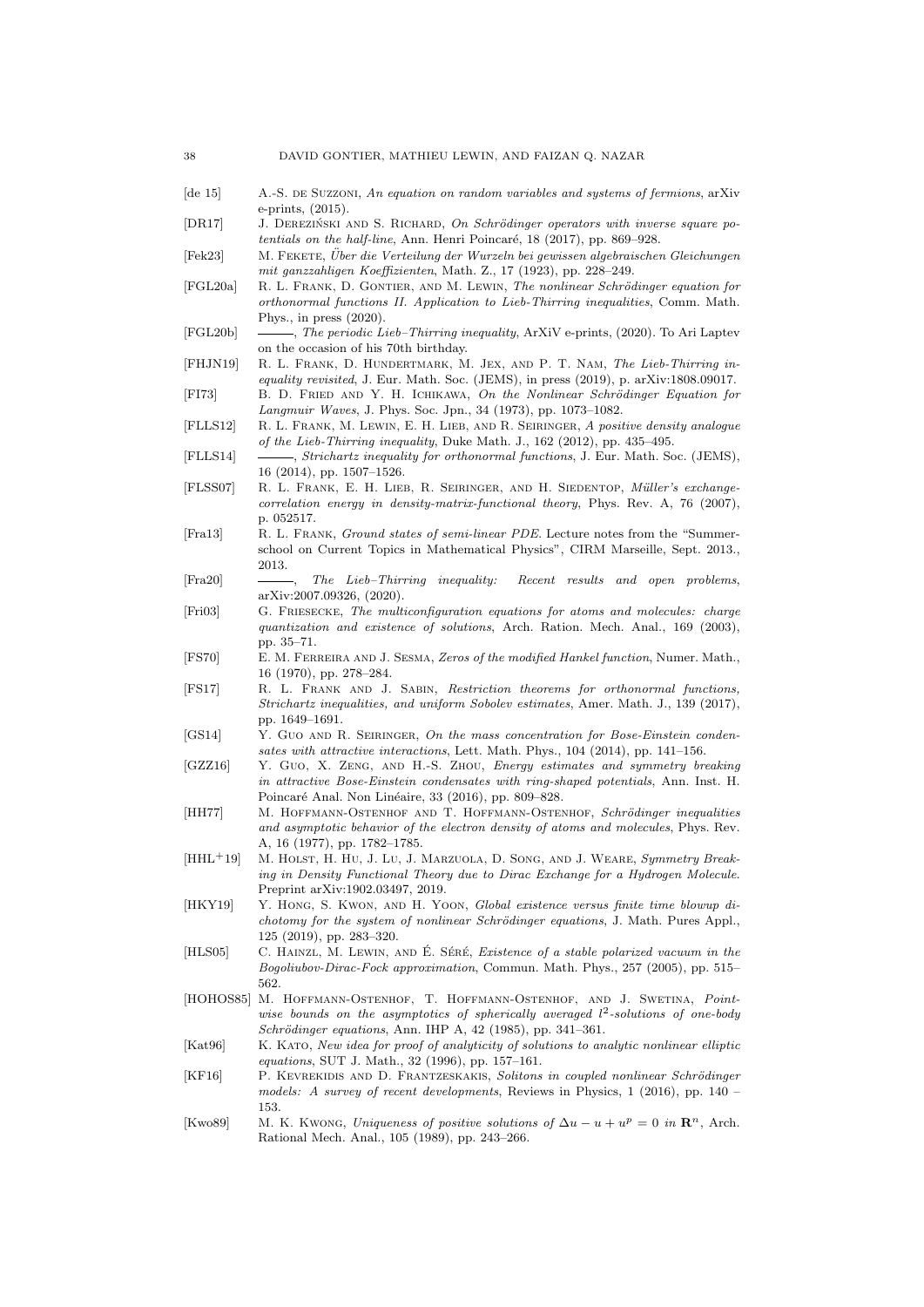- <span id="page-37-7"></span>[de 15] A.-S. DE SUZZONI, An equation on random variables and systems of fermions, arXiv e-prints, (2015).
- <span id="page-37-17"></span>[DR17] J. DEREZIŃSKI AND S. RICHARD, On Schrödinger operators with inverse square potentials on the half-line, Ann. Henri Poincaré,  $18$  (2017), pp. 869–928.
- <span id="page-37-19"></span>[Fek23] M. Fekete, Uber die Verteilung der Wurzeln bei gewissen algebraischen Gleichungen ¨ mit ganzzahligen Koeffizienten, Math. Z., 17 (1923), pp. 228–249.
- <span id="page-37-5"></span>[FGL20a] R. L. FRANK, D. GONTIER, AND M. LEWIN, The nonlinear Schrödinger equation for orthonormal functions II. Application to Lieb-Thirring inequalities, Comm. Math. Phys., in press (2020).
- <span id="page-37-11"></span>[FGL20b]  $\quad \longrightarrow$ , The periodic Lieb-Thirring inequality, ArXiV e-prints, (2020). To Ari Laptev on the occasion of his 70th birthday.
- <span id="page-37-8"></span>[FHJN19] R. L. Frank, D. Hundertmark, M. Jex, and P. T. Nam, The Lieb-Thirring inequality revisited, J. Eur. Math. Soc. (JEMS), in press (2019), p. arXiv:1808.09017.
- <span id="page-37-0"></span>[FI73] B. D. FRIED AND Y. H. ICHIKAWA, On the Nonlinear Schrödinger Equation for Langmuir Waves, J. Phys. Soc. Jpn., 34 (1973), pp. 1073–1082.
- <span id="page-37-24"></span>[FLLS12] R. L. FRANK, M. LEWIN, E. H. LIEB, AND R. SEIRINGER, A positive density analogue of the Lieb-Thirring inequality, Duke Math. J., 162 (2012), pp. 435–495.
- <span id="page-37-9"></span>[FLLS14] , Strichartz inequality for orthonormal functions, J. Eur. Math. Soc. (JEMS), 16 (2014), pp. 1507–1526.
- <span id="page-37-13"></span>[FLSS07] R. L. Frank, E. H. Lieb, R. Seiringer, and H. Siedentop, M¨uller's exchangecorrelation energy in density-matrix-functional theory, Phys. Rev. A, 76 (2007), p. 052517.
- <span id="page-37-2"></span>[Fra13] R. L. Frank, Ground states of semi-linear PDE. Lecture notes from the "Summerschool on Current Topics in Mathematical Physics", CIRM Marseille, Sept. 2013., 2013.
- <span id="page-37-6"></span>[Fra20] , The Lieb–Thirring inequality: Recent results and open problems, arXiv:2007.09326, (2020).
- <span id="page-37-14"></span>[Fri03] G. FRIESECKE, The multiconfiguration equations for atoms and molecules: charge quantization and existence of solutions, Arch. Ration. Mech. Anal., 169 (2003), pp. 35–71.
- <span id="page-37-18"></span>[FS70] E. M. Ferreira and J. Sesma, Zeros of the modified Hankel function, Numer. Math., 16 (1970), pp. 278–284.
- <span id="page-37-10"></span>[FS17] R. L. Frank and J. Sabin, Restriction theorems for orthonormal functions, Strichartz inequalities, and uniform Sobolev estimates, Amer. Math. J., 139 (2017), pp. 1649–1691.
- <span id="page-37-21"></span>[GS14] Y. GUO AND R. SEIRINGER, On the mass concentration for Bose-Einstein condensates with attractive interactions, Lett. Math. Phys., 104 (2014), pp. 141–156.
- <span id="page-37-22"></span>[GZZ16] Y. Guo, X. ZENG, AND H.-S. ZHOU, Energy estimates and symmetry breaking in attractive Bose-Einstein condensates with ring-shaped potentials, Ann. Inst. H. Poincaré Anal. Non Linéaire, 33 (2016), pp. 809–828.
- <span id="page-37-12"></span>[HH77] M. HOFFMANN-OSTENHOF AND T. HOFFMANN-OSTENHOF, Schrödinger inequalities and asymptotic behavior of the electron density of atoms and molecules, Phys. Rev. A, 16 (1977), pp. 1782–1785.
- <span id="page-37-20"></span>[HHL<sup>+</sup>19] M. HOLST, H. HU, J. LU, J. MARZUOLA, D. SONG, AND J. WEARE, Symmetry Breaking in Density Functional Theory due to Dirac Exchange for a Hydrogen Molecule. Preprint arXiv:1902.03497, 2019.
- <span id="page-37-4"></span>[HKY19] Y. HONG, S. KWON, AND H. YOON, Global existence versus finite time blowup dichotomy for the system of nonlinear Schrödinger equations, J. Math. Pures Appl., 125 (2019), pp. 283–320.
- <span id="page-37-23"></span>[HLS05] C. HAINZL, M. LEWIN, AND E. SÉRÉ, Existence of a stable polarized vacuum in the Bogoliubov-Dirac-Fock approximation, Commun. Math. Phys., 257 (2005), pp. 515– 562.
- <span id="page-37-16"></span>[HOHOS85] M. HOFFMANN-OSTENHOF, T. HOFFMANN-OSTENHOF, AND J. SWETINA, Pointwise bounds on the asymptotics of spherically averaged  $l^2$ -solutions of one-body  $Schrödinger\ equations, Ann. HPPA, 42 (1985), pp. 341-361.$
- <span id="page-37-15"></span>[Kat96] K. KATO, New idea for proof of analyticity of solutions to analytic nonlinear elliptic equations, SUT J. Math., 32 (1996), pp. 157–161.
- <span id="page-37-3"></span>[KF16] P. KEVREKIDIS AND D. FRANTZESKAKIS, Solitons in coupled nonlinear Schrödinger models: A survey of recent developments, Reviews in Physics, 1 (2016), pp. 140 – 153.
- <span id="page-37-1"></span>[Kwo89] M. K. Kwong, Uniqueness of positive solutions of  $\Delta u - u + u^p = 0$  in  $\mathbb{R}^n$ , Arch. Rational Mech. Anal., 105 (1989), pp. 243–266.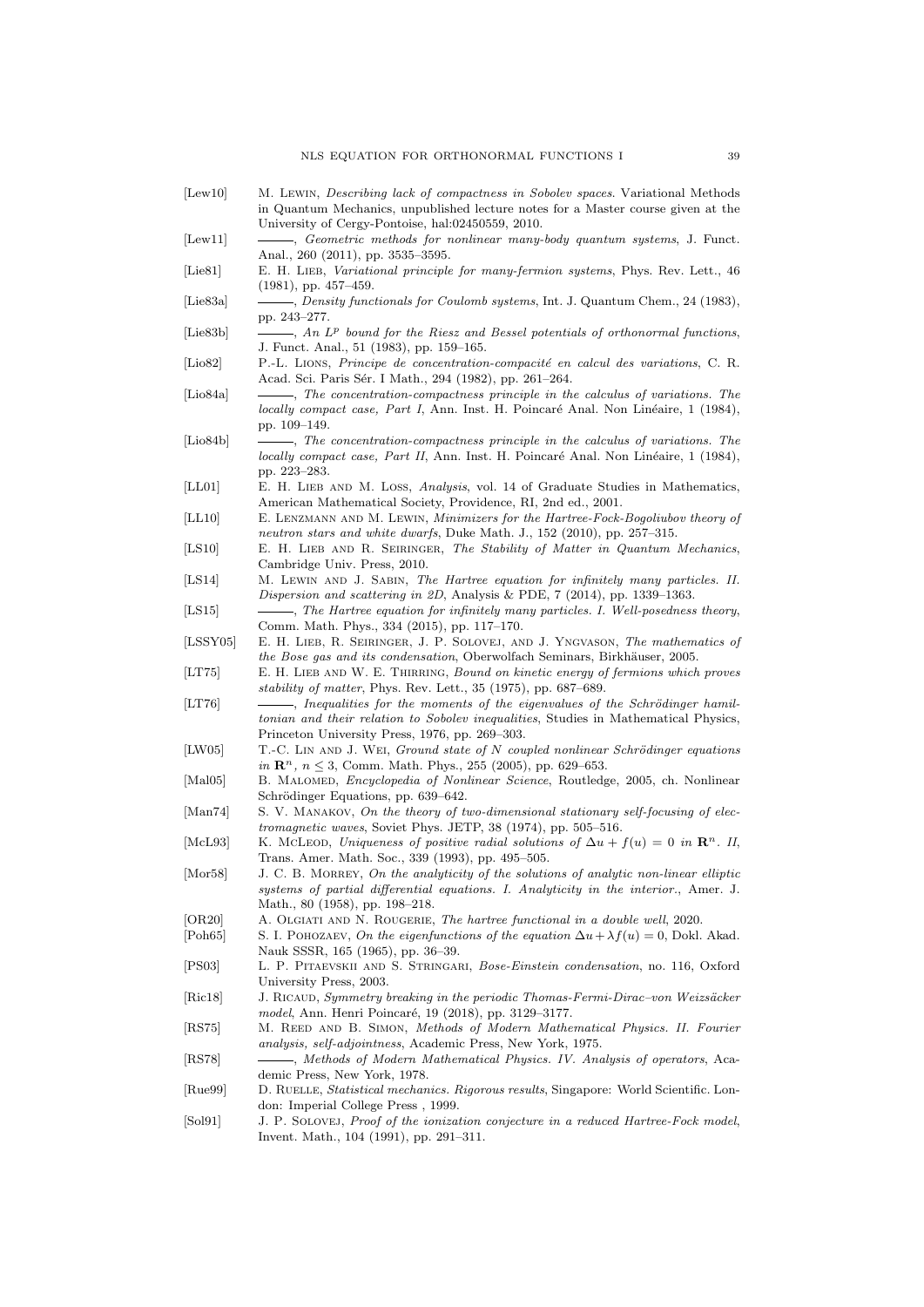- <span id="page-38-11"></span>[Lew10] M. Lewin, *Describing lack of compactness in Sobolev spaces*. Variational Methods in Quantum Mechanics, unpublished lecture notes for a Master course given at the University of Cergy-Pontoise, hal:02450559, 2010.
- <span id="page-38-14"></span>[Lew11]  $\qquad \qquad$ , Geometric methods for nonlinear many-body quantum systems, J. Funct. Anal., 260 (2011), pp. 3535–3595.
- <span id="page-38-24"></span>[Lie81] E. H. LIEB, Variational principle for many-fermion systems, Phys. Rev. Lett., 46 (1981), pp. 457–459.
- <span id="page-38-23"></span>[Lie83a] , Density functionals for Coulomb systems, Int. J. Quantum Chem., 24 (1983), pp. 243–277.
- <span id="page-38-18"></span> $[Lie83b] \qquad \qquad \longrightarrow, An \ L^p \; bound \; for \; the \; Riesz \; and \; Bessel \; potentials \; of \; orthonormal \; functions,$ J. Funct. Anal., 51 (1983), pp. 159–165.
- <span id="page-38-8"></span>[Lio82] P.-L. LIONS, Principe de concentration-compacité en calcul des variations, C. R. Acad. Sci. Paris Sér. I Math., 294 (1982), pp. 261-264.
- <span id="page-38-9"></span>[Lio84a]  $\qquad \qquad \longrightarrow$ , The concentration-compactness principle in the calculus of variations. The  $locally compact case, Part I, Ann. Inst. H. Poincaré Anal. Non Linéaire, 1 (1984),$ pp. 109–149.
- <span id="page-38-10"></span>[Lio84b]  $\qquad \qquad \qquad$ , The concentration-compactness principle in the calculus of variations. The locally compact case, Part II, Ann. Inst. H. Poincaré Anal. Non Linéaire, 1 (1984), pp. 223–283.
- <span id="page-38-6"></span>[LL01] E. H. LIEB AND M. LOSS, Analysis, vol. 14 of Graduate Studies in Mathematics, American Mathematical Society, Providence, RI, 2nd ed., 2001.
- <span id="page-38-26"></span>[LL10] E. Lenzmann and M. Lewin, Minimizers for the Hartree-Fock-Bogoliubov theory of neutron stars and white dwarfs, Duke Math. J., 152 (2010), pp. 257–315.
- <span id="page-38-12"></span>[LS10] E. H. LIEB AND R. SEIRINGER, The Stability of Matter in Quantum Mechanics, Cambridge Univ. Press, 2010.
- <span id="page-38-20"></span>[LS14] M. Lewin and J. Sabin, The Hartree equation for infinitely many particles. II. Dispersion and scattering in 2D, Analysis & PDE, 7 (2014), pp. 1339–1363.
- <span id="page-38-19"></span>[LS15]  $\qquad \qquad \qquad$ , The Hartree equation for infinitely many particles. I. Well-posedness theory, Comm. Math. Phys., 334 (2015), pp. 117–170.
- <span id="page-38-2"></span>[LSSY05] E. H. LIEB, R. SEIRINGER, J. P. SOLOVEJ, AND J. YNGVASON, The mathematics of the Bose gas and its condensation, Oberwolfach Seminars, Birkhäuser, 2005.
- <span id="page-38-17"></span>[LT75] E. H. LIEB AND W. E. THIRRING, Bound on kinetic energy of fermions which proves stability of matter, Phys. Rev. Lett., 35 (1975), pp. 687–689.
- <span id="page-38-16"></span>[LT76] , Inequalities for the moments of the eigenvalues of the Schrödinger hamiltonian and their relation to Sobolev inequalities, Studies in Mathematical Physics, Princeton University Press, 1976, pp. 269–303.
- <span id="page-38-13"></span>[LW05] T.-C. LIN AND J. WEI, Ground state of N coupled nonlinear Schrödinger equations in  $\mathbb{R}^n$ ,  $n \leq 3$ , Comm. Math. Phys., 255 (2005), pp. 629–653.
- <span id="page-38-0"></span>[Mal05] B. Malomed, Encyclopedia of Nonlinear Science, Routledge, 2005, ch. Nonlinear Schrödinger Equations, pp. 639–642.
- <span id="page-38-3"></span>[Man74] S. V. MANAKOV, On the theory of two-dimensional stationary self-focusing of electromagnetic waves, Soviet Phys. JETP, 38 (1974), pp. 505–516.
- <span id="page-38-4"></span>[McL93] K. McLeon, Uniqueness of positive radial solutions of  $\Delta u + f(u) = 0$  in  $\mathbb{R}^n$ . II, Trans. Amer. Math. Soc., 339 (1993), pp. 495–505.
- <span id="page-38-27"></span>[Mor58] J. C. B. MORREY, On the analyticity of the solutions of analytic non-linear elliptic systems of partial differential equations. I. Analyticity in the interior., Amer. J. Math., 80 (1958), pp. 198–218.
- <span id="page-38-21"></span>[OR20] A. Olgiati and N. Rougerie, The hartree functional in a double well, 2020.
- <span id="page-38-5"></span>[Poh65] S. I. POHOZAEV, On the eigenfunctions of the equation  $\Delta u + \lambda f(u) = 0$ , Dokl. Akad. Nauk SSSR, 165 (1965), pp. 36–39.
- <span id="page-38-1"></span>[PS03] L. P. Pitaevskii and S. Stringari, Bose-Einstein condensation, no. 116, Oxford University Press, 2003.
- <span id="page-38-15"></span>[Ric18] J. RICAUD, Symmetry breaking in the periodic Thomas-Fermi-Dirac–von Weizsäcker model, Ann. Henri Poincaré, 19 (2018), pp. 3129-3177.
- <span id="page-38-28"></span>[RS75] M. Reed and B. Simon, Methods of Modern Mathematical Physics. II. Fourier analysis, self-adjointness, Academic Press, New York, 1975.
- <span id="page-38-7"></span>[RS78] , Methods of Modern Mathematical Physics. IV. Analysis of operators, Academic Press, New York, 1978.
- <span id="page-38-22"></span>[Rue99] D. RUELLE, *Statistical mechanics. Rigorous results*, Singapore: World Scientific. London: Imperial College Press , 1999.
- <span id="page-38-25"></span>[Sol91] J. P. SOLOVEJ, Proof of the ionization conjecture in a reduced Hartree-Fock model, Invent. Math., 104 (1991), pp. 291–311.